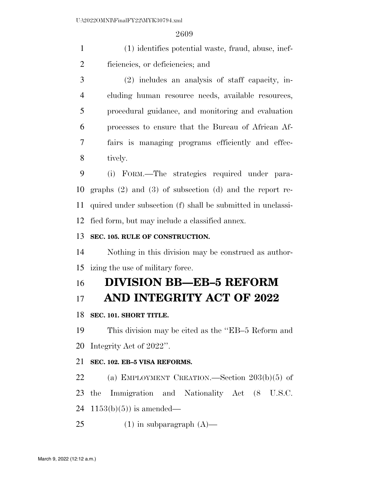(1) identifies potential waste, fraud, abuse, inef-ficiencies, or deficiencies; and

 (2) includes an analysis of staff capacity, in- cluding human resource needs, available resources, procedural guidance, and monitoring and evaluation processes to ensure that the Bureau of African Af- fairs is managing programs efficiently and effec-tively.

 (i) FORM.—The strategies required under para- graphs (2) and (3) of subsection (d) and the report re- quired under subsection (f) shall be submitted in unclassi-fied form, but may include a classified annex.

## **SEC. 105. RULE OF CONSTRUCTION.**

 Nothing in this division may be construed as author-izing the use of military force.

# **DIVISION BB—EB–5 REFORM**

# **AND INTEGRITY ACT OF 2022**

## **SEC. 101. SHORT TITLE.**

 This division may be cited as the ''EB–5 Reform and Integrity Act of 2022''.

## **SEC. 102. EB–5 VISA REFORMS.**

(a) EMPLOYMENT CREATION.—Section 203(b)(5) of

the Immigration and Nationality Act (8 U.S.C.

24 1153(b)(5)) is amended—

25 (1) in subparagraph  $(A)$ —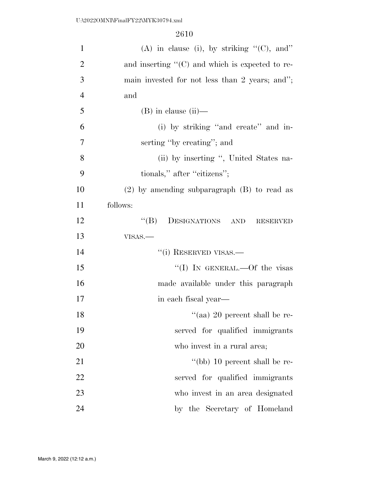| $\mathbf{1}$   | (A) in clause (i), by striking $"$ (C), and"            |
|----------------|---------------------------------------------------------|
| $\overline{2}$ | and inserting $\lq\lq$ (C) and which is expected to re- |
| 3              | main invested for not less than 2 years; and";          |
| $\overline{4}$ | and                                                     |
| 5              | $(B)$ in clause $(ii)$ —                                |
| 6              | (i) by striking "and create" and in-                    |
| 7              | serting "by creating"; and                              |
| 8              | (ii) by inserting ", United States na-                  |
| 9              | tionals," after "citizens";                             |
| 10             | $(2)$ by amending subparagraph $(B)$ to read as         |
| 11             | follows:                                                |
| 12             | "(B) DESIGNATIONS AND RESERVED                          |
| 13             | VISAS.-                                                 |
| 14             | "(i) RESERVED VISAS.-                                   |
| 15             | "(I) IN GENERAL.—Of the visas                           |
| 16             | made available under this paragraph                     |
| 17             | in each fiscal year—                                    |
| 18             | "(aa) 20 percent shall be re-                           |
| 19             | served for qualified immigrants                         |
| 20             | who invest in a rural area;                             |
| 21             | "(bb) 10 percent shall be re-                           |
| 22             | served for qualified immigrants                         |
| 23             | who invest in an area designated                        |
| 24             | by the Secretary of Homeland                            |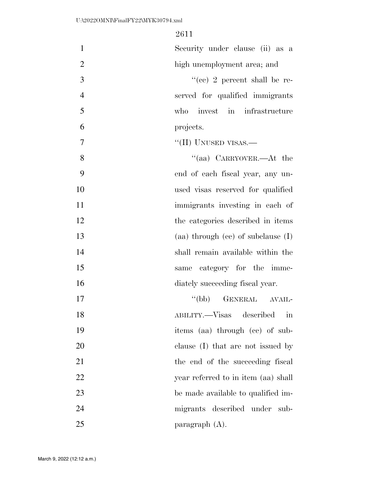| $\mathbf{1}$   | Security under clause (ii) as a                       |
|----------------|-------------------------------------------------------|
| $\overline{2}$ | high unemployment area; and                           |
| 3              | "(cc) 2 percent shall be re-                          |
| $\overline{4}$ | served for qualified immigrants                       |
| 5              | invest in infrastructure<br>who                       |
| 6              | projects.                                             |
| $\overline{7}$ | "(II) UNUSED VISAS.—                                  |
| 8              | "(aa) CARRYOVER.—At the                               |
| 9              | end of each fiscal year, any un-                      |
| 10             | used visas reserved for qualified                     |
| 11             | immigrants investing in each of                       |
| 12             | the categories described in items                     |
| 13             | (aa) through $(ce)$ of subclause $(I)$                |
| 14             | shall remain available within the                     |
| 15             | category for the imme-<br>same                        |
| 16             | diately succeeding fiscal year.                       |
| 17             | "(bb) GENERAL AVAIL-                                  |
| 18             | ABILITY.—Visas<br>described<br>$\overline{\text{in}}$ |
| 19             | items (aa) through (cc) of sub-                       |
| 20             | clause (I) that are not issued by                     |
| 21             | the end of the succeeding fiscal                      |
| 22             | year referred to in item (aa) shall                   |
| 23             | be made available to qualified im-                    |
| 24             | migrants described under sub-                         |
| 25             | paragraph $(A)$ .                                     |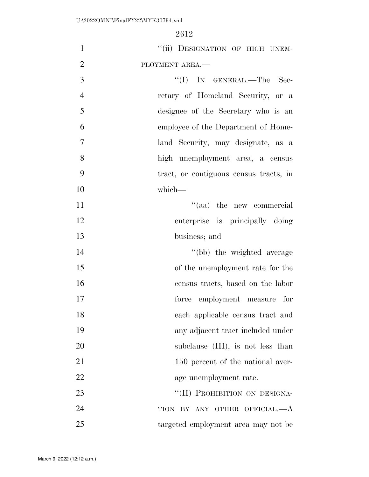| $\mathbf{1}$   | "(ii) DESIGNATION OF HIGH UNEM-        |
|----------------|----------------------------------------|
| $\overline{2}$ | PLOYMENT AREA.-                        |
| 3              | "(I) IN GENERAL.—The Sec-              |
| $\overline{4}$ | retary of Homeland Security, or a      |
| 5              | designee of the Secretary who is an    |
| 6              | employee of the Department of Home-    |
| $\overline{7}$ | land Security, may designate, as a     |
| 8              | high unemployment area, a census       |
| 9              | tract, or contiguous census tracts, in |
| 10             | which-                                 |
| 11             | "(aa) the new commercial               |
| 12             | enterprise is principally doing        |
| 13             | business; and                          |
| 14             | "(bb) the weighted average             |
| 15             | of the unemployment rate for the       |
| 16             | census tracts, based on the labor      |
| 17             | force employment measure for           |
| 18             | each applicable census tract and       |
| 19             | any adjacent tract included under      |
| 20             | subclause (III), is not less than      |
| 21             | 150 percent of the national aver-      |
| 22             | age unemployment rate.                 |
| 23             | "(II) PROHIBITION ON DESIGNA-          |
| 24             | TION BY ANY OTHER OFFICIAL.—A          |
| 25             | targeted employment area may not be    |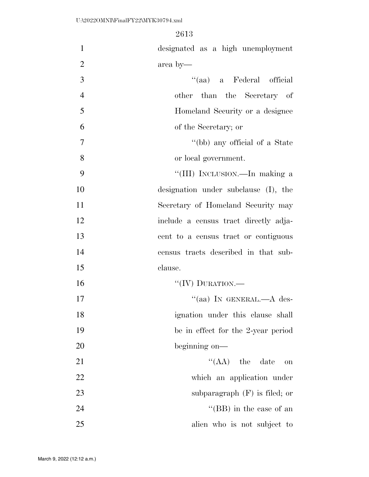| $\mathbf{1}$   | designated as a high unemployment     |
|----------------|---------------------------------------|
| $\overline{2}$ | area by-                              |
| 3              | "(aa) a Federal official              |
| $\overline{4}$ | other than the Secretary of           |
| 5              | Homeland Security or a designee       |
| 6              | of the Secretary; or                  |
| 7              | "(bb) any official of a State         |
| 8              | or local government.                  |
| 9              | "(III) INCLUSION.—In making a         |
| 10             | designation under subclause (I), the  |
| 11             | Secretary of Homeland Security may    |
| 12             | include a census tract directly adja- |
| 13             | cent to a census tract or contiguous  |
| 14             | census tracts described in that sub-  |
| 15             | clause.                               |
| 16             | "(IV) DURATION.—                      |
| 17             | "(aa) IN GENERAL.— $A$ des-           |
| 18             | ignation under this clause shall      |
| 19             | be in effect for the 2-year period    |
| 20             | beginning on—                         |
| 21             | $\lq\lq$ (AA) the date<br>on          |
| 22             | which an application under            |
| 23             | subparagraph $(F)$ is filed; or       |
| 24             | "(BB) in the case of an               |
| 25             | alien who is not subject to           |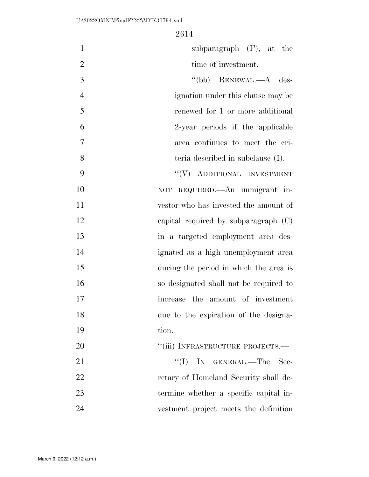| $\mathbf{1}$   | subparagraph $(F)$ , at the            |
|----------------|----------------------------------------|
| $\overline{2}$ | time of investment.                    |
| 3              | "(bb) RENEWAL.— $A$ des-               |
| $\overline{4}$ | ignation under this clause may be      |
| 5              | renewed for 1 or more additional       |
| 6              | 2-year periods if the applicable       |
| 7              | area continues to meet the cri-        |
| 8              | teria described in subclause (I).      |
| 9              | "(V) ADDITIONAL INVESTMENT             |
| 10             | NOT REQUIRED. An immigrant in-         |
| 11             | vestor who has invested the amount of  |
| 12             | capital required by subparagraph $(C)$ |
| 13             | in a targeted employment area des-     |
| 14             | ignated as a high unemployment area    |
| 15             | during the period in which the area is |
| 16             | so designated shall not be required to |
| 17             | increase the amount of investment      |
| 18             | due to the expiration of the designa-  |
| 19             | tion.                                  |
| 20             | "(iii) INFRASTRUCTURE PROJECTS.—       |
| 21             | ``(I)<br>IN GENERAL.-The<br>Sec-       |
| 22             | retary of Homeland Security shall de-  |
| 23             | termine whether a specific capital in- |
| 24             | vestment project meets the definition  |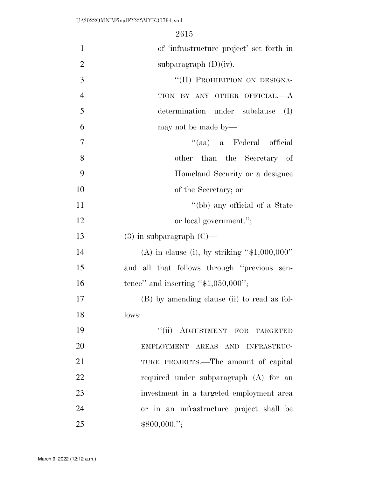| $\mathbf{1}$   | of 'infrastructure project' set forth in        |  |
|----------------|-------------------------------------------------|--|
| $\overline{2}$ | subparagraph $(D)(iv)$ .                        |  |
| 3              | "(II) PROHIBITION ON DESIGNA-                   |  |
| $\overline{4}$ | TION BY ANY OTHER OFFICIAL.-- A                 |  |
| 5              | determination under subclause<br>(I)            |  |
| 6              | may not be made by—                             |  |
| 7              | "(aa) a Federal official                        |  |
| 8              | other than the Secretary of                     |  |
| 9              | Homeland Security or a designee                 |  |
| 10             | of the Secretary; or                            |  |
| 11             | "(bb) any official of a State                   |  |
| 12             | or local government.";                          |  |
| 13             | $(3)$ in subparagraph $(C)$ —                   |  |
| 14             | (A) in clause (i), by striking " $$1,000,000$ " |  |
| 15             | and all that follows through "previous sen-     |  |
| 16             | tence" and inserting " $$1,050,000$ ";          |  |
| 17             | (B) by amending clause (ii) to read as fol-     |  |
| 18             | lows:                                           |  |
| 19             | "(ii) ADJUSTMENT FOR TARGETED                   |  |
| 20             | EMPLOYMENT AREAS AND INFRASTRUC-                |  |
| 21             | TURE PROJECTS.—The amount of capital            |  |
| 22             | required under subparagraph (A) for an          |  |
| 23             | investment in a targeted employment area        |  |
| 24             | or in an infrastructure project shall be        |  |
| 25             | \$800,000.";                                    |  |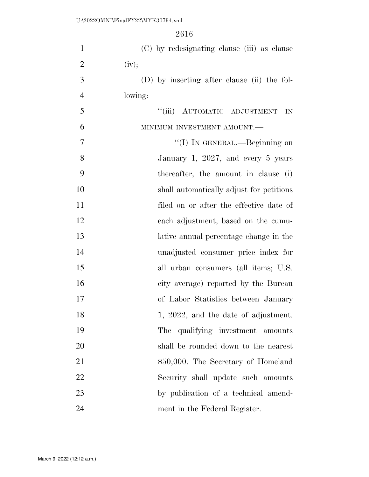| $\mathbf{1}$   | (C) by redesignating clause (iii) as clause |
|----------------|---------------------------------------------|
| $\overline{2}$ | (iv);                                       |
| 3              | (D) by inserting after clause (ii) the fol- |
| $\overline{4}$ | lowing:                                     |
| 5              | "(iii) AUTOMATIC ADJUSTMENT<br>IN           |
| 6              | MINIMUM INVESTMENT AMOUNT.-                 |
| $\overline{7}$ | "(I) IN GENERAL.—Beginning on               |
| 8              | January 1, 2027, and every 5 years          |
| 9              | thereafter, the amount in clause (i)        |
| 10             | shall automatically adjust for petitions    |
| 11             | filed on or after the effective date of     |
| 12             | each adjustment, based on the cumu-         |
| 13             | lative annual percentage change in the      |
| 14             | unadjusted consumer price index for         |
| 15             | all urban consumers (all items; U.S.        |
| 16             | city average) reported by the Bureau        |
| 17             | of Labor Statistics between January         |
| 18             | 1, 2022, and the date of adjustment.        |
| 19             | The<br>qualifying investment amounts        |
| 20             | shall be rounded down to the nearest        |
| 21             | \$50,000. The Secretary of Homeland         |
| 22             | Security shall update such amounts          |
| 23             | by publication of a technical amend-        |
| 24             | ment in the Federal Register.               |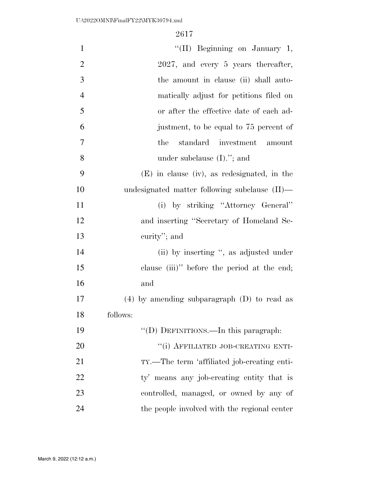| $\mathbf{1}$   | "(II) Beginning on January 1,                   |
|----------------|-------------------------------------------------|
| $\overline{2}$ | 2027, and every 5 years thereafter,             |
| 3              | the amount in clause (ii) shall auto-           |
| $\overline{4}$ | matically adjust for petitions filed on         |
| 5              | or after the effective date of each ad-         |
| 6              | justment, to be equal to 75 percent of          |
| 7              | standard investment amount<br>the               |
| 8              | under subclause $(I)$ ."; and                   |
| 9              | $(E)$ in clause (iv), as redesignated, in the   |
| 10             | undesignated matter following subclause (II)—   |
| 11             | (i) by striking "Attorney General"              |
| 12             | and inserting "Secretary of Homeland Se-        |
| 13             | curity"; and                                    |
| 14             | (ii) by inserting ", as adjusted under          |
| 15             | clause $(iii)$ " before the period at the end;  |
| 16             | and                                             |
| 17             | $(4)$ by amending subparagraph $(D)$ to read as |
| 18             | follows:                                        |
| 19             | "(D) DEFINITIONS.—In this paragraph:            |
| 20             | "(i) AFFILIATED JOB-CREATING ENTI-              |
| 21             | TY.—The term 'affiliated job-creating enti-     |
| 22             | ty' means any job-creating entity that is       |
| 23             | controlled, managed, or owned by any of         |
| 24             | the people involved with the regional center    |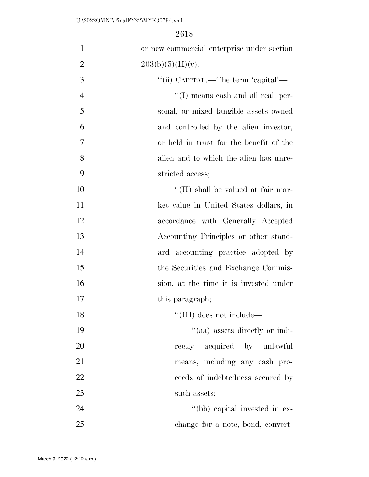| $\mathbf{1}$   | or new commercial enterprise under section |
|----------------|--------------------------------------------|
| $\overline{2}$ | 203(b)(5)(H)(v).                           |
| 3              | "(ii) CAPITAL.—The term 'capital'—         |
| $\overline{4}$ | $\lq\lq$ (I) means cash and all real, per- |
| 5              | sonal, or mixed tangible assets owned      |
| 6              | and controlled by the alien investor,      |
| 7              | or held in trust for the benefit of the    |
| 8              | alien and to which the alien has unre-     |
| 9              | stricted access;                           |
| 10             | $\lq$ (II) shall be valued at fair mar-    |
| 11             | ket value in United States dollars, in     |
| 12             | accordance with Generally Accepted         |
| 13             | Accounting Principles or other stand-      |
| 14             | ard accounting practice adopted by         |
| 15             | the Securities and Exchange Commis-        |
| 16             | sion, at the time it is invested under     |
| 17             | this paragraph;                            |
| 18             | $\lq\lq$ (III) does not include—           |
| 19             | "(aa) assets directly or indi-             |
| 20             | rectly acquired by unlawful                |
| 21             | means, including any cash pro-             |
| 22             | ceeds of indebtedness secured by           |
| 23             | such assets;                               |
| 24             | "(bb) capital invested in ex-              |
| 25             | change for a note, bond, convert-          |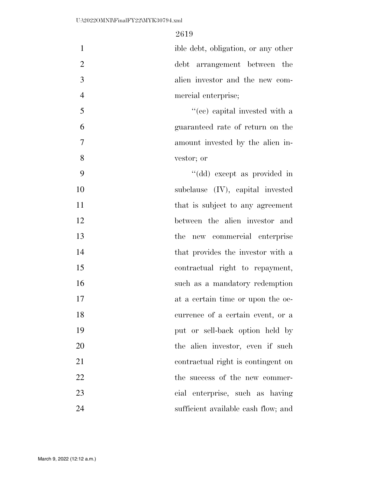| $\mathbf{1}$   | ible debt, obligation, or any other |
|----------------|-------------------------------------|
| $\overline{2}$ | debt arrangement between the        |
| 3              | alien investor and the new com-     |
| $\overline{4}$ | mercial enterprise;                 |
| 5              | "(cc) capital invested with a       |
| 6              | guaranteed rate of return on the    |
| $\tau$         | amount invested by the alien in-    |
| 8              | vestor; or                          |
| 9              | "(dd) except as provided in         |
| 10             | subclause (IV), capital invested    |
| 11             | that is subject to any agreement    |
| 12             | between the alien investor and      |
| 13             | the new commercial enterprise       |
| 14             | that provides the investor with a   |
| 15             | contractual right to repayment,     |
| 16             | such as a mandatory redemption      |
| 17             | at a certain time or upon the oc-   |
| 18             | currence of a certain event, or a   |
| 19             | put or sell-back option held by     |
| 20             | the alien investor, even if such    |
| 21             | contractual right is contingent on  |
| 22             | the success of the new commer-      |
| 23             | cial enterprise, such as having     |
| 24             | sufficient available cash flow; and |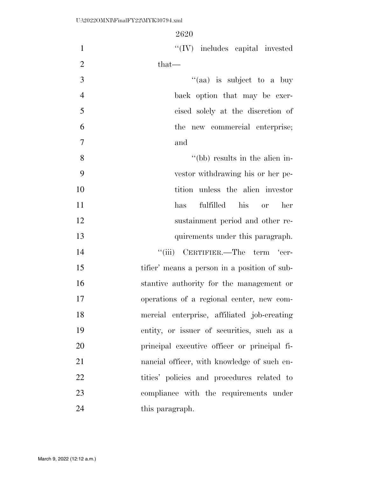| $\mathbf{1}$   | $\lq\lq (IV)$ includes capital invested      |
|----------------|----------------------------------------------|
| $\overline{2}$ | that—                                        |
| 3              | "(aa) is subject to a buy                    |
| $\overline{4}$ | back option that may be exer-                |
| 5              | cised solely at the discretion of            |
| 6              | the new commercial enterprise;               |
| $\overline{7}$ | and                                          |
| 8              | "(bb) results in the alien in-               |
| 9              | vestor withdrawing his or her pe-            |
| 10             | tition unless the alien investor             |
| 11             | fulfilled his<br>has<br>her<br><b>or</b>     |
| 12             | sustainment period and other re-             |
| 13             | quirements under this paragraph.             |
| 14             | "(iii) CERTIFIER.—The term 'cer-             |
| 15             | tifier' means a person in a position of sub- |
| 16             | stantive authority for the management or     |
| 17             | operations of a regional center, new com-    |
| 18             | mercial enterprise, affiliated job-creating  |
| 19             | entity, or issuer of securities, such as a   |
| 20             | principal executive officer or principal fi- |
| 21             | nancial officer, with knowledge of such en-  |
| 22             | tities' policies and procedures related to   |
| 23             | compliance with the requirements under       |
| 24             | this paragraph.                              |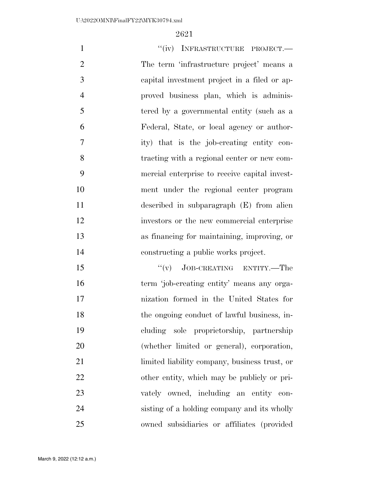| $\mathbf{1}$   | "(iv) INFRASTRUCTURE PROJECT.-                |
|----------------|-----------------------------------------------|
| $\overline{2}$ | The term 'infrastructure project' means a     |
| 3              | capital investment project in a filed or ap-  |
| $\overline{4}$ | proved business plan, which is adminis-       |
| 5              | tered by a governmental entity (such as a     |
| 6              | Federal, State, or local agency or author-    |
| $\overline{7}$ | ity) that is the job-creating entity con-     |
| 8              | tracting with a regional center or new com-   |
| 9              | mercial enterprise to receive capital invest- |
| 10             | ment under the regional center program        |
| 11             | described in subparagraph (E) from alien      |
| 12             | investors or the new commercial enterprise    |
| 13             | as financing for maintaining, improving, or   |
| 14             | constructing a public works project.          |
| 15             | JOB-CREATING ENTITY.—The<br>``(v)             |
| 16             | term 'job-creating entity' means any orga-    |
| 17             | nization formed in the United States for      |
| 18             | the ongoing conduct of lawful business, in-   |
| 19             | cluding sole proprietorship, partnership      |
| 20             | (whether limited or general), corporation,    |

limited liability company, business trust, or

22 other entity, which may be publicly or pri-

vately owned, including an entity con-

 sisting of a holding company and its wholly owned subsidiaries or affiliates (provided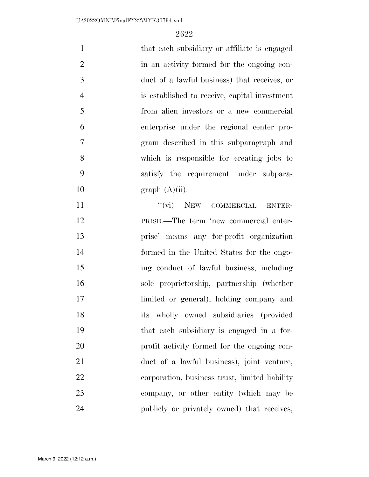| $\mathbf{1}$   | that each subsidiary or affiliate is engaged   |
|----------------|------------------------------------------------|
| $\overline{2}$ | in an activity formed for the ongoing con-     |
| 3              | duct of a lawful business) that receives, or   |
| $\overline{4}$ | is established to receive, capital investment  |
| 5              | from alien investors or a new commercial       |
| 6              | enterprise under the regional center pro-      |
| 7              | gram described in this subparagraph and        |
| 8              | which is responsible for creating jobs to      |
| 9              | satisfy the requirement under subpara-         |
| 10             | graph (A)(ii).                                 |
| 11             | "(vi) NEW COMMERCIAL ENTER-                    |
| 12             | PRISE.—The term 'new commercial enter-         |
| 13             | prise' means any for-profit organization       |
| 14             | formed in the United States for the ongo-      |
| 15             | ing conduct of lawful business, including      |
| 16             | sole proprietorship, partnership (whether      |
| 17             | limited or general), holding company and       |
| 18             | its wholly owned subsidiaries (provided        |
| 19             | that each subsidiary is engaged in a for-      |
| 20             | profit activity formed for the ongoing con-    |
| 21             | duct of a lawful business), joint venture,     |
| 22             | corporation, business trust, limited liability |
| 23             | company, or other entity (which may be         |
| 24             | publicly or privately owned) that receives,    |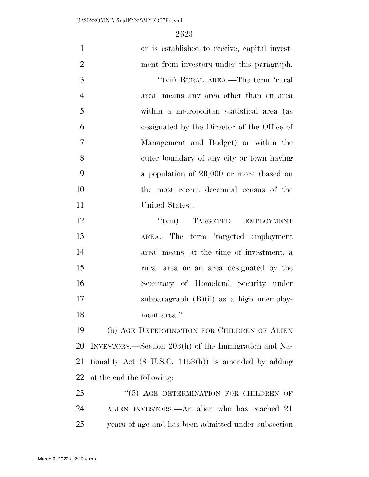| $\mathbf{1}$   | or is established to receive, capital invest-                    |
|----------------|------------------------------------------------------------------|
| $\overline{2}$ | ment from investors under this paragraph.                        |
| 3              | "(vii) RURAL AREA.—The term 'rural                               |
| $\overline{4}$ | area' means any area other than an area                          |
| 5              | within a metropolitan statistical area (as                       |
| 6              | designated by the Director of the Office of                      |
| $\tau$         | Management and Budget) or within the                             |
| 8              | outer boundary of any city or town having                        |
| 9              | a population of $20,000$ or more (based on                       |
| 10             | the most recent decennial census of the                          |
| 11             | United States).                                                  |
| 12             | "(viii) TARGETED EMPLOYMENT                                      |
| 13             | AREA.—The term 'targeted employment                              |
| 14             | area' means, at the time of investment, a                        |
| 15             | rural area or an area designated by the                          |
| 16             | Secretary of Homeland Security under                             |
| 17             | subparagraph $(B)(ii)$ as a high unemploy-                       |
| 18             | ment area.".                                                     |
| 19             | (b) AGE DETERMINATION FOR CHILDREN OF ALIEN                      |
| 20             | INVESTORS.—Section 203(h) of the Immigration and Na-             |
| 21             | tionality Act $(8 \text{ U.S.C. } 1153(h))$ is amended by adding |
| 22             | at the end the following:                                        |
| 23             | $``(5)$ AGE DETERMINATION FOR CHILDREN OF                        |
| 24             | ALIEN INVESTORS.—An alien who has reached 21                     |
| 25             | years of age and has been admitted under subsection              |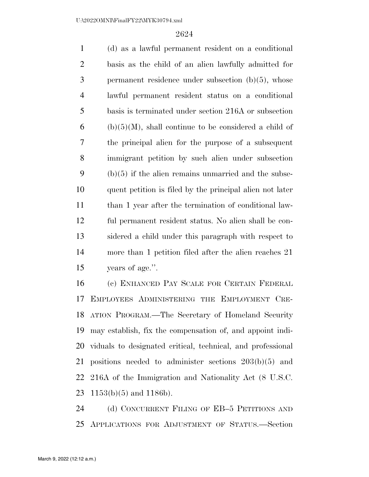(d) as a lawful permanent resident on a conditional basis as the child of an alien lawfully admitted for permanent residence under subsection (b)(5), whose lawful permanent resident status on a conditional basis is terminated under section 216A or subsection (b)(5)(M), shall continue to be considered a child of the principal alien for the purpose of a subsequent immigrant petition by such alien under subsection (b)(5) if the alien remains unmarried and the subse- quent petition is filed by the principal alien not later than 1 year after the termination of conditional law- ful permanent resident status. No alien shall be con- sidered a child under this paragraph with respect to more than 1 petition filed after the alien reaches 21 years of age.''.

 (c) ENHANCED PAY SCALE FOR CERTAIN FEDERAL EMPLOYEES ADMINISTERING THE EMPLOYMENT CRE- ATION PROGRAM.—The Secretary of Homeland Security may establish, fix the compensation of, and appoint indi- viduals to designated critical, technical, and professional positions needed to administer sections 203(b)(5) and 216A of the Immigration and Nationality Act (8 U.S.C.  $1153(b)(5)$  and 1186b).

24 (d) CONCURRENT FILING OF EB-5 PETITIONS AND APPLICATIONS FOR ADJUSTMENT OF STATUS.—Section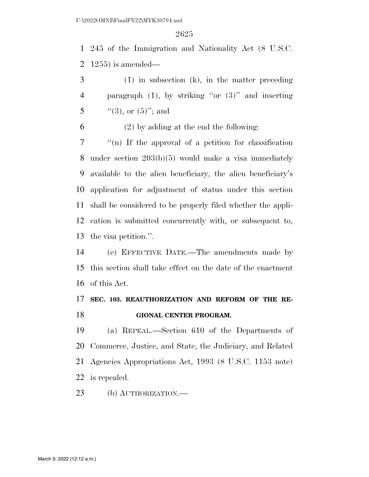245 of the Immigration and Nationality Act (8 U.S.C. 1255) is amended—

 (1) in subsection (k), in the matter preceding paragraph (1), by striking ''or (3)'' and inserting 5  $\frac{1}{3}$ , or  $(5)$ ; and

(2) by adding at the end the following:

 ''(n) If the approval of a petition for classification under section 203(b)(5) would make a visa immediately available to the alien beneficiary, the alien beneficiary's application for adjustment of status under this section shall be considered to be properly filed whether the appli- cation is submitted concurrently with, or subsequent to, the visa petition.''.

 (e) EFFECTIVE DATE.—The amendments made by this section shall take effect on the date of the enactment of this Act.

## **SEC. 103. REAUTHORIZATION AND REFORM OF THE RE-GIONAL CENTER PROGRAM.**

 (a) REPEAL.—Section 610 of the Departments of Commerce, Justice, and State, the Judiciary, and Related Agencies Appropriations Act, 1993 (8 U.S.C. 1153 note) is repealed.

(b) AUTHORIZATION.—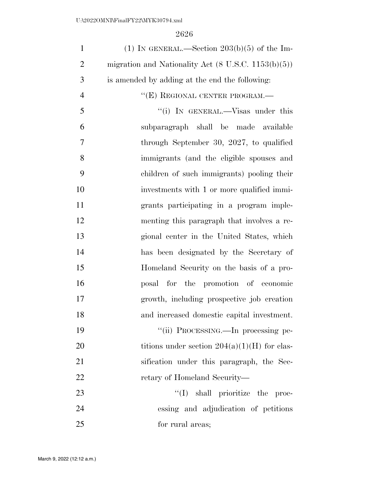| $\mathbf{1}$   | (1) IN GENERAL.—Section $203(b)(5)$ of the Im-                 |
|----------------|----------------------------------------------------------------|
| $\overline{2}$ | migration and Nationality Act $(8 \text{ U.S.C. } 1153(b)(5))$ |
| 3              | is amended by adding at the end the following:                 |
| $\overline{4}$ | "(E) REGIONAL CENTER PROGRAM.—                                 |
| 5              | "(i) IN GENERAL.—Visas under this                              |
| 6              | subparagraph shall be made available                           |
| 7              | through September 30, 2027, to qualified                       |
| 8              | immigrants (and the eligible spouses and                       |
| 9              | children of such immigrants) pooling their                     |
| 10             | investments with 1 or more qualified immi-                     |
| 11             | grants participating in a program imple-                       |
| 12             | menting this paragraph that involves a re-                     |
| 13             | gional center in the United States, which                      |
| 14             | has been designated by the Secretary of                        |
| 15             | Homeland Security on the basis of a pro-                       |
| 16             | posal for the promotion of economic                            |
| 17             | growth, including prospective job creation                     |
| 18             | and increased domestic capital investment.                     |
| 19             | "(ii) PROCESSING.—In processing pe-                            |
| 20             | titions under section $204(a)(1)(H)$ for clas-                 |
| 21             | sification under this paragraph, the Sec-                      |
| 22             | retary of Homeland Security—                                   |
| 23             | "(I) shall prioritize the proc-                                |
| 24             | essing and adjudication of petitions                           |
| 25             | for rural areas;                                               |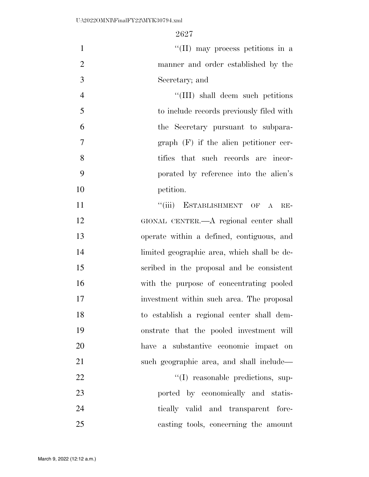| $\mathbf{1}$   | $\lq\lq$ (II) may process petitions in a    |
|----------------|---------------------------------------------|
| $\mathfrak{2}$ | manner and order established by the         |
| 3              | Secretary; and                              |
| $\overline{4}$ | "(III) shall deem such petitions            |
| 5              | to include records previously filed with    |
| 6              | the Secretary pursuant to subpara-          |
| $\overline{7}$ | $graph$ (F) if the alien petitioner cer-    |
| 8              | tifies that such records are incor-         |
| 9              | porated by reference into the alien's       |
| 10             | petition.                                   |
| 11             | "(iii) ESTABLISHMENT OF A<br>$RE-$          |
| 12             | GIONAL CENTER.—A regional center shall      |
| 13             | operate within a defined, contiguous, and   |
| 14             | limited geographic area, which shall be de- |
| 15             | scribed in the proposal and be consistent   |
| 16             | with the purpose of concentrating pooled    |
| 17             | investment within such area. The proposal   |
| 18             | to establish a regional center shall dem-   |
| 19             | onstrate that the pooled investment will    |
| 20             | have a substantive economic impact on       |
| 21             | such geographic area, and shall include—    |
| 22             | "(I) reasonable predictions, sup-           |
| 23             | ported by economically and statis-          |
| 24             | tically valid and transparent fore-         |
| 25             | casting tools, concerning the amount        |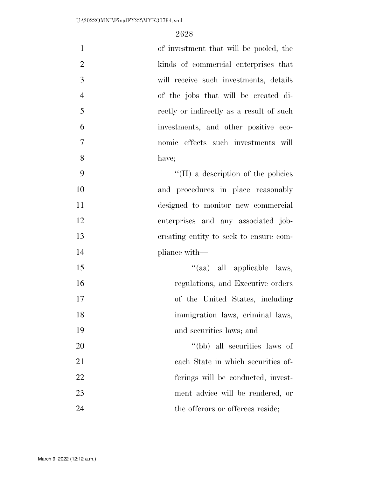| $\mathbf{1}$   | of investment that will be pooled, the      |
|----------------|---------------------------------------------|
| $\overline{2}$ | kinds of commercial enterprises that        |
| 3              | will receive such investments, details      |
| $\overline{4}$ | of the jobs that will be created di-        |
| 5              | rectly or indirectly as a result of such    |
| 6              | investments, and other positive eco-        |
| $\overline{7}$ | nomic effects such investments will         |
| 8              | have;                                       |
| 9              | $\lq\lq$ (II) a description of the policies |
| 10             | and procedures in place reasonably          |
| 11             | designed to monitor new commercial          |
| 12             | enterprises and any associated job-         |
| 13             | creating entity to seek to ensure com-      |
| 14             | pliance with—                               |
| 15             | "(aa) all applicable laws,                  |
| 16             | regulations, and Executive orders           |
| 17             | of the United States, including             |
| 18             | immigration laws, criminal laws,            |
| 19             | and securities laws; and                    |
| 20             | "(bb) all securities laws of                |
| 21             | each State in which securities of-          |
| 22             | ferings will be conducted, invest-          |
| 23             | ment advice will be rendered, or            |
| 24             | the offerors or offerees reside;            |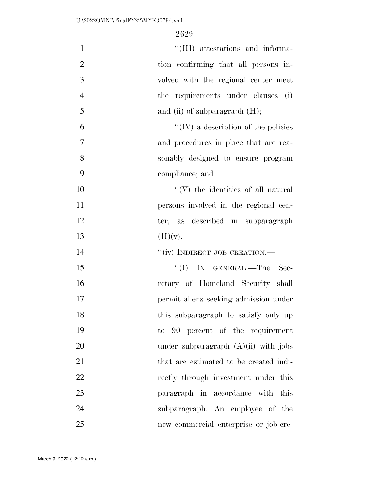| $\mathbf{1}$   | "(III) attestations and informa-            |
|----------------|---------------------------------------------|
| $\overline{2}$ | tion confirming that all persons in-        |
| 3              | volved with the regional center meet        |
| $\overline{4}$ | the requirements under clauses (i)          |
| 5              | and (ii) of subparagraph $(H)$ ;            |
| 6              | $\lq\lq$ (IV) a description of the policies |
| 7              | and procedures in place that are rea-       |
| 8              | sonably designed to ensure program          |
| 9              | compliance; and                             |
| 10             | $\lq\lq(V)$ the identities of all natural   |
| 11             | persons involved in the regional cen-       |
| 12             | ter, as described in subparagraph           |
| 13             | (H)(v).                                     |
| 14             | "(iv) INDIRECT JOB CREATION.-               |
| 15             | $\lq\lq$ (I) IN GENERAL.—The<br>- Sec-      |
| 16             | retary of Homeland Security shall           |
| 17             | permit aliens seeking admission under       |
| 18             | this subparagraph to satisfy only up        |
| 19             | to 90 percent of the requirement            |
| 20             | under subparagraph $(A)(ii)$ with jobs      |
| 21             | that are estimated to be created indi-      |
| 22             | rectly through investment under this        |
| 23             | paragraph in accordance with<br>this        |
| 24             | subparagraph. An employee of the            |
| 25             | new commercial enterprise or job-cre-       |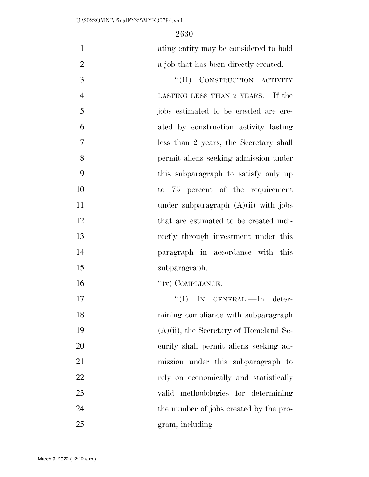ating entity may be considered to hold 2 a job that has been directly created.

3 "(II) CONSTRUCTION ACTIVITY LASTING LESS THAN 2 YEARS.—If the jobs estimated to be created are cre- ated by construction activity lasting less than 2 years, the Secretary shall permit aliens seeking admission under this subparagraph to satisfy only up to 75 percent of the requirement 11 under subparagraph  $(A)(ii)$  with jobs that are estimated to be created indi- rectly through investment under this paragraph in accordance with this subparagraph.

 $(1)$  COMPLIANCE.

 ''(I) IN GENERAL.—In deter- mining compliance with subparagraph (A)(ii), the Secretary of Homeland Se- curity shall permit aliens seeking ad- mission under this subparagraph to 22 rely on economically and statistically valid methodologies for determining 24 the number of jobs created by the pro-gram, including—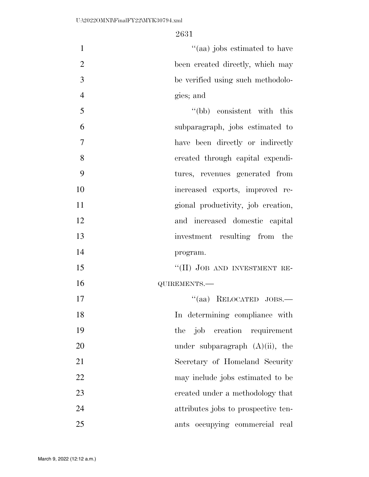| $\mathbf{1}$   | "(aa) jobs estimated to have        |
|----------------|-------------------------------------|
| $\overline{2}$ | been created directly, which may    |
| 3              | be verified using such methodolo-   |
| $\overline{4}$ | gies; and                           |
| 5              | "(bb) consistent with this          |
| 6              | subparagraph, jobs estimated to     |
| $\overline{7}$ | have been directly or indirectly    |
| 8              | created through capital expendi-    |
| 9              | tures, revenues generated from      |
| 10             | increased exports, improved re-     |
| 11             | gional productivity, job creation,  |
| 12             | and increased domestic capital      |
| 13             | investment resulting from the       |
| 14             | program.                            |
| 15             | "(II) JOB AND INVESTMENT RE-        |
| 16             | QUIREMENTS.-                        |
| 17             | "(aa) RELOCATED JOBS.-              |
| 18             | In determining compliance with      |
| 19             | job creation requirement<br>the     |
| 20             | under subparagraph $(A)(ii)$ , the  |
| 21             | Secretary of Homeland Security      |
| 22             | may include jobs estimated to be    |
| 23             | created under a methodology that    |
| 24             | attributes jobs to prospective ten- |
| 25             | ants occupying commercial real      |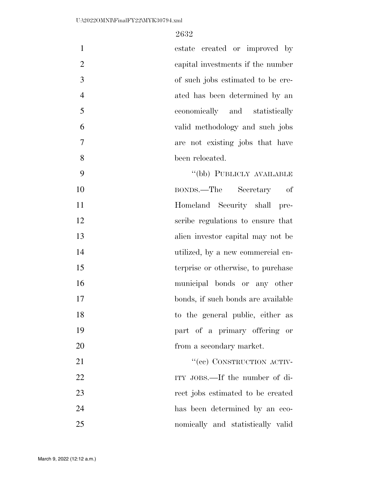| $\mathbf{1}$   | estate created or improved by      |
|----------------|------------------------------------|
| $\overline{2}$ | capital investments if the number  |
| 3              | of such jobs estimated to be cre-  |
| $\overline{4}$ | ated has been determined by an     |
| 5              | economically and statistically     |
| 6              | valid methodology and such jobs    |
| 7              | are not existing jobs that have    |
| 8              | been relocated.                    |
| 9              | "(bb) PUBLICLY AVAILABLE           |
| 10             | BONDS.—The Secretary of            |
| 11             | Homeland Security shall<br>pre-    |
| 12             | scribe regulations to ensure that  |
| 13             | alien investor capital may not be  |
| 14             | utilized, by a new commercial en-  |
| 15             | terprise or otherwise, to purchase |
| 16             | municipal bonds or any other       |
| 17             | bonds, if such bonds are available |
| 18             | to the general public, either as   |
| 19             | part of a primary offering or      |
| 20             | from a secondary market.           |
| 21             | "(ee) CONSTRUCTION ACTIV-          |
| 22             | ITY JOBS.—If the number of di-     |

 rect jobs estimated to be created has been determined by an eco-nomically and statistically valid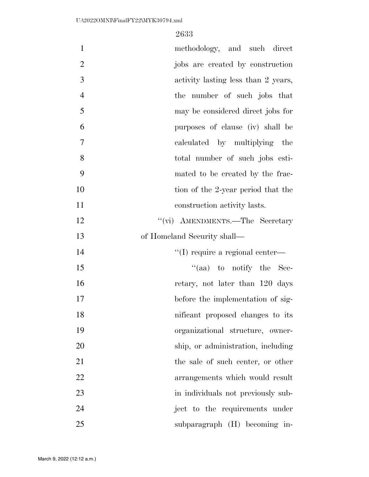| $\mathbf{1}$   | methodology, and such direct            |
|----------------|-----------------------------------------|
| $\overline{2}$ | jobs are created by construction        |
| 3              | activity lasting less than 2 years,     |
| $\overline{4}$ | the number of such jobs that            |
| 5              | may be considered direct jobs for       |
| 6              | purposes of clause (iv) shall be        |
| $\tau$         | calculated by multiplying the           |
| 8              | total number of such jobs esti-         |
| 9              | mated to be created by the frac-        |
| 10             | tion of the 2-year period that the      |
| 11             | construction activity lasts.            |
| 12             | "(vi) AMENDMENTS.—The Secretary         |
| 13             | of Homeland Security shall—             |
| 14             | $\lq\lq$ (I) require a regional center— |
| 15             | "(aa) to notify the Sec-                |
| 16             | retary, not later than 120 days         |
| 17             | before the implementation of sig-       |
| 18             | nificant proposed changes to its        |
| 19             | organizational structure, owner-        |
| 20             | ship, or administration, including      |
| 21             | the sale of such center, or other       |
| 22             | arrangements which would result         |
| 23             | in individuals not previously sub-      |
| 24             | ject to the requirements under          |
| 25             | subparagraph (H) becoming in-           |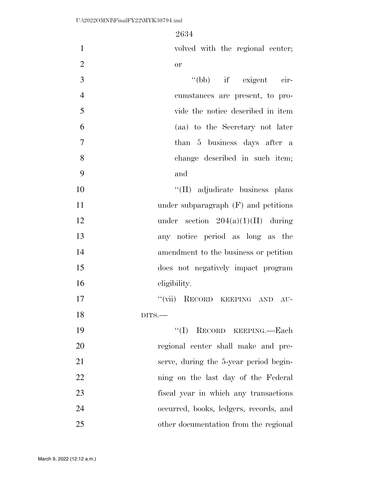| $\mathbf{1}$   | volved with the regional center;       |
|----------------|----------------------------------------|
| $\overline{2}$ | <b>or</b>                              |
| 3              | "(bb) if exigent cir-                  |
| $\overline{4}$ | cumstances are present, to pro-        |
| 5              | vide the notice described in item      |
| 6              | (aa) to the Secretary not later        |
| $\overline{7}$ | than 5 business days after a           |
| 8              | change described in such item;         |
| 9              | and                                    |
| 10             | "(II) adjudicate business plans        |
| 11             | under subparagraph $(F)$ and petitions |
| 12             | under section $204(a)(1)(H)$ during    |
| 13             | any notice period as long as the       |
| 14             | amendment to the business or petition  |
| 15             | does not negatively impact program     |
| 16             | eligibility.                           |
| 17             | "(vii) RECORD KEEPING AND AU-          |
| 18             | $_{\rm DITS.}$                         |
| 19             | "(I) RECORD KEEPING.—Each              |
| 20             | regional center shall make and pre-    |
| 21             | serve, during the 5-year period begin- |
| 22             | ning on the last day of the Federal    |
| 23             | fiscal year in which any transactions  |
| 24             | occurred, books, ledgers, records, and |
| 25             | other documentation from the regional  |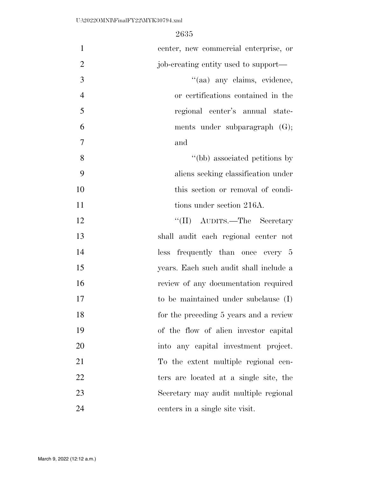| $\mathbf{1}$   | center, new commercial enterprise, or  |
|----------------|----------------------------------------|
| $\overline{2}$ | job-creating entity used to support—   |
| 3              | "(aa) any claims, evidence,            |
| $\overline{4}$ | or certifications contained in the     |
| 5              | regional center's annual state-        |
| 6              | ments under subparagraph $(G);$        |
| $\overline{7}$ | and                                    |
| 8              | "(bb) associated petitions by          |
| 9              | aliens seeking classification under    |
| 10             | this section or removal of condi-      |
| 11             | tions under section 216A.              |
| 12             | "(II) AUDITS.—The Secretary            |
| 13             | shall audit each regional center not   |
| 14             | less frequently than once every 5      |
| 15             | years. Each such audit shall include a |
| 16             | review of any documentation required   |
| 17             | to be maintained under subclause (I)   |
| 18             | for the preceding 5 years and a review |
| 19             | of the flow of alien investor capital  |
| 20             | into any capital investment project.   |
| 21             | To the extent multiple regional cen-   |
| 22             | ters are located at a single site, the |
| 23             | Secretary may audit multiple regional  |
| 24             | centers in a single site visit.        |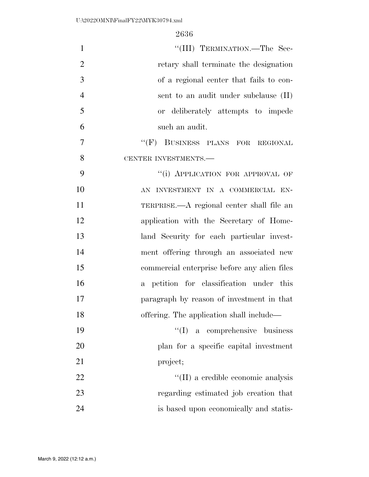| $\mathbf{1}$   | "(III) TERMINATION.—The Sec-                 |
|----------------|----------------------------------------------|
| $\overline{2}$ | retary shall terminate the designation       |
| 3              | of a regional center that fails to con-      |
| $\overline{4}$ | sent to an audit under subclause (II)        |
| 5              | or deliberately attempts to impede           |
| 6              | such an audit.                               |
| $\overline{7}$ | "(F) BUSINESS PLANS FOR REGIONAL             |
| 8              | CENTER INVESTMENTS.-                         |
| 9              | "(i) APPLICATION FOR APPROVAL OF             |
| 10             | AN INVESTMENT IN A COMMERCIAL EN-            |
| 11             | TERPRISE.—A regional center shall file an    |
| 12             | application with the Secretary of Home-      |
| 13             | land Security for each particular invest-    |
| 14             | ment offering through an associated new      |
| 15             | commercial enterprise before any alien files |
| 16             | a petition for classification under this     |
| 17             | paragraph by reason of investment in that    |
| 18             | offering. The application shall include—     |
| 19             | $\lq\lq$ (I) a comprehensive business        |
| 20             | plan for a specific capital investment       |
| 21             | project;                                     |
| 22             | "(II) a credible economic analysis           |
| 23             | regarding estimated job creation that        |
| 24             | is based upon economically and statis-       |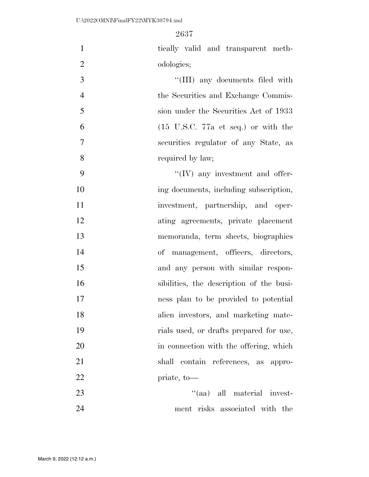tically valid and transparent meth-odologies;

3 ''(III) any documents filed with the Securities and Exchange Commis- sion under the Securities Act of 1933 (15 U.S.C. 77a et seq.) or with the securities regulator of any State, as required by law;

 $\mathcal{P}$   $\mathcal{P}$   $\mathcal{P}$   $\mathcal{P}$   $\mathcal{P}$   $\mathcal{P}$  any investment and offer-10 ing documents, including subscription, 11 investment, partnership, and oper- ating agreements, private placement memoranda, term sheets, biographies of management, officers, directors, and any person with similar respon- sibilities, the description of the busi- ness plan to be provided to potential alien investors, and marketing mate- rials used, or drafts prepared for use, 20 in connection with the offering, which shall contain references, as appro-priate, to—

23 ''(aa) all material invest-ment risks associated with the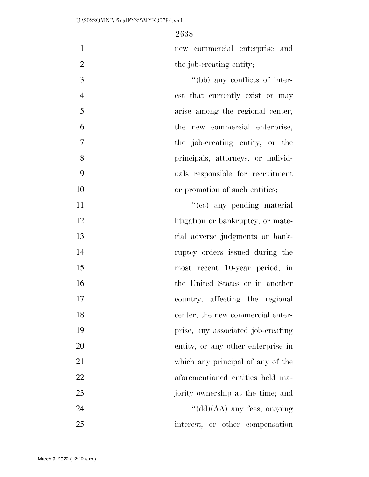new commercial enterprise and 2 the job-creating entity;

 $''(bb)$  any conflicts of inter- est that currently exist or may arise among the regional center, the new commercial enterprise, the job-creating entity, or the principals, attorneys, or individ- uals responsible for recruitment 10 or promotion of such entities;

 $"({\rm cc})$  any pending material 12 litigation or bankruptcy, or mate- rial adverse judgments or bank- ruptcy orders issued during the most recent 10-year period, in the United States or in another country, affecting the regional 18 center, the new commercial enter- prise, any associated job-creating entity, or any other enterprise in which any principal of any of the aforementioned entities held ma-23 jority ownership at the time; and ''(dd)(AA) any fees, ongoing interest, or other compensation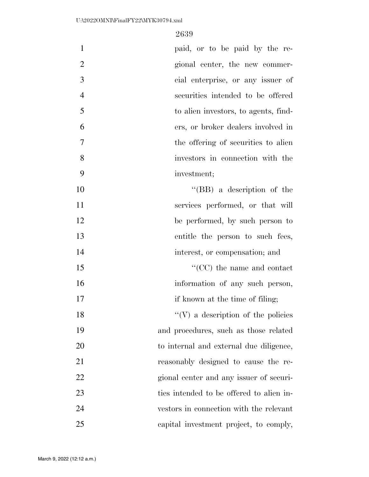| $\mathbf{1}$   | paid, or to be paid by the re-            |
|----------------|-------------------------------------------|
| $\overline{2}$ | gional center, the new commer-            |
| 3              | cial enterprise, or any issuer of         |
| $\overline{4}$ | securities intended to be offered         |
| 5              | to alien investors, to agents, find-      |
| 6              | ers, or broker dealers involved in        |
| 7              | the offering of securities to alien       |
| 8              | investors in connection with the          |
| 9              | investment;                               |
| 10             | "(BB) a description of the                |
| 11             | services performed, or that will          |
| 12             | be performed, by such person to           |
| 13             | entitle the person to such fees,          |
| 14             | interest, or compensation; and            |
| 15             | $\lq\lq$ (CC) the name and contact        |
| 16             | information of any such person,           |
| 17             | if known at the time of filing;           |
| 18             | $\lq\lq(V)$ a description of the policies |
| 19             | and procedures, such as those related     |
| 20             | to internal and external due diligence,   |
| 21             | reasonably designed to cause the re-      |
| 22             | gional center and any issuer of securi-   |
| 23             | ties intended to be offered to alien in-  |
| 24             | vestors in connection with the relevant   |
| 25             | capital investment project, to comply,    |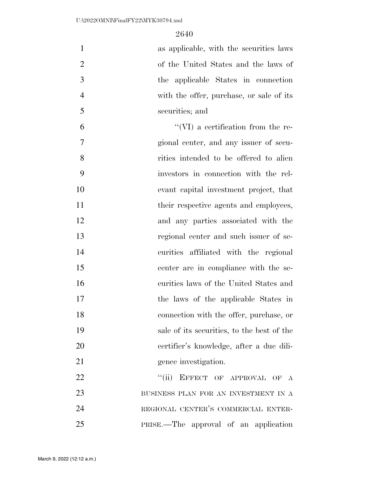| $\mathbf{1}$   | as applicable, with the securities laws    |
|----------------|--------------------------------------------|
| $\overline{2}$ | of the United States and the laws of       |
| 3              | the applicable States in connection        |
| $\overline{4}$ | with the offer, purchase, or sale of its   |
| 5              | securities; and                            |
| 6              | $\lq\lq$ (VI) a certification from the re- |
| 7              | gional center, and any issuer of secu-     |
| 8              | rities intended to be offered to alien     |
| 9              | investors in connection with the rel-      |
| 10             | evant capital investment project, that     |
| 11             | their respective agents and employees,     |
| 12             | and any parties associated with the        |
| 13             | regional center and such issuer of se-     |
| 14             | curities affiliated with the regional      |
| 15             | center are in compliance with the se-      |
| 16             | curities laws of the United States and     |
| 17             | the laws of the applicable States in       |
| 18             | connection with the offer, purchase, or    |
| 19             | sale of its securities, to the best of the |
| 20             | eertifier's knowledge, after a due dili-   |
| 21             | gence investigation.                       |
| 22             | "(ii) EFFECT OF APPROVAL OF A              |
| 23             | BUSINESS PLAN FOR AN INVESTMENT IN A       |
| 24             | REGIONAL CENTER'S COMMERCIAL ENTER-        |
| 25             | PRISE.—The approval of an application      |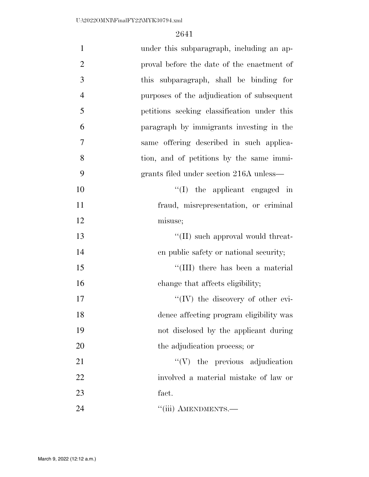| $\mathbf{1}$   | under this subparagraph, including an ap-   |
|----------------|---------------------------------------------|
| $\overline{2}$ | proval before the date of the enactment of  |
| 3              | this subparagraph, shall be binding for     |
| $\overline{4}$ | purposes of the adjudication of subsequent  |
| 5              | petitions seeking classification under this |
| 6              | paragraph by immigrants investing in the    |
| 7              | same offering described in such applica-    |
| 8              | tion, and of petitions by the same immi-    |
| 9              | grants filed under section 216A unless—     |
| 10             | $\lq\lq$ (I) the applicant engaged in       |
| 11             | fraud, misrepresentation, or criminal       |
| 12             | misuse;                                     |
| 13             | "(II) such approval would threat-           |
| 14             | en public safety or national security;      |
| 15             | "(III) there has been a material            |
| 16             | change that affects eligibility;            |
| 17             | "(IV) the discovery of other evi-           |
| 18             | dence affecting program eligibility was     |
| 19             | not disclosed by the applicant during       |
| 20             | the adjudication process; or                |
| 21             | $``(V)$ the previous adjudication           |
| 22             | involved a material mistake of law or       |
| 23             | fact.                                       |
| 24             | "(iii) AMENDMENTS.-                         |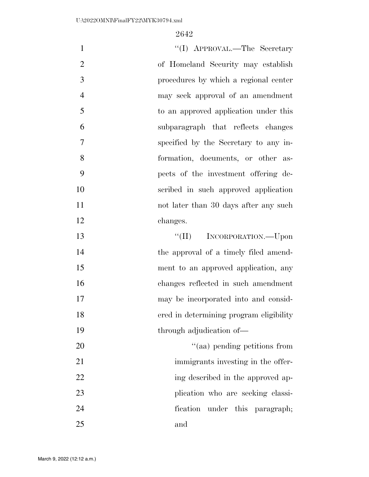| $\mathbf{1}$   | "(I) APPROVAL.—The Secretary            |
|----------------|-----------------------------------------|
| $\overline{2}$ | of Homeland Security may establish      |
| 3              | procedures by which a regional center   |
| $\overline{4}$ | may seek approval of an amendment       |
| 5              | to an approved application under this   |
| 6              | subparagraph that reflects changes      |
| 7              | specified by the Secretary to any in-   |
| 8              | formation, documents, or other as-      |
| 9              | pects of the investment offering de-    |
| 10             | scribed in such approved application    |
| 11             | not later than 30 days after any such   |
| 12             | changes.                                |
| 13             | "(II) INCORPORATION.—Upon               |
| 14             | the approval of a timely filed amend-   |
| 15             | ment to an approved application, any    |
| 16             | changes reflected in such amendment     |
| 17             | may be incorporated into and consid-    |
| 18             | ered in determining program eligibility |
| 19             | through adjudication of-                |
| 20             | "(aa) pending petitions from            |
| 21             | immigrants investing in the offer-      |
| 22             | ing described in the approved ap-       |
| 23             | plication who are seeking classi-       |
| 24             | under this paragraph;<br>fication       |
| 25             | and                                     |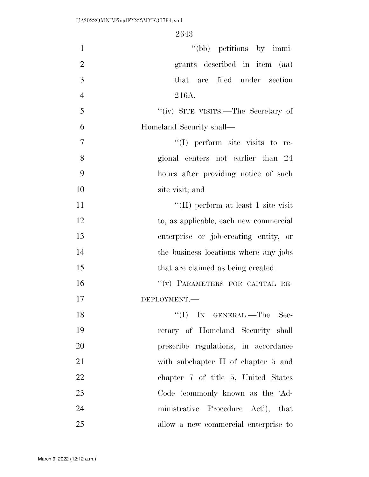| $\mathbf{1}$   | "(bb) petitions by immi-               |
|----------------|----------------------------------------|
| $\overline{2}$ | grants described in item (aa)          |
| 3              | are filed under section<br>that        |
| $\overline{4}$ | 216A.                                  |
| 5              | "(iv) SITE VISITS.—The Secretary of    |
| 6              | Homeland Security shall—               |
| $\overline{7}$ | $\lq(1)$ perform site visits to re-    |
| 8              | gional centers not earlier than 24     |
| 9              | hours after providing notice of such   |
| 10             | site visit; and                        |
| 11             | "(II) perform at least 1 site visit    |
| 12             | to, as applicable, each new commercial |
| 13             | enterprise or job-creating entity, or  |
| 14             | the business locations where any jobs  |
| 15             | that are claimed as being created.     |
| 16             | "(v) PARAMETERS FOR CAPITAL RE-        |
| 17             | DEPLOYMENT.-                           |
| 18             | $``(I)$ IN GENERAL.—The Sec-           |
| 19             | retary of Homeland Security shall      |
| 20             | prescribe regulations, in accordance   |
| 21             | with subchapter II of chapter 5 and    |
| 22             | chapter 7 of title 5, United States    |
| 23             | Code (commonly known as the 'Ad-       |
| 24             | ministrative Procedure Act'), that     |
| 25             | allow a new commercial enterprise to   |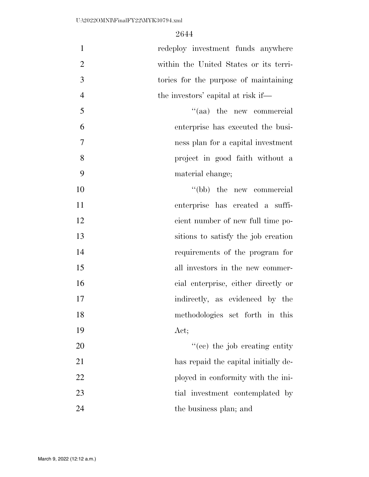| $\mathbf{1}$     | redeploy investment funds anywhere     |
|------------------|----------------------------------------|
| $\overline{2}$   | within the United States or its terri- |
| 3                | tories for the purpose of maintaining  |
| $\overline{4}$   | the investors' capital at risk if—     |
| 5                | "(aa) the new commercial               |
| 6                | enterprise has executed the busi-      |
| $\boldsymbol{7}$ | ness plan for a capital investment     |
| 8                | project in good faith without a        |
| 9                | material change;                       |
| 10               | "(bb) the new commercial               |
| 11               | enterprise has created a suffi-        |
| 12               | cient number of new full time po-      |
| 13               | sitions to satisfy the job creation    |
| 14               | requirements of the program for        |
| 15               | all investors in the new commer-       |
| 16               | cial enterprise, either directly or    |
| 17               | indirectly, as evidenced by the        |
| 18               | methodologies set forth in this        |
| 19               | Act;                                   |
| 20               | "(ce) the job creating entity"         |
| 21               | has repaid the capital initially de-   |
| 22               | ployed in conformity with the ini-     |
| 23               | tial investment contemplated by        |
| 24               | the business plan; and                 |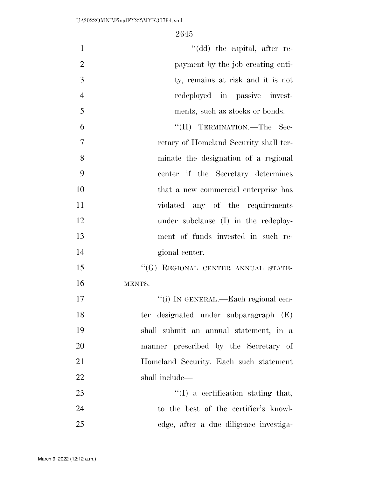| $\mathbf{1}$   | "(dd) the capital, after re-           |
|----------------|----------------------------------------|
| $\overline{2}$ | payment by the job creating enti-      |
| 3              | ty, remains at risk and it is not      |
| $\overline{4}$ | redeployed in passive invest-          |
| 5              | ments, such as stocks or bonds.        |
| 6              | "(II) TERMINATION.—The Sec-            |
| $\overline{7}$ | retary of Homeland Security shall ter- |
| 8              | minate the designation of a regional   |
| 9              | center if the Secretary determines     |
| 10             | that a new commercial enterprise has   |
| 11             | violated any of the requirements       |
| 12             | under subclause (I) in the redeploy-   |
| 13             | ment of funds invested in such re-     |
| 14             | gional center.                         |
| 15             | "(G) REGIONAL CENTER ANNUAL STATE-     |
| 16             | MENTS.                                 |
| 17             | "(i) IN GENERAL.—Each regional cen-    |
| 18             | ter designated under subparagraph (E)  |
| 19             | shall submit an annual statement, in a |
| 20             | manner prescribed by the Secretary of  |
| 21             | Homeland Security. Each such statement |
| 22             | shall include—                         |
| 23             | $\lq\lq$ a certification stating that, |
| 24             | to the best of the certifier's knowl-  |
| 25             | edge, after a due diligence investiga- |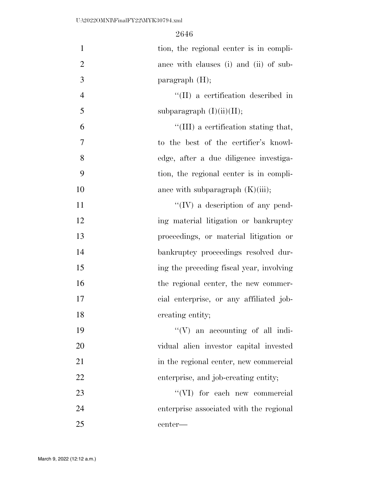| $\mathbf{1}$   | tion, the regional center is in compli-  |
|----------------|------------------------------------------|
| $\overline{2}$ | ance with clauses (i) and (ii) of sub-   |
| 3              | paragraph $(H)$ ;                        |
| $\overline{4}$ | "(II) a certification described in       |
| 5              | subparagraph $(I)(ii)(II);$              |
| 6              | "(III) a certification stating that,     |
| 7              | to the best of the certifier's knowl-    |
| 8              | edge, after a due diligence investiga-   |
| 9              | tion, the regional center is in compli-  |
| 10             | ance with subparagraph $(K)(iii)$ ;      |
| 11             | $\lq\lq (IV)$ a description of any pend- |
| 12             | ing material litigation or bankruptcy    |
| 13             | proceedings, or material litigation or   |
| 14             | bankruptcy proceedings resolved dur-     |
| 15             | ing the preceding fiscal year, involving |
| 16             | the regional center, the new commer-     |
| 17             | cial enterprise, or any affiliated job-  |
| 18             | creating entity;                         |
| 19             | "(V) an accounting of all indi-          |
| 20             | vidual alien investor capital invested   |
| 21             | in the regional center, new commercial   |
| 22             | enterprise, and job-creating entity;     |
| 23             | "(VI) for each new commercial            |
| 24             | enterprise associated with the regional  |
| 25             | center-                                  |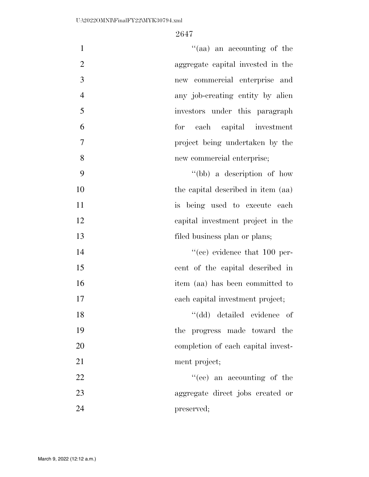| $\mathbf{1}$   | "(aa) an accounting of the           |
|----------------|--------------------------------------|
| $\mathbf{2}$   | aggregate capital invested in the    |
| 3              | new commercial enterprise and        |
| $\overline{4}$ | any job-creating entity by alien     |
| 5              | investors under this paragraph       |
| 6              | for each capital investment          |
| 7              | project being undertaken by the      |
| 8              | new commercial enterprise;           |
| 9              | "(bb) a description of how           |
| 10             | the capital described in item (aa)   |
| 11             | is being used to execute each        |
| 12             | capital investment project in the    |
| 13             | filed business plan or plans;        |
| 14             | $\lq\lq$ (ce) evidence that 100 per- |
| 15             | cent of the capital described in     |
| 16             | item (aa) has been committed to      |
| 17             | each capital investment project;     |
| 18             | "(dd) detailed evidence of           |
| 19             | the progress made toward the         |
| 20             | completion of each capital invest-   |
| 21             | ment project;                        |
| 22             | "(ee) an accounting of the           |
| 23             | aggregate direct jobs created or     |
| 24             |                                      |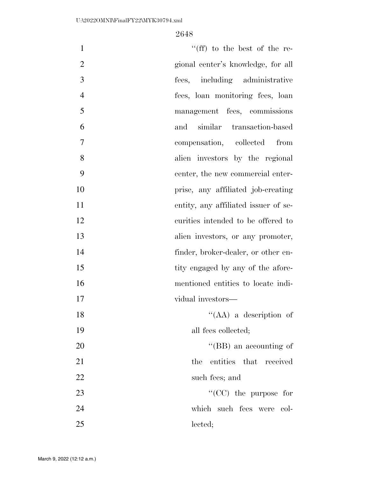| $\mathbf{1}$   | "(ff) to the best of the re-         |
|----------------|--------------------------------------|
| $\overline{2}$ | gional center's knowledge, for all   |
| 3              | fees, including administrative       |
| $\overline{4}$ | fees, loan monitoring fees, loan     |
| 5              | management fees, commissions         |
| 6              | similar transaction-based<br>and     |
| 7              | compensation, collected<br>from      |
| 8              | alien investors by the regional      |
| 9              | center, the new commercial enter-    |
| 10             | prise, any affiliated job-creating   |
| 11             | entity, any affiliated issuer of se- |
| 12             | curities intended to be offered to   |
| 13             | alien investors, or any promoter,    |
| 14             | finder, broker-dealer, or other en-  |
| 15             | tity engaged by any of the afore-    |
| 16             | mentioned entities to locate indi-   |
| 17             | vidual investors—                    |
| 18             | $\lq\lq (AA)$ a description of       |
| 19             | all fees collected;                  |
| 20             | "(BB) an accounting of               |
| 21             | entities that received<br>the        |
| 22             | such fees; and                       |
| 23             | "( $CC$ ) the purpose for            |
| 24             | which such fees were<br>- col-       |
| 25             | lected;                              |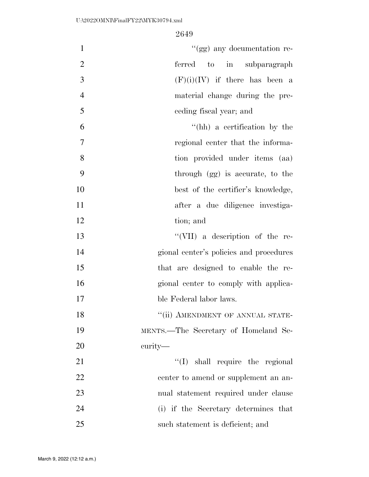| $\mathbf{1}$   | "(gg) any documentation re-             |
|----------------|-----------------------------------------|
| $\mathfrak{2}$ | ferred<br>to in subparagraph            |
| 3              | $(F)(i)(IV)$ if there has been a        |
| $\overline{4}$ | material change during the pre-         |
| 5              | ceding fiscal year; and                 |
| 6              | "(hh) a certification by the            |
| $\overline{7}$ | regional center that the informa-       |
| 8              | tion provided under items (aa)          |
| 9              | through (gg) is accurate, to the        |
| 10             | best of the certifier's knowledge,      |
| 11             | after a due diligence investiga-        |
| 12             | tion; and                               |
| 13             | "(VII) a description of the re-         |
| 14             | gional center's policies and procedures |
| 15             | that are designed to enable the re-     |
| 16             | gional center to comply with applica-   |
| 17             | ble Federal labor laws.                 |
| 18             | "(ii) AMENDMENT OF ANNUAL STATE-        |
| 19             | MENTS.—The Secretary of Homeland Se-    |
| 20             | curity—                                 |
| 21             | "(I) shall require the regional         |
| 22             | center to amend or supplement an an-    |
| 23             | nual statement required under clause    |
| 24             | (i) if the Secretary determines that    |
| 25             | such statement is deficient; and        |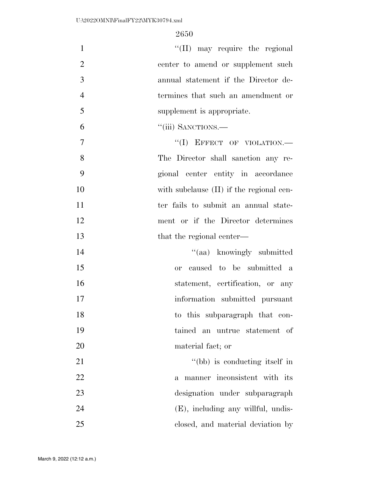$\text{``(II)}$  may require the regional 2 center to amend or supplement such annual statement if the Director de- termines that such an amendment or supplement is appropriate.

6 "(iii) SANCTIONS.—

7 "(I) EFFECT OF VIOLATION.— 8 The Director shall sanction any re-9 gional center entity in accordance 10 with subclause (II) if the regional cen-11 ter fails to submit an annual state-12 ment or if the Director determines 13 that the regional center—

14 ''(aa) knowingly submitted or caused to be submitted a 16 statement, certification, or any information submitted pursuant to this subparagraph that con- tained an untrue statement of material fact; or

21 ''(bb) is conducting itself in a manner inconsistent with its designation under subparagraph (E), including any willful, undis-closed, and material deviation by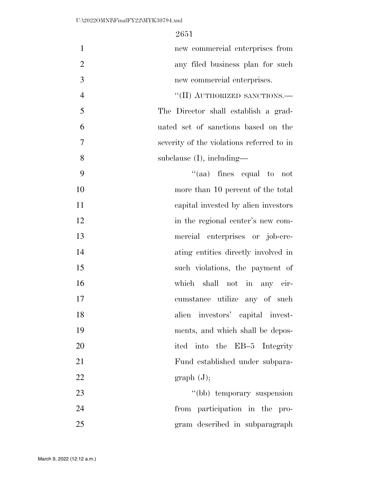| $\mathbf{1}$   | new commercial enterprises from           |
|----------------|-------------------------------------------|
| $\overline{2}$ | any filed business plan for such          |
| 3              | new commercial enterprises.               |
| $\overline{4}$ | $``(II)$ AUTHORIZED SANCTIONS.—           |
| 5              | The Director shall establish a grad-      |
| 6              | uated set of sanctions based on the       |
| 7              | severity of the violations referred to in |
| 8              | subclause $(I)$ , including—              |
| 9              | $\lq(aa)$ fines equal to not              |
| 10             | more than 10 percent of the total         |
| 11             | capital invested by alien investors       |
| 12             | in the regional center's new com-         |
| 13             | mercial enterprises or job-cre-           |
| 14             | ating entities directly involved in       |
| 15             | such violations, the payment of           |
| 16             | which shall not in any cir-               |
| 17             | cumstance utilize any of such             |
| 18             | alien investors' capital invest-          |
| 19             | ments, and which shall be depos-          |
| 20             | ited into the EB-5 Integrity              |
| 21             | Fund established under subpara-           |
| 22             | graph (J);                                |
| 23             | "(bb) temporary suspension                |
| 24             | from participation in the pro-            |
| 25             | gram described in subparagraph            |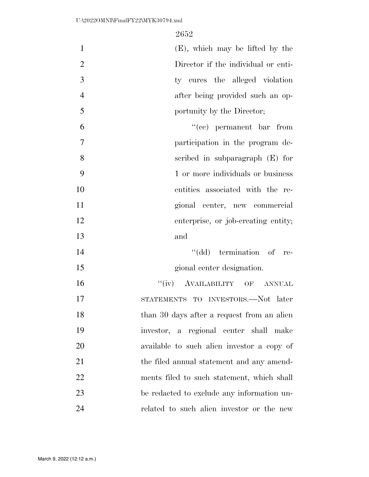| $\mathbf{1}$   | $(E)$ , which may be lifted by the         |
|----------------|--------------------------------------------|
| $\overline{2}$ | Director if the individual or enti-        |
| 3              | ty cures the alleged violation             |
| $\overline{4}$ | after being provided such an op-           |
| 5              | portunity by the Director;                 |
| 6              | $\cdot$ (cc) permanent bar from            |
| $\overline{7}$ | participation in the program de-           |
| 8              | scribed in subparagraph $(E)$ for          |
| 9              | 1 or more individuals or business          |
| 10             | entities associated with the re-           |
| 11             | gional center, new commercial              |
| 12             | enterprise, or job-creating entity;        |
| 13             | and                                        |
| 14             | "(dd) termination of re-                   |
| 15             | gional center designation.                 |
| 16             | "(iv) AVAILABILITY OF ANNUAL               |
| 17             | STATEMENTS TO INVESTORS.-Not later         |
| 18             | than 30 days after a request from an alien |
| 19             | investor, a regional center shall make     |
| 20             | available to such alien investor a copy of |
| 21             | the filed annual statement and any amend-  |
| 22             | ments filed to such statement, which shall |
| 23             | be redacted to exclude any information un- |
| 24             | related to such alien investor or the new  |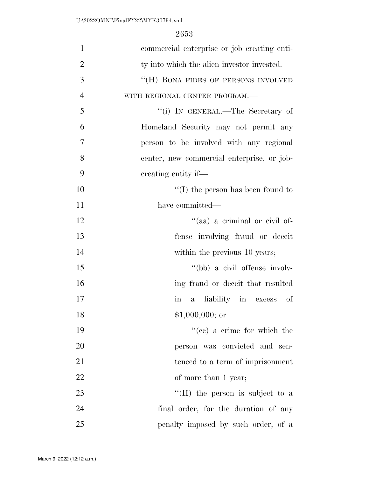| $\mathbf{1}$   | commercial enterprise or job creating enti-          |
|----------------|------------------------------------------------------|
| $\overline{2}$ | ty into which the alien investor invested.           |
| 3              | "(H) BONA FIDES OF PERSONS INVOLVED                  |
| $\overline{4}$ | WITH REGIONAL CENTER PROGRAM.-                       |
| 5              | "(i) IN GENERAL.—The Secretary of                    |
| 6              | Homeland Security may not permit any                 |
| 7              | person to be involved with any regional              |
| 8              | center, new commercial enterprise, or job-           |
| 9              | creating entity if—                                  |
| 10             | $\lq\lq$ (I) the person has been found to            |
| 11             | have committed-                                      |
| 12             | "(aa) a criminal or civil of-                        |
| 13             | fense involving fraud or deceit                      |
| 14             | within the previous 10 years;                        |
| 15             | "(bb) a civil offense involv-                        |
| 16             | ing fraud or deceit that resulted                    |
| 17             | a liability in excess<br>$\operatorname{in}$<br>- of |
| 18             | $$1,000,000;$ or                                     |
| 19             | "(ce) a crime for which the                          |
| 20             | person was convicted and sen-                        |
| 21             | tenced to a term of imprisonment                     |
| 22             | of more than 1 year;                                 |
| 23             | $\lq$ (II) the person is subject to a                |
| 24             | final order, for the duration of any                 |
| 25             | penalty imposed by such order, of a                  |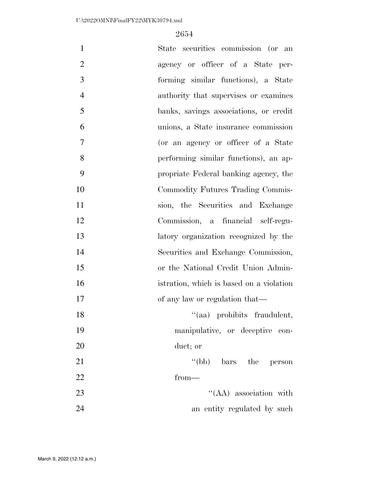| $\mathbf{1}$   | State securities commission (or an       |
|----------------|------------------------------------------|
| $\overline{2}$ | agency or officer of a State per-        |
| 3              | forming similar functions), a State      |
| $\overline{4}$ | authority that supervises or examines    |
| 5              | banks, savings associations, or credit   |
| 6              | unions, a State insurance commission     |
| 7              | (or an agency or officer of a State      |
| 8              | performing similar functions), an ap-    |
| 9              | propriate Federal banking agency, the    |
| 10             | Commodity Futures Trading Commis-        |
| 11             | sion, the Securities and Exchange        |
| 12             | Commission, a financial self-regu-       |
| 13             | latory organization recognized by the    |
| 14             | Securities and Exchange Commission,      |
| 15             | or the National Credit Union Admin-      |
| 16             | istration, which is based on a violation |
| 17             | of any law or regulation that—           |
| 18             | "(aa) prohibits fraudulent,              |
| 19             | manipulative, or deceptive con-          |
| 20             | duct; or                                 |
| 21             | "(bb) bars the person                    |
| 22             | $from-$                                  |
| 23             | $\lq\lq$ (AA) association with           |
| 24             | an entity regulated by such              |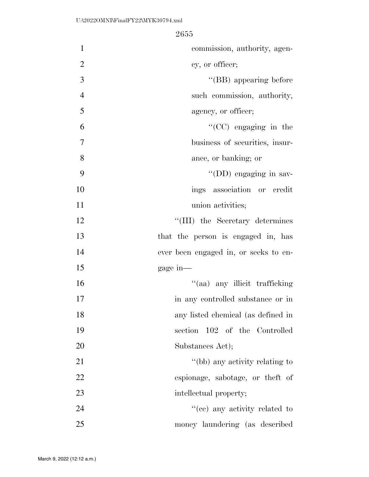| $\mathbf{1}$   | commission, authority, agen-          |
|----------------|---------------------------------------|
| $\overline{2}$ | cy, or officer;                       |
| 3              | "(BB) appearing before                |
| $\overline{4}$ | such commission, authority,           |
| 5              | agency, or officer;                   |
| 6              | "(CC) engaging in the                 |
| $\overline{7}$ | business of securities, insur-        |
| 8              | ance, or banking; or                  |
| 9              | $\lq\lq$ (DD) engaging in sav-        |
| 10             | ings association or credit            |
| 11             | union activities;                     |
| 12             | "(III) the Secretary determines       |
| 13             | that the person is engaged in, has    |
| 14             | ever been engaged in, or seeks to en- |
| 15             | gage in-                              |
| 16             | "(aa) any illicit trafficking         |
| 17             | in any controlled substance or in     |
| 18             | any listed chemical (as defined in    |
| 19             | section 102 of the Controlled         |
| 20             | Substances Act);                      |
| 21             | "(bb) any activity relating to        |
| 22             | espionage, sabotage, or the ft of     |
| 23             | intellectual property;                |
| 24             | "(cc) any activity related to         |
| 25             | money laundering (as described        |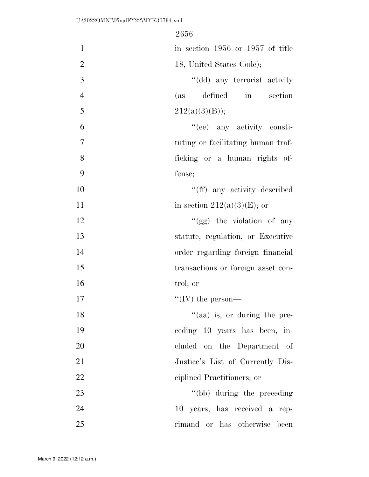| $\mathbf{1}$   | in section 1956 or 1957 of title    |
|----------------|-------------------------------------|
| $\overline{2}$ | 18, United States Code);            |
| 3              | "(dd) any terrorist activity        |
| $\overline{4}$ | defined in section<br>(as           |
| 5              | 212(a)(3)(B));                      |
| 6              | "(ee) any activity consti-          |
| 7              | tuting or facilitating human traf-  |
| 8              | ficking or a human rights of-       |
| 9              | fense;                              |
| 10             | "(ff) any activity described        |
| 11             | in section $212(a)(3)(E)$ ; or      |
| 12             | "(gg) the violation of any          |
| 13             | statute, regulation, or Executive   |
| 14             | order regarding foreign financial   |
| 15             | transactions or foreign asset con-  |
| 16             | trol; or                            |
| 17             | "(IV) the person—                   |
| 18             | $\cdot$ (aa) is, or during the pre- |
| 19             | ceding 10 years has been, in-       |
| 20             | cluded on the Department of         |
| 21             | Justice's List of Currently Dis-    |
| 22             | ciplined Practitioners; or          |
| 23             | "(bb) during the preceding"         |
| 24             | 10 years, has received a rep-       |
| 25             | has otherwise<br>rimand or<br>been  |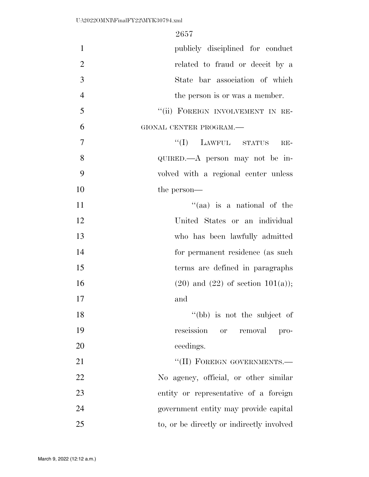| $\mathbf{1}$   | publicly disciplined for conduct           |
|----------------|--------------------------------------------|
| $\overline{2}$ | related to fraud or deceit by a            |
| 3              | State bar association of which             |
| $\overline{4}$ | the person is or was a member.             |
| 5              | "(ii) FOREIGN INVOLVEMENT IN RE-           |
| 6              | GIONAL CENTER PROGRAM.-                    |
| 7              | $``(I)$ LAWFUL STATUS<br>$RE-$             |
| 8              | QUIRED.—A person may not be in-            |
| 9              | volved with a regional center unless       |
| 10             | the person—                                |
| 11             | "(aa) is a national of the                 |
| 12             | United States or an individual             |
| 13             | who has been lawfully admitted             |
| 14             | for permanent residence (as such           |
| 15             | terms are defined in paragraphs            |
| 16             | $(20)$ and $(22)$ of section $101(a)$ ;    |
| 17             | and                                        |
| 18             | "(bb) is not the subject of                |
| 19             | rescission<br><b>or</b><br>removal<br>pro- |
| 20             | ceedings.                                  |
| 21             | "(II) FOREIGN GOVERNMENTS.-                |
| 22             | No agency, official, or other similar      |
| 23             | entity or representative of a foreign      |
| 24             | government entity may provide capital      |
| 25             | to, or be directly or indirectly involved  |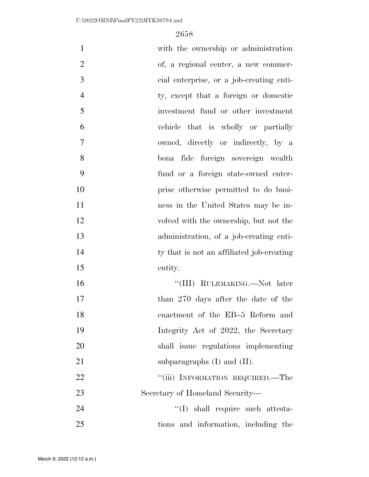| $\mathbf{1}$   | with the ownership or administration      |
|----------------|-------------------------------------------|
| $\overline{2}$ | of, a regional center, a new commer-      |
| 3              | cial enterprise, or a job-creating enti-  |
| $\overline{4}$ | ty, except that a foreign or domestic     |
| 5              | investment fund or other investment       |
| 6              | vehicle that is wholly or partially       |
| $\overline{7}$ | owned, directly or indirectly, by a       |
| 8              | bona fide foreign sovereign wealth        |
| 9              | fund or a foreign state-owned enter-      |
| 10             | prise otherwise permitted to do busi-     |
| 11             | ness in the United States may be in-      |
| 12             | volved with the ownership, but not the    |
| 13             | administration, of a job-creating enti-   |
| 14             | ty that is not an affiliated job-creating |
| 15             | entity.                                   |
| 16             | "(III) RULEMAKING.—Not later              |
| 17             | than 270 days after the date of the       |
| 18             | enactment of the EB-5 Reform and          |
| 19             | Integrity Act of 2022, the Secretary      |
| 20             | shall issue regulations implementing      |
| 21             | subparagraphs $(I)$ and $(II)$ .          |
| 22             | "(iii) INFORMATION REQUIRED.—The          |
| 23             | Secretary of Homeland Security-           |
| 24             | $\lq\lq$ shall require such attesta-      |
| 25             | tions and information, including the      |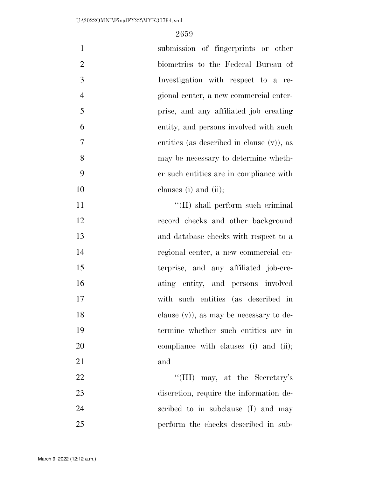| $\mathbf{1}$   | submission of fingerprints or other          |
|----------------|----------------------------------------------|
| $\overline{2}$ | biometrics to the Federal Bureau of          |
| 3              | Investigation with respect to a re-          |
| $\overline{4}$ | gional center, a new commercial enter-       |
| 5              | prise, and any affiliated job creating       |
| 6              | entity, and persons involved with such       |
| 7              | entities (as described in clause $(v)$ ), as |
| 8              | may be necessary to determine wheth-         |
| 9              | er such entities are in compliance with      |
| 10             | clauses (i) and (ii);                        |
| 11             | "(II) shall perform such criminal            |
| 12             | record checks and other background           |
| 13             | and database checks with respect to a        |
| 14             | regional center, a new commercial en-        |
| 15             | terprise, and any affiliated job-cre-        |
| 16             | ating entity, and persons involved           |
| 17             | with such entities (as described in          |
| 18             | clause $(v)$ , as may be necessary to de-    |
| 19             | termine whether such entities are in         |
| 20             | compliance with clauses (i) and (ii);        |
| 21             | and                                          |
| 22             | "(III) may, at the Secretary's               |
| 23             | discretion, require the information de-      |
| 24             | scribed to in subclause (I) and may          |
| 25             | perform the checks described in sub-         |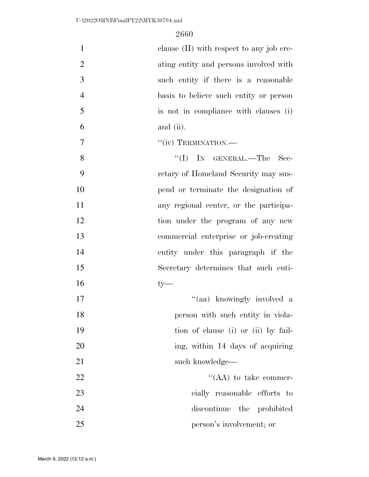| $\mathbf{1}$   | clause (II) with respect to any job cre- |
|----------------|------------------------------------------|
| $\overline{2}$ | ating entity and persons involved with   |
| 3              | such entity if there is a reasonable     |
| $\overline{4}$ | basis to believe such entity or person   |
| 5              | is not in compliance with clauses (i)    |
| 6              | and (ii).                                |
| $\overline{7}$ | "(iv) TERMINATION.—                      |
| 8              | $\lq\lq$ (I) IN GENERAL.—The<br>Sec-     |
| 9              | retary of Homeland Security may sus-     |
| 10             | pend or terminate the designation of     |
| 11             | any regional center, or the participa-   |
| 12             | tion under the program of any new        |
| 13             | commercial enterprise or job-creating    |
| 14             | entity under this paragraph if the       |
| 15             | Secretary determines that such enti-     |
| 16             | $ty-$                                    |
| 17             | "(aa) knowingly involved a               |
| 18             | person with such entity in viola-        |
| 19             | tion of clause (i) or (ii) by fail-      |
| 20             | ing, within 14 days of acquiring         |
| 21             | such knowledge—                          |
| 22             | $\lq\lq (AA)$ to take commer-            |
| 23             | cially reasonable efforts to             |
| 24             | discontinue the prohibited               |
| 25             | person's involvement; or                 |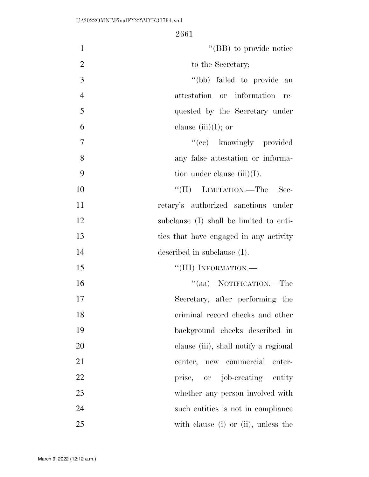| "(BB) to provide notice<br>$\mathbf{1}$          |
|--------------------------------------------------|
| $\overline{2}$<br>to the Secretary;              |
| 3<br>"(bb) failed to provide an                  |
| $\overline{4}$<br>attestation or information re- |
| 5<br>quested by the Secretary under              |
| 6<br>clause $(iii)(I)$ ; or                      |
| $\overline{7}$<br>"(cc) knowingly provided       |
| 8<br>any false attestation or informa-           |
| 9<br>tion under clause $(iii)(I)$ .              |
| 10<br>"(II) LIMITATION.—The Sec-                 |
| 11<br>retary's authorized sanctions under        |
| 12<br>subclause (I) shall be limited to enti-    |
| 13<br>ties that have engaged in any activity     |
| 14<br>described in subclause (I).                |
| 15<br>"(III) INFORMATION.—                       |
| "(aa) NOTIFICATION.—The<br>16                    |
| 17<br>Secretary, after performing the            |
| 18<br>criminal record checks and other           |
| 19<br>background checks described in             |
| 20<br>clause (iii), shall notify a regional      |
| 21<br>center, new commercial<br>enter-           |
| 22<br>prise, or job-creating entity              |
| 23<br>whether any person involved with           |
| 24<br>such entities is not in compliance         |
| 25<br>with clause (i) or (ii), unless the        |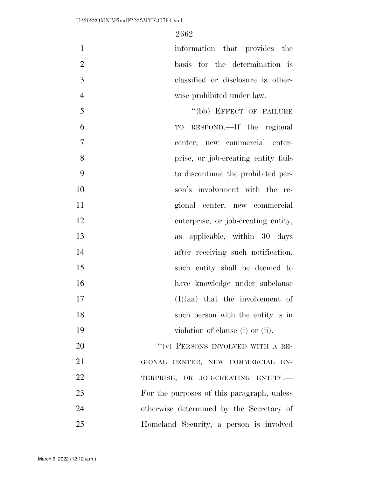1 information that provides the basis for the determination is classified or disclosure is other-wise prohibited under law.

5 "(bb) EFFECT OF FAILURE TO RESPOND.—If the regional center, new commercial enter- prise, or job-creating entity fails to discontinue the prohibited per- son's involvement with the re- gional center, new commercial enterprise, or job-creating entity, as applicable, within 30 days 14 after receiving such notification, such entity shall be deemed to have knowledge under subclause (I)(aa) that the involvement of such person with the entity is in 19 violation of clause (i) or (ii). 20 "(v) PERSONS INVOLVED WITH A RE-

21 GIONAL CENTER, NEW COMMERCIAL EN-22 TERPRISE, OR JOB-CREATING ENTITY. For the purposes of this paragraph, unless otherwise determined by the Secretary of Homeland Security, a person is involved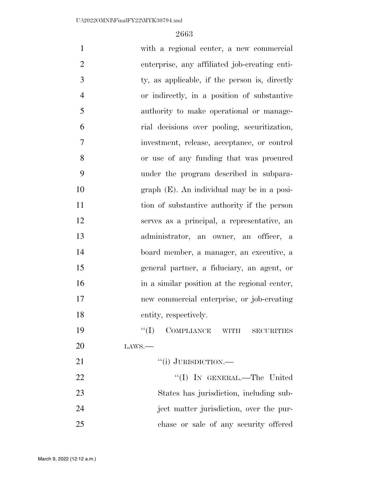| $\mathbf{1}$   | with a regional center, a new commercial      |
|----------------|-----------------------------------------------|
| $\overline{2}$ | enterprise, any affiliated job-creating enti- |
| 3              | ty, as applicable, if the person is, directly |
| $\overline{4}$ | or indirectly, in a position of substantive   |
| 5              | authority to make operational or manage-      |
| 6              | rial decisions over pooling, securitization,  |
| $\overline{7}$ | investment, release, acceptance, or control   |
| 8              | or use of any funding that was procured       |
| 9              | under the program described in subpara-       |
| 10             | $graph$ (E). An individual may be in a posi-  |
| 11             | tion of substantive authority if the person   |
| 12             | serves as a principal, a representative, an   |
| 13             | administrator, an owner, an officer, a        |
| 14             | board member, a manager, an executive, a      |
| 15             | general partner, a fiduciary, an agent, or    |
| 16             | in a similar position at the regional center, |
| 17             | new commercial enterprise, or job-creating    |
| 18             | entity, respectively.                         |
| 19             | ``(I)<br>COMPLIANCE WITH<br><b>SECURITIES</b> |
| 20             | LANS.                                         |
| 21             | "(i) JURISDICTION.—                           |
| 22             | "(I) IN GENERAL.—The United                   |
| 23             | States has jurisdiction, including sub-       |
| 24             | ject matter jurisdiction, over the pur-       |
| 25             | chase or sale of any security offered         |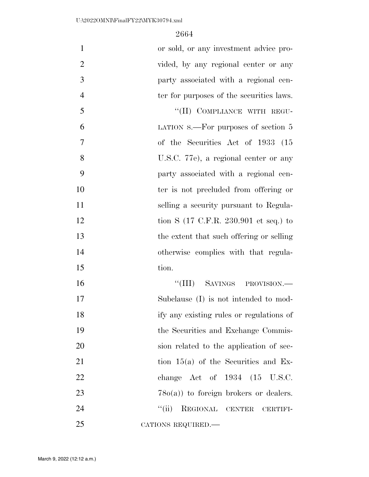| $\mathbf{1}$   | or sold, or any investment advice pro-                   |
|----------------|----------------------------------------------------------|
| $\overline{2}$ | vided, by any regional center or any                     |
| 3              | party associated with a regional cen-                    |
| $\overline{4}$ | ter for purposes of the securities laws.                 |
| 5              | "(II) COMPLIANCE WITH REGU-                              |
| 6              | LATION $s$ . For purposes of section 5                   |
| 7              | of the Securities Act of 1933 (15                        |
| 8              | U.S.C. 77e), a regional center or any                    |
| 9              | party associated with a regional cen-                    |
| 10             | ter is not precluded from offering or                    |
| 11             | selling a security pursuant to Regula-                   |
| 12             | tion S $(17 \text{ C.F.R. } 230.901 \text{ et seq.})$ to |
| 13             | the extent that such offering or selling                 |
| 14             | otherwise complies with that regula-                     |
| 15             | tion.                                                    |
| 16             | "(III) SAVINGS PROVISION.—                               |
| 17             | Subclause (I) is not intended to mod-                    |
| 18             | ify any existing rules or regulations of                 |
| 19             | the Securities and Exchange Commis-                      |
| 20             | sion related to the application of sec-                  |
| 21             | tion $15(a)$ of the Securities and Ex-                   |
| 22             | change Act of 1934 (15 U.S.C.                            |
| 23             | $78o(a)$ to foreign brokers or dealers.                  |
| 24             | ``(ii)<br>REGIONAL CENTER<br>CERTIFI-                    |
| 25             | CATIONS REQUIRED.-                                       |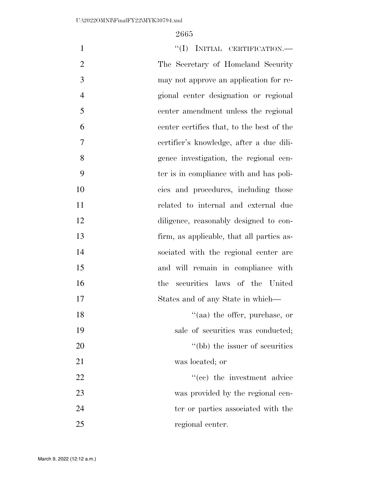| $\mathbf{1}$   | "(I) INITIAL CERTIFICATION.-              |
|----------------|-------------------------------------------|
| $\overline{2}$ | The Secretary of Homeland Security        |
| 3              | may not approve an application for re-    |
| $\overline{4}$ | gional center designation or regional     |
| 5              | center amendment unless the regional      |
| 6              | center certifies that, to the best of the |
| 7              | certifier's knowledge, after a due dili-  |
| 8              | gence investigation, the regional cen-    |
| 9              | ter is in compliance with and has poli-   |
| 10             | cies and procedures, including those      |
| 11             | related to internal and external due      |
| 12             | diligence, reasonably designed to con-    |
| 13             | firm, as applicable, that all parties as- |
| 14             | sociated with the regional center are     |
| 15             | and will remain in compliance with        |
| 16             | securities laws of the United<br>the      |
| 17             | States and of any State in which—         |
| 18             | $\lq(aa)$ the offer, purchase, or         |
| 19             | sale of securities was conducted;         |
| 20             | "(bb) the issuer of securities            |
| 21             | was located; or                           |
| 22             | "(cc) the investment advice               |
| 23             | was provided by the regional cen-         |
| 24             | ter or parties associated with the        |
| 25             | regional center.                          |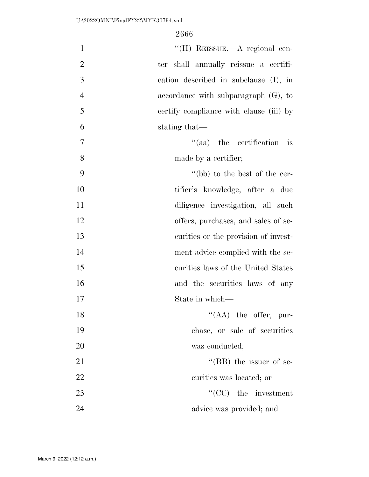| $\mathbf{1}$   | "(II) REISSUE.—A regional cen-                  |
|----------------|-------------------------------------------------|
| $\overline{2}$ | ter shall annually reissue a certifi-           |
| 3              | cation described in subclause (I), in           |
| $\overline{4}$ | accordance with subparagraph $(G)$ , to         |
| 5              | certify compliance with clause (iii) by         |
| 6              | stating that—                                   |
| $\overline{7}$ | $\cdot$ (aa) the certification<br>$\frac{1}{1}$ |
| 8              | made by a certifier;                            |
| 9              | "(bb) to the best of the cer-                   |
| 10             | tifier's knowledge, after a due                 |
| 11             | diligence investigation, all such               |
| 12             | offers, purchases, and sales of se-             |
| 13             | curities or the provision of invest-            |
| 14             | ment advice complied with the se-               |
| 15             | curities laws of the United States              |
| 16             | and the securities laws of any                  |
| 17             | State in which—                                 |
| 18             | $\lq\lq$ (AA) the offer, pur-                   |
| 19             | chase, or sale of securities                    |
| 20             | was conducted;                                  |
| 21             | "(BB) the issuer of se-                         |
| 22             | curities was located; or                        |
| 23             | $"({\rm CC})$ the investment                    |
| 24             | advice was provided; and                        |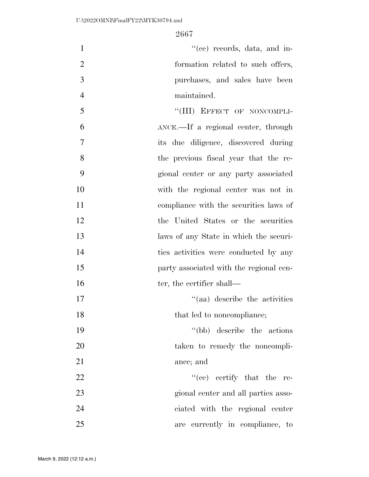| $\mathbf{1}$   | "(ee) records, data, and in-            |
|----------------|-----------------------------------------|
| $\overline{2}$ | formation related to such offers,       |
| 3              | purchases, and sales have been          |
| $\overline{4}$ | maintained.                             |
| 5              | "(III) EFFECT OF NONCOMPLI-             |
| 6              | ANCE.—If a regional center, through     |
| $\tau$         | its due diligence, discovered during    |
| 8              | the previous fiscal year that the re-   |
| 9              | gional center or any party associated   |
| 10             | with the regional center was not in     |
| 11             | compliance with the securities laws of  |
| 12             | the United States or the securities     |
| 13             | laws of any State in which the securi-  |
| 14             | ties activities were conducted by any   |
| 15             | party associated with the regional cen- |
| 16             | ter, the certifier shall—               |
| 17             | "(aa) describe the activities           |
| 18             | that led to noncompliance;              |
| 19             | "(bb) describe the actions"             |
| 20             | taken to remedy the noncompli-          |
| 21             | ance; and                               |
| 22             | $\lq\lq$ (ce) certify that the re-      |
| $\cap$         |                                         |

 gional center and all parties asso- ciated with the regional center are currently in compliance, to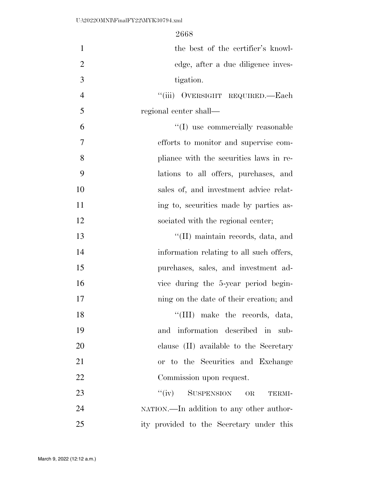| $\mathbf{1}$   | the best of the certifier's knowl-       |
|----------------|------------------------------------------|
| $\overline{2}$ | edge, after a due diligence inves-       |
| 3              | tigation.                                |
| $\overline{4}$ | "(iii) OVERSIGHT REQUIRED.—Each          |
| 5              | regional center shall—                   |
| 6              | "(I) use commercially reasonable         |
| 7              | efforts to monitor and supervise com-    |
| 8              | pliance with the securities laws in re-  |
| 9              | lations to all offers, purchases, and    |
| 10             | sales of, and investment advice relat-   |
| 11             | ing to, securities made by parties as-   |
| 12             | sociated with the regional center;       |
| 13             | "(II) maintain records, data, and        |
| 14             | information relating to all such offers, |
| 15             | purchases, sales, and investment ad-     |
| 16             | vice during the 5-year period begin-     |
| 17             | ning on the date of their creation; and  |
| 18             | "(III) make the records, data,           |
| 19             | and information described in sub-        |
| 20             | clause (II) available to the Secretary   |
| 21             | or to the Securities and Exchange        |
| 22             | Commission upon request.                 |
| 23             | $``(iv)$ SUSPENSION OR<br>TERMI-         |
| 24             | NATION.—In addition to any other author- |
| 25             | ity provided to the Secretary under this |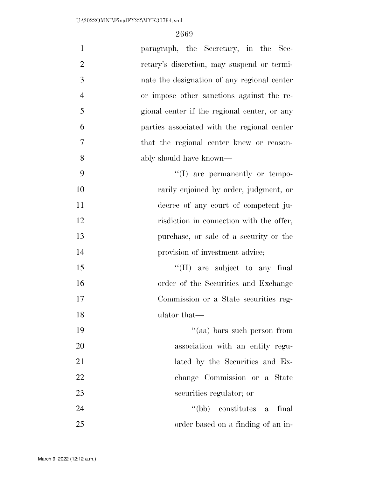| $\mathbf{1}$<br>paragraph, the Secretary, in the Sec-        |
|--------------------------------------------------------------|
| $\overline{2}$<br>retary's discretion, may suspend or termi- |
| 3<br>nate the designation of any regional center             |
| $\overline{4}$<br>or impose other sanctions against the re-  |
| 5<br>gional center if the regional center, or any            |
| 6<br>parties associated with the regional center             |
| $\tau$<br>that the regional center knew or reason-           |
| 8<br>ably should have known—                                 |
| 9<br>$\lq\lq$ are permanently or tempo-                      |
| 10<br>rarily enjoined by order, judgment, or                 |
| 11<br>decree of any court of competent ju-                   |
| 12<br>risdiction in connection with the offer,               |
| 13<br>purchase, or sale of a security or the                 |
| 14<br>provision of investment advice;                        |
| 15<br>$\lq\lq$ (II) are subject to any final                 |
| 16<br>order of the Securities and Exchange                   |
| 17<br>Commission or a State securities reg-                  |
| 18<br>ulator that—                                           |
| 19<br>"(aa) bars such person from                            |
| 20<br>association with an entity regu-                       |
| 21<br>lated by the Securities and Ex-                        |
| 22<br>change Commission or a State                           |
| 23<br>securities regulator; or                               |
| 24<br>$\lq (bb)$<br>constitutes a<br>final                   |
| 25<br>order based on a finding of an in-                     |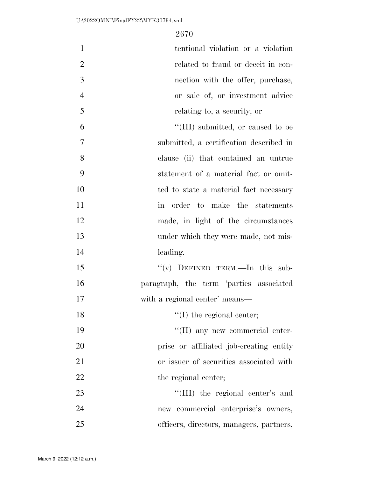| $\mathbf{1}$   | tentional violation or a violation       |
|----------------|------------------------------------------|
| $\overline{2}$ | related to fraud or deceit in con-       |
| 3              | nection with the offer, purchase,        |
| $\overline{4}$ | or sale of, or investment advice         |
| 5              | relating to, a security; or              |
| 6              | "(III) submitted, or caused to be        |
| 7              | submitted, a certification described in  |
| 8              | clause (ii) that contained an untrue     |
| 9              | statement of a material fact or omit-    |
| 10             | ted to state a material fact necessary   |
| 11             | in order to make the statements          |
| 12             | made, in light of the circumstances      |
| 13             | under which they were made, not mis-     |
| 14             | leading.                                 |
| 15             | "(v) DEFINED TERM.—In this sub-          |
| 16             | paragraph, the term 'parties associated  |
| 17             | with a regional center' means—           |
| 18             | $f'(I)$ the regional center;             |
| 19             | $\lq\lq$ (II) any new commercial enter-  |
| 20             | prise or affiliated job-creating entity  |
| 21             | or issuer of securities associated with  |
| 22             | the regional center;                     |
| 23             | "(III) the regional center's and         |
| 24             | new commercial enterprise's owners,      |
| 25             | officers, directors, managers, partners, |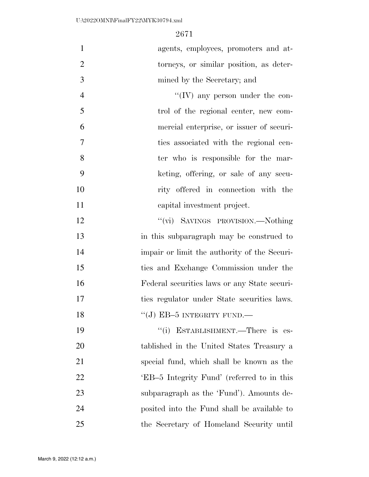| $\mathbf{1}$   | agents, employees, promoters and at-         |
|----------------|----------------------------------------------|
| $\overline{2}$ | torneys, or similar position, as deter-      |
| 3              | mined by the Secretary; and                  |
| $\overline{4}$ | $\lq\lq$ (IV) any person under the con-      |
| 5              | trol of the regional center, new com-        |
| 6              | mercial enterprise, or issuer of securi-     |
| $\overline{7}$ | ties associated with the regional cen-       |
| 8              | ter who is responsible for the mar-          |
| 9              | keting, offering, or sale of any secu-       |
| 10             | rity offered in connection with the          |
| 11             | capital investment project.                  |
| 12             | "(vi) SAVINGS PROVISION.—Nothing             |
| 13             | in this subparagraph may be construed to     |
| 14             | impair or limit the authority of the Securi- |
| 15             | ties and Exchange Commission under the       |
| 16             | Federal securities laws or any State securi- |
| 17             | ties regulator under State securities laws.  |
| 18             | $``(J)$ EB-5 INTEGRITY FUND.—                |
| 19             | ESTABLISHMENT.—There is es-<br>``(i)         |
| 20             | tablished in the United States Treasury a    |
| 21             | special fund, which shall be known as the    |
| 22             | 'EB-5 Integrity Fund' (referred to in this   |
| 23             | subparagraph as the 'Fund'). Amounts de-     |
| 24             | posited into the Fund shall be available to  |
| 25             | the Secretary of Homeland Security until     |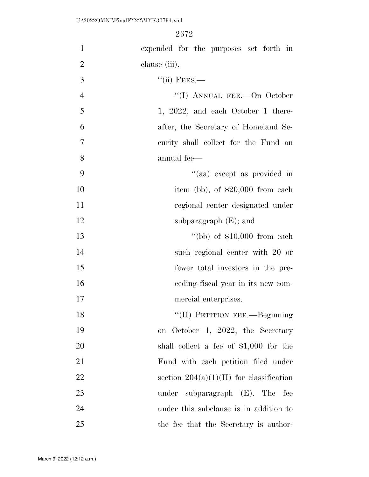| $\mathbf{1}$   | expended for the purposes set forth in    |
|----------------|-------------------------------------------|
| $\overline{2}$ | clause (iii).                             |
| 3              | $``(ii)$ FEES.—                           |
| $\overline{4}$ | "(I) ANNUAL FEE.—On October               |
| 5              | 1, 2022, and each October 1 there-        |
| 6              | after, the Secretary of Homeland Se-      |
| $\tau$         | curity shall collect for the Fund an      |
| 8              | annual fee—                               |
| 9              | "(aa) except as provided in               |
| 10             | item (bb), of $$20,000$ from each         |
| 11             | regional center designated under          |
| 12             | subparagraph $(E)$ ; and                  |
| 13             | "(bb) of $$10,000$ from each              |
| 14             | such regional center with 20 or           |
| 15             | fewer total investors in the pre-         |
| 16             | eeding fiscal year in its new com-        |
| 17             | mercial enterprises.                      |
| 18             | "(II) PETITION FEE.—Beginning             |
| 19             | on October 1, 2022, the Secretary         |
| $20\,$         | shall collect a fee of $$1,000$ for the   |
| 21             | Fund with each petition filed under       |
| 22             | section $204(a)(1)(H)$ for classification |
| 23             | under subparagraph $(E)$ . The fee        |
| 24             | under this subclause is in addition to    |
| 25             | the fee that the Secretary is author-     |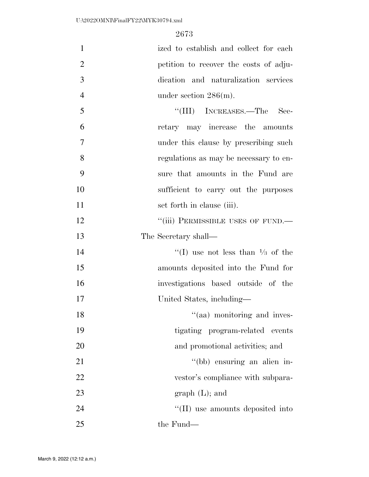ized to establish and collect for each petition to recover the costs of adju- dication and naturalization services 4 under section  $286(m)$ .

5 ''(III) INCREASES.—The Sec- retary may increase the amounts under this clause by prescribing such regulations as may be necessary to en- sure that amounts in the Fund are sufficient to carry out the purposes 11 set forth in clause (iii).

12 "(iii) PERMISSIBLE USES OF FUND.— 13 The Secretary shall—

 $\frac{1}{2}$  (I) use not less than  $\frac{1}{3}$  of the amounts deposited into the Fund for investigations based outside of the United States, including—

18 ''(aa) monitoring and inves-19 tigating program-related events 20 and promotional activities; and 21 ''(bb) ensuring an alien in-22 vestor's compliance with subpara-23 graph (L); and 24 ''(II) use amounts deposited into

25 the Fund—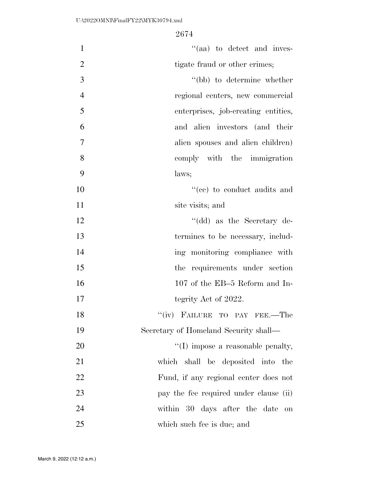| $\mathbf{1}$   | $\cdot$ (aa) to detect and inves-             |
|----------------|-----------------------------------------------|
| $\overline{2}$ | tigate fraud or other crimes;                 |
| 3              | "(bb) to determine whether                    |
| $\overline{4}$ | regional centers, new commercial              |
| 5              | enterprises, job-creating entities,           |
| 6              | and alien investors (and their                |
| 7              | alien spouses and alien children)             |
| 8              | comply with the immigration                   |
| 9              | laws;                                         |
| 10             | "(ce) to conduct audits and                   |
| 11             | site visits; and                              |
| 12             | "(dd) as the Secretary de-                    |
| 13             | termines to be necessary, includ-             |
| 14             | ing monitoring compliance with                |
| 15             | the requirements under section                |
| 16             | 107 of the EB-5 Reform and In-                |
| 17             | tegrity Act of 2022.                          |
| 18             | "(iv) FAILURE TO PAY FEE.—The                 |
| 19             | Secretary of Homeland Security shall—         |
| 20             | $\lq\lq$ (I) impose a reasonable penalty,     |
| 21             | which shall be deposited into the             |
| 22             | Fund, if any regional center does not         |
| 23             | pay the fee required under clause (ii)        |
| 24             | within 30 days after the date<br>$\,$ on $\,$ |
| 25             | which such fee is due; and                    |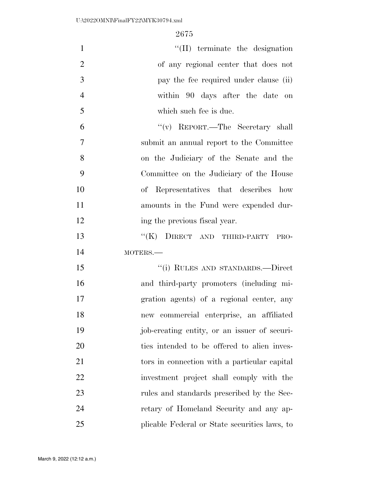| $\mathbf{1}$   | $\lq\lq$ (II) terminate the designation       |
|----------------|-----------------------------------------------|
| $\overline{2}$ | of any regional center that does not          |
| 3              | pay the fee required under clause (ii)        |
| $\overline{4}$ | within 90 days after the date on              |
| 5              | which such fee is due.                        |
| 6              | "(v) REPORT.—The Secretary shall              |
| $\overline{7}$ | submit an annual report to the Committee      |
| 8              | on the Judiciary of the Senate and the        |
| 9              | Committee on the Judiciary of the House       |
| 10             | of Representatives that describes how         |
| 11             | amounts in the Fund were expended dur-        |
| 12             | ing the previous fiscal year.                 |
| 13             | ``(K)<br>DIRECT AND THIRD-PARTY<br>PRO-       |
| 14             | $MOTERS$ .                                    |
| 15             | "(i) RULES AND STANDARDS.—Direct              |
| 16             | and third-party promoters (including mi-      |
| 17             | gration agents) of a regional center, any     |
| 18             | new commercial enterprise, an affiliated      |
| 19             | job-creating entity, or an issuer of securi-  |
| 20             | ties intended to be offered to alien inves-   |
| 21             | tors in connection with a particular capital  |
| 22             | investment project shall comply with the      |
| 23             | rules and standards prescribed by the Sec-    |
| 24             | retary of Homeland Security and any ap-       |
| 25             | plicable Federal or State securities laws, to |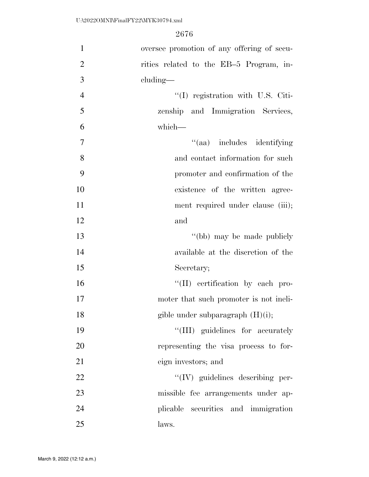| $\mathbf{1}$   | oversee promotion of any offering of secu- |
|----------------|--------------------------------------------|
| $\overline{2}$ | rities related to the EB-5 Program, in-    |
| 3              | $cluding$ —                                |
| $\overline{4}$ | $\lq (I)$ registration with U.S. Citi-     |
| 5              | zenship and Immigration Services,          |
| 6              | which-                                     |
| $\tau$         | "(aa) includes identifying                 |
| 8              | and contact information for such           |
| 9              | promoter and confirmation of the           |
| 10             | existence of the written agree-            |
| 11             | ment required under clause (iii);          |
| 12             | and                                        |
| 13             | "(bb) may be made publicly                 |
| 14             | available at the discretion of the         |
| 15             | Secretary;                                 |
| 16             | "(II) certification by each pro-           |
| 17             | moter that such promoter is not ineli-     |
| 18             | gible under subparagraph $(H)(i)$ ;        |
| 19             | "(III) guidelines for accurately           |
| 20             | representing the visa process to for-      |
| 21             | eign investors; and                        |
| 22             | $\lq\lq$ (IV) guidelines describing per-   |
| 23             | missible fee arrangements under ap-        |
| 24             | plicable securities and immigration        |
| 25             | laws.                                      |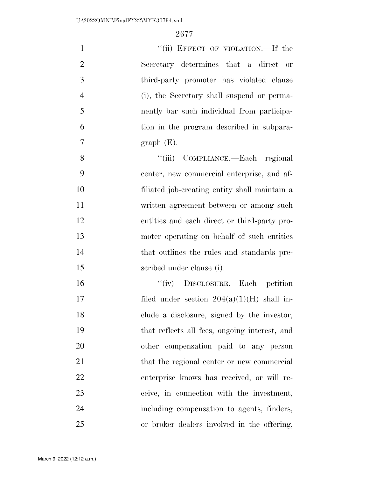| $\mathbf{1}$   | "(ii) EFFECT OF VIOLATION.—If the             |
|----------------|-----------------------------------------------|
| $\overline{2}$ | Secretary determines that a direct or         |
| 3              | third-party promoter has violated clause      |
| $\overline{4}$ | (i), the Secretary shall suspend or perma-    |
| 5              | nently bar such individual from participa-    |
| 6              | tion in the program described in subpara-     |
| 7              | $graph(E)$ .                                  |
| 8              | "(iii) COMPLIANCE.—Each regional              |
| 9              | center, new commercial enterprise, and af-    |
| 10             | filiated job-creating entity shall maintain a |
| 11             | written agreement between or among such       |
| 12             | entities and each direct or third-party pro-  |
| 13             | moter operating on behalf of such entities    |
| 14             | that outlines the rules and standards pre-    |
| 15             | scribed under clause (i).                     |
| 16             | "(iv) DISCLOSURE.—Each petition               |
| 17             | filed under section $204(a)(1)(H)$ shall in-  |
| 18             | clude a disclosure, signed by the investor,   |
| 19             | that reflects all fees, ongoing interest, and |
| 20             | other compensation paid to any person         |
| 21             | that the regional center or new commercial    |
| 22             | enterprise knows has received, or will re-    |
| 23             | ceive, in connection with the investment,     |
| 24             | including compensation to agents, finders,    |
| 25             | or broker dealers involved in the offering,   |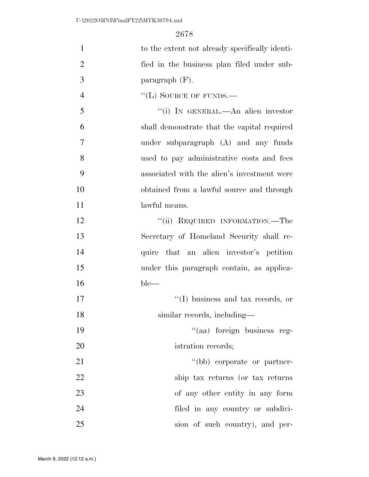| $\mathbf{1}$   | to the extent not already specifically identi- |
|----------------|------------------------------------------------|
| $\overline{2}$ | fied in the business plan filed under sub-     |
| 3              | paragraph $(F)$ .                              |
| $\overline{4}$ | $\lq$ <sup>"</sup> (L) SOURCE OF FUNDS.—       |
| 5              | "(i) IN GENERAL.—An alien investor             |
| 6              | shall demonstrate that the capital required    |
| 7              | under subparagraph (A) and any funds           |
| 8              | used to pay administrative costs and fees      |
| 9              | associated with the alien's investment were    |
| 10             | obtained from a lawful source and through      |
| 11             | lawful means.                                  |
| 12             | "(ii) REQUIRED INFORMATION.—The                |
| 13             | Secretary of Homeland Security shall re-       |
| 14             | quire that an alien investor's petition        |
| 15             | under this paragraph contain, as applica-      |
| 16             | $ble-$                                         |
| 17             | $\lq\lq$ (I) business and tax records, or      |
| 18             | similar records, including-                    |
| 19             | "(aa) foreign business reg-                    |
| 20             | istration records;                             |
| 21             | "(bb) corporate or partner-                    |
| 22             | ship tax returns (or tax returns               |
| 23             | of any other entity in any form                |
| 24             | filed in any country or subdivi-               |
| 25             | sion of such country), and per-                |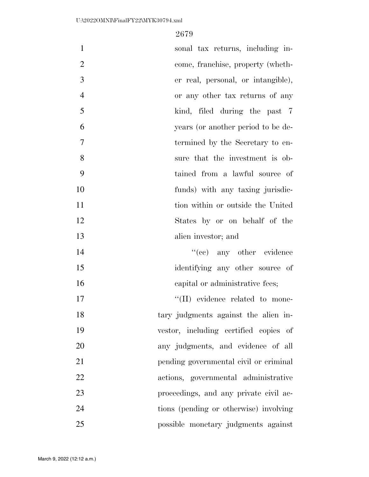| $\mathbf{1}$   | sonal tax returns, including in-       |
|----------------|----------------------------------------|
| $\overline{2}$ | come, franchise, property (wheth-      |
| 3              | er real, personal, or intangible),     |
| $\overline{4}$ | or any other tax returns of any        |
| 5              | kind, filed during the past 7          |
| 6              | years (or another period to be de-     |
| 7              | termined by the Secretary to en-       |
| 8              | sure that the investment is ob-        |
| 9              | tained from a lawful source of         |
| 10             | funds) with any taxing jurisdic-       |
| 11             | tion within or outside the United      |
| 12             | States by or on behalf of the          |
| 13             | alien investor; and                    |
| 14             | $``(ee)$ any other evidence            |
| 15             | identifying any other source of        |
| 16             | capital or administrative fees;        |
| 17             | "(II) evidence related to mone-        |
| 18             | tary judgments against the alien in-   |
| 19             | vestor, including certified copies of  |
| 20             | any judgments, and evidence of all     |
| 21             | pending governmental civil or criminal |
| 22             | actions, governmental administrative   |
| 23             | proceedings, and any private civil ac- |
| 24             | tions (pending or otherwise) involving |
| 25             | possible monetary judgments against    |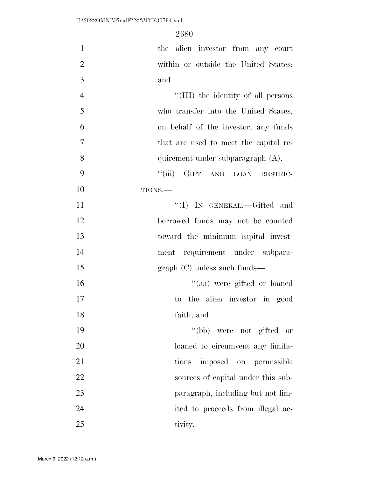| $\mathbf{1}$   | the alien investor from any court     |
|----------------|---------------------------------------|
| $\overline{2}$ | within or outside the United States;  |
| 3              | and                                   |
| $\overline{4}$ | "(III) the identity of all persons    |
| 5              | who transfer into the United States,  |
| 6              | on behalf of the investor, any funds  |
| 7              | that are used to meet the capital re- |
| 8              | quirement under subparagraph (A).     |
| 9              | ``(iii)<br>GIFT AND LOAN RESTRIC-     |
| 10             | TIONS.                                |
| 11             | "(I) IN GENERAL.—Gifted and           |
| 12             | borrowed funds may not be counted     |
| 13             | toward the minimum capital invest-    |
| 14             | ment requirement under subpara-       |
| 15             | $graph (C)$ unless such funds—        |
| 16             | "(aa) were gifted or loaned           |
| 17             | to the alien investor in good         |
| 18             | faith; and                            |
| 19             | "(bb) were not gifted or              |
| 20             | loaned to circumvent any limita-      |
| 21             | imposed on permissible<br>tions       |
| 22             | sources of capital under this sub-    |
| 23             | paragraph, including but not lim-     |
| 24             | ited to proceeds from illegal ac-     |
| 25             | tivity.                               |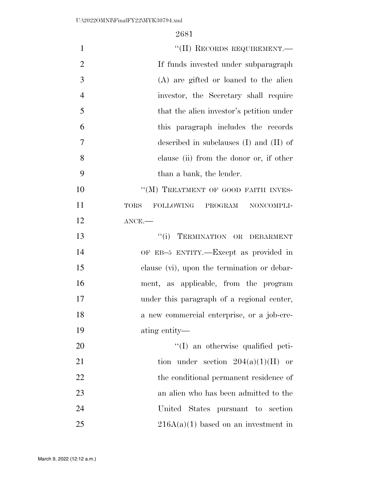| $\mathbf{1}$   | "(II) RECORDS REQUIREMENT.-                  |
|----------------|----------------------------------------------|
| $\overline{2}$ | If funds invested under subparagraph         |
| 3              | (A) are gifted or loaned to the alien        |
| $\overline{4}$ | investor, the Secretary shall require        |
| 5              | that the alien investor's petition under     |
| 6              | this paragraph includes the records          |
| 7              | described in subclauses $(I)$ and $(II)$ of  |
| 8              | clause (ii) from the donor or, if other      |
| 9              | than a bank, the lender.                     |
| 10             | "(M) TREATMENT OF GOOD FAITH INVES-          |
| 11             | FOLLOWING PROGRAM NONCOMPLI-<br>${\rm TORS}$ |
| 12             | $ANCE$ .                                     |
| 13             | "(i) TERMINATION OR DEBARMENT                |
| 14             | OF EB-5 ENTITY.—Except as provided in        |
| 15             | clause (vi), upon the termination or debar-  |
| 16             | ment, as applicable, from the program        |
| 17             | under this paragraph of a regional center,   |
| 18             | a new commercial enterprise, or a job-cre-   |
| 19             | ating entity—                                |
| 20             | "(I) an otherwise qualified peti-            |
| 21             | tion under section $204(a)(1)(H)$ or         |
| 22             | the conditional permanent residence of       |
| 23             | an alien who has been admitted to the        |
| 24             | United States pursuant to section            |
| 25             | $216A(a)(1)$ based on an investment in       |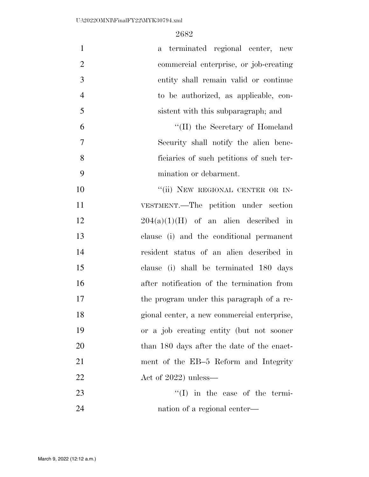| $\mathbf{1}$   | a terminated regional center, new           |
|----------------|---------------------------------------------|
| $\overline{2}$ | commercial enterprise, or job-creating      |
| 3              | entity shall remain valid or continue       |
| $\overline{4}$ | to be authorized, as applicable, con-       |
| 5              | sistent with this subparagraph; and         |
| 6              | "(II) the Secretary of Homeland             |
| $\tau$         | Security shall notify the alien bene-       |
| 8              | ficiaries of such petitions of such ter-    |
| 9              | mination or debarment.                      |
| 10             | "(ii) NEW REGIONAL CENTER OR IN-            |
| 11             | VESTMENT.—The petition under section        |
| 12             | $204(a)(1)(H)$ of an alien described in     |
| 13             | clause (i) and the conditional permanent    |
| 14             | resident status of an alien described in    |
| 15             | clause (i) shall be terminated 180 days     |
| 16             | after notification of the termination from  |
| 17             | the program under this paragraph of a re-   |
| 18             | gional center, a new commercial enterprise, |
| 19             | or a job creating entity (but not sooner    |
| 20             | than 180 days after the date of the enact-  |
| 21             | ment of the EB-5 Reform and Integrity       |
| 22             | Act of $2022$ ) unless—                     |
| 23             | $\lq\lq$ in the case of the termi-          |
| 24             | nation of a regional center—                |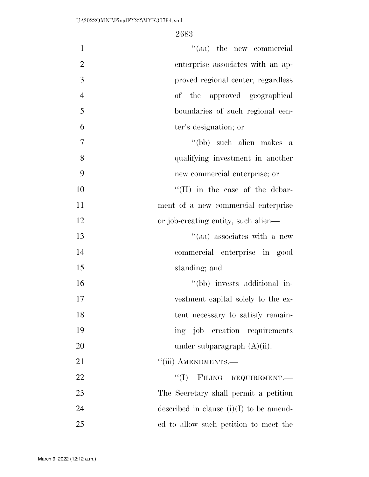| $\mathbf{1}$   | "(aa) the new commercial                  |
|----------------|-------------------------------------------|
| $\overline{2}$ | enterprise associates with an ap-         |
| 3              | proved regional center, regardless        |
| $\overline{4}$ | of the approved geographical              |
| 5              | boundaries of such regional cen-          |
| 6              | ter's designation; or                     |
| $\tau$         | "(bb) such alien makes a                  |
| 8              | qualifying investment in another          |
| 9              | new commercial enterprise; or             |
| 10             | $\lq\lq$ (II) in the case of the debar-   |
| 11             | ment of a new commercial enterprise       |
| 12             | or job-creating entity, such alien—       |
| 13             | "(aa) associates with a new               |
| 14             | commercial enterprise in good             |
| 15             | standing; and                             |
| 16             | "(bb) invests additional in-              |
| 17             | vestment capital solely to the ex-        |
| 18             | tent necessary to satisfy remain-         |
| 19             | ing job creation requirements             |
| 20             | under subparagraph $(A)(ii)$ .            |
| 21             | "(iii) AMENDMENTS.-                       |
| 22             | FILING REQUIREMENT.<br>``(I)              |
| 23             | The Secretary shall permit a petition     |
| 24             | described in clause $(i)(I)$ to be amend- |
| 25             | ed to allow such petition to meet the     |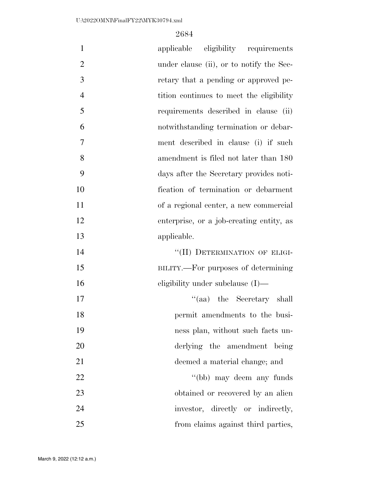| $\mathbf{1}$   | applicable eligibility requirements      |
|----------------|------------------------------------------|
| $\overline{2}$ | under clause (ii), or to notify the Sec- |
| 3              | retary that a pending or approved pe-    |
| $\overline{4}$ | tition continues to meet the eligibility |
| 5              | requirements described in clause (ii)    |
| 6              | notwithstanding termination or debar-    |
| $\overline{7}$ | ment described in clause (i) if such     |
| 8              | amendment is filed not later than 180    |
| 9              | days after the Secretary provides noti-  |
| 10             | fication of termination or debarment     |
| 11             | of a regional center, a new commercial   |
| 12             | enterprise, or a job-creating entity, as |
| 13             | applicable.                              |
| 14             | "(II) DETERMINATION OF ELIGI-            |
| 15             | BILITY.—For purposes of determining      |
| 16             | eligibility under subclause $(I)$ —      |
| 17             | "(aa) the Secretary shall                |
| 18             | permit amendments to the busi-           |
| 19             | ness plan, without such facts un-        |
| 20             | derlying the amendment being             |
| 21             | deemed a material change; and            |
| 22             | "(bb) may deem any funds                 |
| 23             | obtained or recovered by an alien        |
| 24             | investor, directly or indirectly,        |
| 25             | from claims against third parties,       |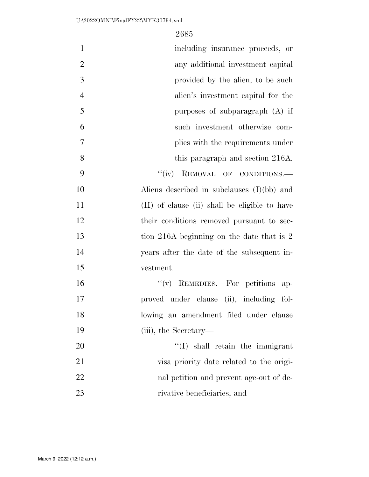| $\mathbf{1}$   | including insurance proceeds, or              |
|----------------|-----------------------------------------------|
| $\overline{2}$ | any additional investment capital             |
| 3              | provided by the alien, to be such             |
| $\overline{4}$ | alien's investment capital for the            |
| 5              | purposes of subparagraph $(A)$ if             |
| 6              | such investment otherwise com-                |
| $\overline{7}$ | plies with the requirements under             |
| 8              | this paragraph and section 216A.              |
| 9              | ``(iv)<br>REMOVAL OF CONDITIONS.              |
| 10             | Aliens described in subclauses $(I)(bb)$ and  |
| 11             | (II) of clause (ii) shall be eligible to have |
| 12             | their conditions removed pursuant to sec-     |
| 13             | tion 216A beginning on the date that is 2     |
| 14             | years after the date of the subsequent in-    |
| 15             | vestment.                                     |
| 16             | $``(v)$ REMEDIES.—For petitions<br>$ap-$      |
| 17             | proved under clause (ii), including fol-      |
| 18             | lowing an amendment filed under clause        |
| 19             | (iii), the Secretary—                         |
| 20             | "(I) shall retain the immigrant               |
| 21             | visa priority date related to the origi-      |
| 22             | nal petition and prevent age-out of de-       |
| 23             | rivative beneficiaries; and                   |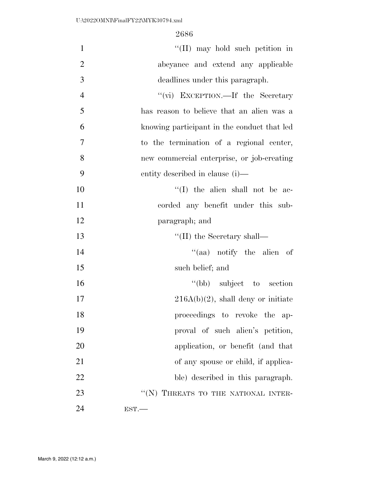| $\mathbf{1}$   | "(II) may hold such petition in             |
|----------------|---------------------------------------------|
| $\overline{2}$ | abeyance and extend any applicable          |
| 3              | deadlines under this paragraph.             |
| $\overline{4}$ | "(vi) EXCEPTION.—If the Secretary           |
| 5              | has reason to believe that an alien was a   |
| 6              | knowing participant in the conduct that led |
| 7              | to the termination of a regional center,    |
| 8              | new commercial enterprise, or job-creating  |
| 9              | entity described in clause (i)—             |
| 10             | $\lq\lq$ (I) the alien shall not be ac-     |
| 11             | corded any benefit under this sub-          |
| 12             | paragraph; and                              |
| 13             | $\lq\lq$ (II) the Secretary shall—          |
| 14             | "(aa) notify the alien of                   |
| 15             | such belief; and                            |
| 16             | "(bb) subject to section"                   |
| 17             | $216A(b)(2)$ , shall deny or initiate       |
| 18             | proceedings to revoke the ap-               |
| 19             | proval of such alien's petition,            |
| 20             | application, or benefit (and that           |
| 21             | of any spouse or child, if applica-         |
| 22             | ble) described in this paragraph.           |
| 23             | "(N) THREATS TO THE NATIONAL INTER-         |
| 24             | EST.                                        |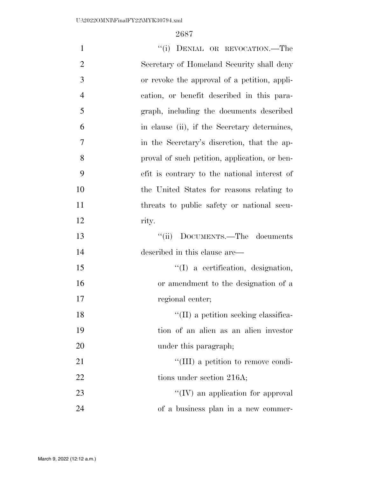| $\mathbf{1}$   | "(i) DENIAL OR REVOCATION.—The                |
|----------------|-----------------------------------------------|
| $\overline{2}$ | Secretary of Homeland Security shall deny     |
| 3              | or revoke the approval of a petition, appli-  |
| $\overline{4}$ | cation, or benefit described in this para-    |
| 5              | graph, including the documents described      |
| 6              | in clause (ii), if the Secretary determines,  |
| 7              | in the Secretary's discretion, that the ap-   |
| 8              | proval of such petition, application, or ben- |
| 9              | efit is contrary to the national interest of  |
| 10             | the United States for reasons relating to     |
| 11             | threats to public safety or national secu-    |
| 12             | rity.                                         |
| 13             | "(ii) DOCUMENTS.—The documents                |
| 14             | described in this clause are—                 |
| 15             | $\lq\lq$ a certification, designation,        |
| 16             | or amendment to the designation of a          |
| 17             | regional center;                              |
| 18             | $\lq\lq$ (II) a petition seeking classifica-  |
| 19             | tion of an alien as an alien investor         |
| <b>20</b>      | under this paragraph;                         |
| 21             | "(III) a petition to remove condi-            |
| 22             | tions under section 216A;                     |
| 23             | $\lq\lq$ (IV) an application for approval     |
| 24             | of a business plan in a new commer-           |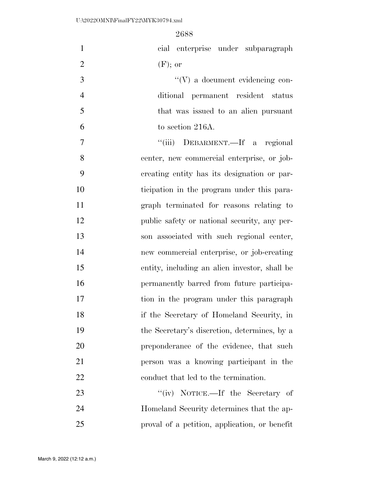| $\mathbf{1}$   | cial enterprise under subparagraph            |
|----------------|-----------------------------------------------|
| $\overline{2}$ | $(F)$ ; or                                    |
| 3              | $\lq\lq(V)$ a document evidencing con-        |
| $\overline{4}$ | ditional permanent resident status            |
| $\mathfrak{S}$ | that was issued to an alien pursuant          |
| 6              | to section 216A.                              |
| $\tau$         | "(iii) DEBARMENT.—If a regional               |
| 8              | center, new commercial enterprise, or job-    |
| 9              | creating entity has its designation or par-   |
| 10             | ticipation in the program under this para-    |
| 11             | graph terminated for reasons relating to      |
| 12             | public safety or national security, any per-  |
| 13             | son associated with such regional center,     |
| 14             | new commercial enterprise, or job-creating    |
| 15             | entity, including an alien investor, shall be |
| 16             | permanently barred from future participa-     |
| 17             | tion in the program under this paragraph      |
| 18             | if the Secretary of Homeland Security, in     |
| 19             | the Secretary's discretion, determines, by a  |
| 20             | preponderance of the evidence, that such      |
| 21             | person was a knowing participant in the       |
| 22             | conduct that led to the termination.          |
| 23             | "(iv) NOTICE.—If the Secretary of             |
| 24             | Homeland Security determines that the ap-     |
| 25             | proval of a petition, application, or benefit |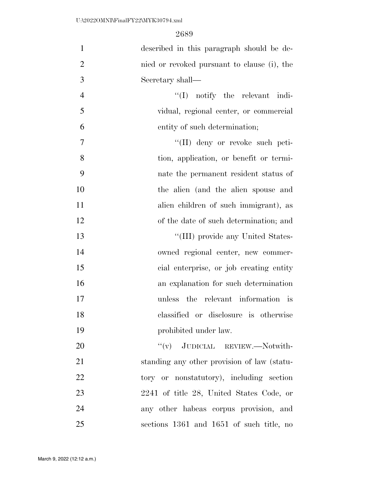| $\mathbf{1}$   | described in this paragraph should be de-   |
|----------------|---------------------------------------------|
| $\overline{2}$ | nied or revoked pursuant to clause (i), the |
| 3              | Secretary shall—                            |
| $\overline{4}$ | $\lq\lq$ notify the relevant indi-          |
| 5              | vidual, regional center, or commercial      |
| 6              | entity of such determination;               |
| 7              | "(II) deny or revoke such peti-             |
| 8              | tion, application, or benefit or termi-     |
| 9              | nate the permanent resident status of       |
| 10             | the alien (and the alien spouse and         |
| 11             | alien children of such immigrant), as       |
| 12             | of the date of such determination; and      |
| 13             | "(III) provide any United States-           |
| 14             | owned regional center, new commer-          |
| 15             | cial enterprise, or job creating entity     |
| 16             | an explanation for such determination       |
| 17             | unless the relevant information is          |
| 18             | classified or disclosure is otherwise       |
| 19             | prohibited under law.                       |
| 20             | "(v) JUDICIAL REVIEW.—Notwith-              |
| 21             | standing any other provision of law (statu- |
| 22             | tory or nonstatutory), including section    |
| 23             | 2241 of title 28, United States Code, or    |
| 24             | any other habeas corpus provision, and      |
| 25             | sections 1361 and 1651 of such title, no    |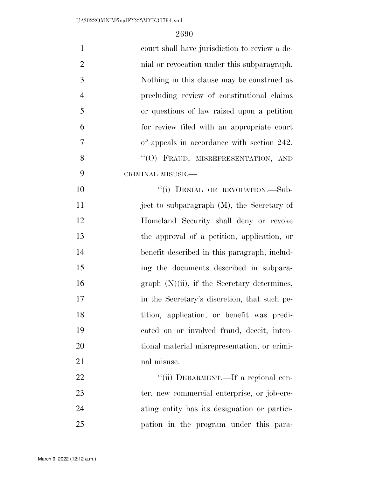| $\mathbf{1}$   | court shall have jurisdiction to review a de-  |
|----------------|------------------------------------------------|
| $\overline{2}$ | mial or revocation under this subparagraph.    |
| 3              | Nothing in this clause may be construed as     |
| $\overline{4}$ | precluding review of constitutional claims     |
| 5              | or questions of law raised upon a petition     |
| 6              | for review filed with an appropriate court     |
| $\tau$         | of appeals in accordance with section 242.     |
| 8              | "(O) FRAUD, MISREPRESENTATION, AND             |
| 9              | CRIMINAL MISUSE.-                              |
| 10             | "(i) DENIAL OR REVOCATION.-Sub-                |
| 11             | ject to subparagraph (M), the Secretary of     |
| 12             | Homeland Security shall deny or revoke         |
| 13             | the approval of a petition, application, or    |
| 14             | benefit described in this paragraph, includ-   |
| 15             | ing the documents described in subpara-        |
| 16             | graph $(N)(ii)$ , if the Secretary determines, |
| 17             | in the Secretary's discretion, that such pe-   |
| 18             | tition, application, or benefit was predi-     |
| 19             | cated on or involved fraud, deceit, inten-     |
| 20             | tional material misrepresentation, or crimi-   |
| 21             | nal misuse.                                    |
| 22             | "(ii) DEBARMENT.—If a regional cen-            |
| 23             | ter, new commercial enterprise, or job-cre-    |
| 24             | ating entity has its designation or partici-   |
| 25             | pation in the program under this para-         |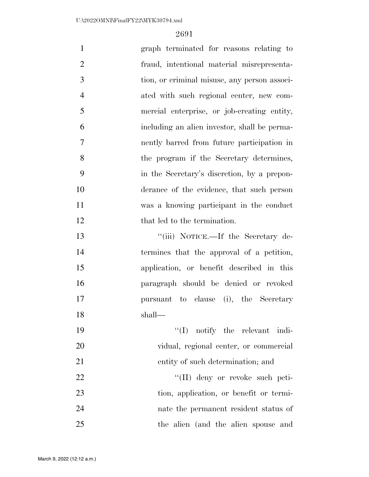| $\mathbf{1}$   | graph terminated for reasons relating to     |
|----------------|----------------------------------------------|
| $\overline{2}$ | fraud, intentional material misrepresenta-   |
| 3              | tion, or criminal misuse, any person associ- |
| $\overline{4}$ | ated with such regional center, new com-     |
| 5              | mercial enterprise, or job-creating entity,  |
| 6              | including an alien investor, shall be perma- |
| $\overline{7}$ | nently barred from future participation in   |
| 8              | the program if the Secretary determines,     |
| 9              | in the Secretary's discretion, by a prepon-  |
| 10             | derance of the evidence, that such person    |
| 11             | was a knowing participant in the conduct     |
| 12             | that led to the termination.                 |
| 13             | "(iii) NOTICE.—If the Secretary de-          |
| 14             | termines that the approval of a petition,    |
| 15             | application, or benefit described in this    |
| 16             | paragraph should be denied or revoked        |
| 17             | pursuant to clause (i), the Secretary        |
| 18             | shall-                                       |
| 19             | $\lq\lq$ (I) notify the relevant indi-       |
| 20             | vidual, regional center, or commercial       |
| 21             | entity of such determination; and            |
| 22             | "(II) deny or revoke such peti-              |
| 23             | tion, application, or benefit or termi-      |
| 24             | nate the permanent resident status of        |
| 25             | the alien (and the alien spouse and          |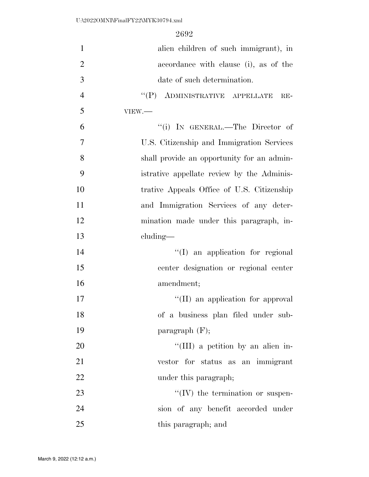| $\mathbf{1}$   | alien children of such immigrant), in                                    |
|----------------|--------------------------------------------------------------------------|
| $\overline{2}$ | accordance with clause (i), as of the                                    |
| 3              | date of such determination.                                              |
| $\overline{4}$ | $\lq\lq (P) \quad \text{ADMINISTRATIVE} \quad \text{APPELLATE}$<br>$RE-$ |
| 5              | VIEW.                                                                    |
| 6              | "(i) IN GENERAL.—The Director of                                         |
| $\overline{7}$ | U.S. Citizenship and Immigration Services                                |
| 8              | shall provide an opportunity for an admin-                               |
| 9              | istrative appellate review by the Adminis-                               |
| 10             | trative Appeals Office of U.S. Citizenship                               |
| 11             | and Immigration Services of any deter-                                   |
| 12             | mination made under this paragraph, in-                                  |
| 13             | $cluding$ —                                                              |
| 14             | "(I) an application for regional                                         |
| 15             | center designation or regional center                                    |
| 16             | amendment;                                                               |
| 17             | "(II) an application for approval                                        |
| 18             | of a business plan filed under sub-                                      |
| 19             | paragraph $(F)$ ;                                                        |
| 20             | "(III) a petition by an alien in-                                        |
| 21             | vestor for status as an immigrant                                        |
| 22             | under this paragraph;                                                    |
| 23             | $\lq\lq$ (IV) the termination or suspen-                                 |
| 24             | sion of any benefit accorded under                                       |
| 25             | this paragraph; and                                                      |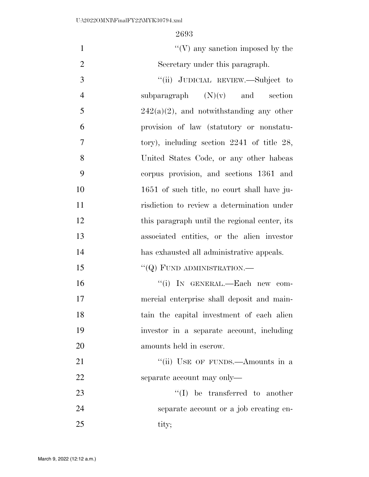| $\mathbf{1}$   | $\lq\lq(V)$ any sanction imposed by the         |
|----------------|-------------------------------------------------|
| $\overline{2}$ | Secretary under this paragraph.                 |
| 3              | "(ii) JUDICIAL REVIEW.—Subject to               |
| $\overline{4}$ | subparagraph $(N)(v)$ and section               |
| 5              | $242(a)(2)$ , and notwithstanding any other     |
| 6              | provision of law (statutory or nonstatu-        |
| 7              | tory), including section $2241$ of title $28$ , |
| 8              | United States Code, or any other habeas         |
| 9              | corpus provision, and sections 1361 and         |
| 10             | 1651 of such title, no court shall have ju-     |
| 11             | risdiction to review a determination under      |
| 12             | this paragraph until the regional center, its   |
| 13             | associated entities, or the alien investor      |
| 14             | has exhausted all administrative appeals.       |
| 15             | $``(Q)$ FUND ADMINISTRATION.—                   |
| 16             | "(i) IN GENERAL.-Each new com-                  |
| 17             | mercial enterprise shall deposit and main-      |
| 18             | tain the capital investment of each alien       |
| 19             | investor in a separate account, including       |
| 20             | amounts held in escrow.                         |
| 21             | "(ii) USE OF FUNDS.—Amounts in a                |
| 22             | separate account may only—                      |
| 23             | $\lq\lq$ be transferred to another              |
| 24             | separate account or a job creating en-          |
| 25             | tity;                                           |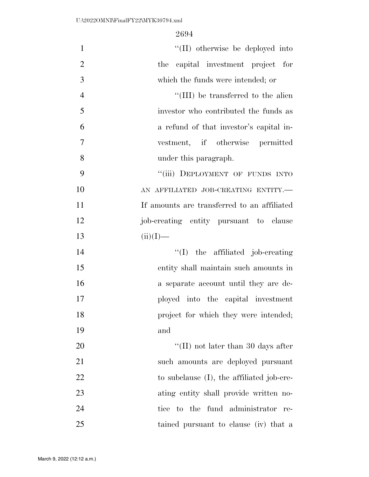| $\mathbf{1}$   | "(II) otherwise be deployed into            |
|----------------|---------------------------------------------|
| $\overline{2}$ | the capital investment project for          |
| 3              | which the funds were intended; or           |
| $\overline{4}$ | "(III) be transferred to the alien          |
| 5              | investor who contributed the funds as       |
| 6              | a refund of that investor's capital in-     |
| 7              | vestment, if otherwise permitted            |
| 8              | under this paragraph.                       |
| 9              | "(iii) DEPLOYMENT OF FUNDS INTO             |
| 10             | AN AFFILIATED JOB-CREATING ENTITY.-         |
| 11             | If amounts are transferred to an affiliated |
| 12             | job-creating entity pursuant to clause      |
| 13             | $(ii)(I)$ —                                 |
| 14             | $\lq\lq$ (I) the affiliated job-creating    |
| 15             | entity shall maintain such amounts in       |
| 16             | a separate account until they are de-       |
| 17             | ployed into the capital investment          |
| 18             | project for which they were intended;       |
| 19             | and                                         |
| 20             | "(II) not later than 30 days after          |
| 21             | such amounts are deployed pursuant          |
| 22             | to subclause (I), the affiliated job-cre-   |
| 23             | ating entity shall provide written no-      |
| 24             | tice to the fund administrator<br>re-       |
| 25             | tained pursuant to clause (iv) that a       |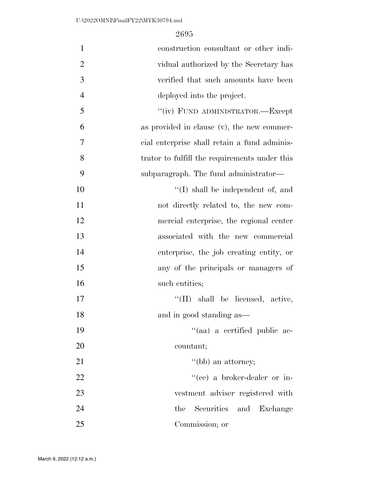| $\mathbf{1}$   | construction consultant or other indi-        |
|----------------|-----------------------------------------------|
| $\overline{2}$ | vidual authorized by the Secretary has        |
| 3              | verified that such amounts have been          |
| 4              | deployed into the project.                    |
| 5              | "(iv) FUND ADMINISTRATOR.-Except              |
| 6              | as provided in clause (v), the new commer-    |
| 7              | cial enterprise shall retain a fund adminis-  |
| 8              | trator to fulfill the requirements under this |
| 9              | subparagraph. The fund administrator—         |
| 10             | $\lq\lq$ shall be independent of, and         |
| 11             | not directly related to, the new com-         |
| 12             | mercial enterprise, the regional center       |
| 13             | associated with the new commercial            |
| 14             | enterprise, the job creating entity, or       |
| 15             | any of the principals or managers of          |
| 16             | such entities;                                |
| 17             | $\lq\lq$ (II) shall be licensed, active,      |
| 18             | and in good standing as—                      |
| 19             | "(aa) a certified public ac-                  |
| 20             | countant;                                     |
| 21             | $\lq\lq(bb)$ an attorney;                     |
| 22             | "(ce) a broker-dealer or in-                  |
| 23             | vestment adviser registered with              |
| 24             | Securities and<br>the<br>Exchange             |
| 25             | Commission; or                                |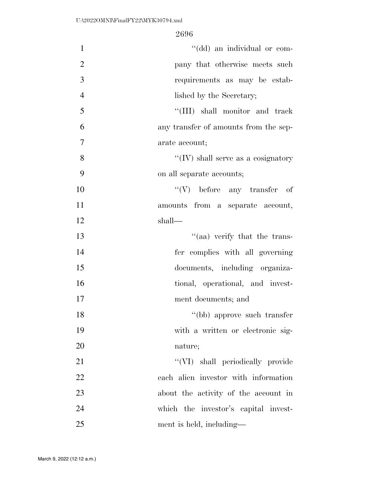| $\mathbf{1}$   | "(dd) an individual or com-                |
|----------------|--------------------------------------------|
| $\overline{2}$ | pany that otherwise meets such             |
| 3              | requirements as may be estab-              |
| $\overline{4}$ | lished by the Secretary;                   |
| 5              | "(III) shall monitor and track             |
| 6              | any transfer of amounts from the sep-      |
| $\overline{7}$ | arate account;                             |
| 8              | $\lq\lq$ (IV) shall serve as a cosignatory |
| 9              | on all separate accounts;                  |
| 10             | $``(V)$ before any transfer of             |
| 11             | amounts from a separate account,           |
| 12             | shall—                                     |
| 13             | "(aa) verify that the trans-               |
| 14             | fer complies with all governing            |
| 15             | documents, including organiza-             |
| 16             | tional, operational, and invest-           |
| 17             | ment documents; and                        |
| 18             | "(bb) approve such transfer                |
| 19             | with a written or electronic sig-          |
| 20             | nature;                                    |
| 21             | "(VI) shall periodically provide           |
| 22             | each alien investor with information       |
| 23             | about the activity of the account in       |
| 24             | which the investor's capital invest-       |
| 25             | ment is held, including—                   |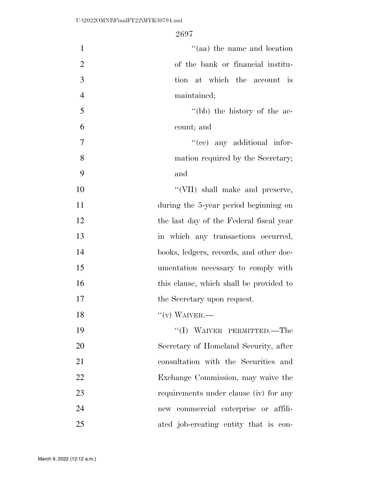| $\mathbf{1}$   | "(aa) the name and location             |
|----------------|-----------------------------------------|
| $\overline{2}$ | of the bank or financial institu-       |
| 3              | tion at which the account is            |
| $\overline{4}$ | maintained;                             |
| 5              | "(bb) the history of the ac-            |
| 6              | count; and                              |
| 7              | "(ce) any additional infor-             |
| 8              | mation required by the Secretary;       |
| 9              | and                                     |
| 10             | "(VII) shall make and preserve,         |
| 11             | during the 5-year period beginning on   |
| 12             | the last day of the Federal fiscal year |
| 13             | in which any transactions occurred,     |
| 14             | books, ledgers, records, and other doc- |
| 15             | umentation necessary to comply with     |
| 16             | this clause, which shall be provided to |
| 17             | the Secretary upon request.             |
| 18             | $``(v)$ WAIVER.—                        |
| 19             | "(I) WAIVER PERMITTED.—The              |
| 20             | Secretary of Homeland Security, after   |
| 21             | consultation with the Securities and    |
| 22             | Exchange Commission, may waive the      |
| 23             | requirements under clause (iv) for any  |
| 24             | new commercial enterprise or affili-    |
| 25             | ated job-creating entity that is con-   |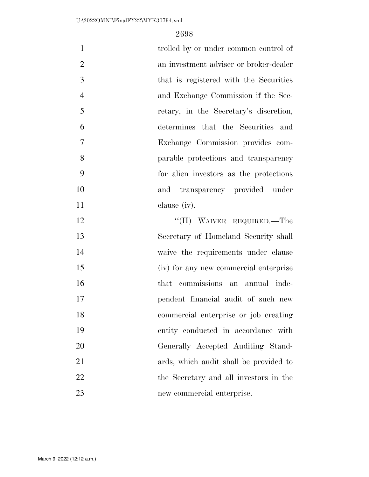| $\mathbf{1}$   | trolled by or under common control of  |
|----------------|----------------------------------------|
| $\overline{2}$ | an investment adviser or broker-dealer |
| 3              | that is registered with the Securities |
| $\overline{4}$ | and Exchange Commission if the Sec-    |
| 5              | retary, in the Secretary's discretion, |
| 6              | determines that the Securities and     |
| 7              | Exchange Commission provides com-      |
| 8              | parable protections and transparency   |
| 9              | for alien investors as the protections |
| 10             | and transparency provided under        |
| 11             | clause (iv).                           |
| 12             | "(II) WAIVER REQUIRED.—The             |
| 13             | Secretary of Homeland Security shall   |
| 14             | waive the requirements under clause    |
| 15             | (iv) for any new commercial enterprise |
| 16             | that commissions an annual inde-       |
| 17             | pendent financial audit of such new    |
| 18             | commercial enterprise or job creating  |
| 19             | entity conducted in accordance with    |
| 20             | Generally Accepted Auditing Stand-     |
| 21             | ards, which audit shall be provided to |
| 22             | the Secretary and all investors in the |
| 23             | new commercial enterprise.             |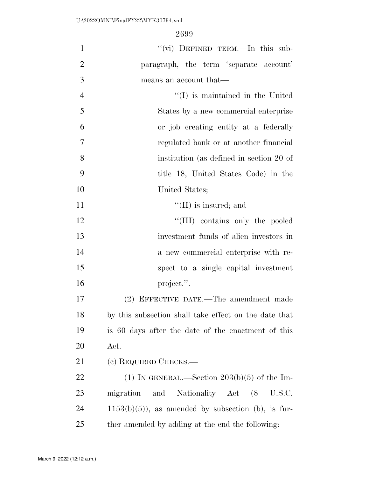| $\mathbf{1}$   | "(vi) DEFINED TERM.-In this sub-                      |
|----------------|-------------------------------------------------------|
| $\overline{2}$ | paragraph, the term 'separate account'                |
| 3              | means an account that—                                |
| $\overline{4}$ | $\lq\lq$ is maintained in the United                  |
| 5              | States by a new commercial enterprise                 |
| 6              | or job creating entity at a federally                 |
| $\overline{7}$ | regulated bank or at another financial                |
| 8              | institution (as defined in section 20 of              |
| 9              | title 18, United States Code) in the                  |
| 10             | United States;                                        |
| 11             | $\lq\lq$ (II) is insured; and                         |
| 12             | "(III) contains only the pooled                       |
| 13             | investment funds of alien investors in                |
| 14             | a new commercial enterprise with re-                  |
| 15             | spect to a single capital investment                  |
| 16             | project.".                                            |
| 17             | (2) EFFECTIVE DATE.—The amendment made                |
| 18             | by this subsection shall take effect on the date that |
| 19             | is 60 days after the date of the enactment of this    |
| 20             | Act.                                                  |
| 21             | (c) REQUIRED CHECKS.—                                 |
| 22             | (1) IN GENERAL.—Section $203(b)(5)$ of the Im-        |
| 23             | migration<br>Nationality Act (8<br>and<br>U.S.C.      |
| 24             | $1153(b)(5)$ , as amended by subsection (b), is fur-  |
| 25             | ther amended by adding at the end the following:      |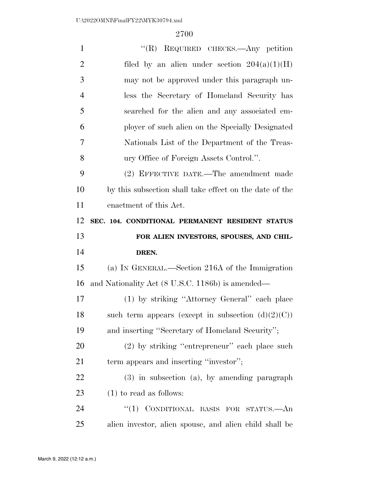| $\mathbf{1}$   | "(R) REQUIRED CHECKS.—Any petition                      |
|----------------|---------------------------------------------------------|
| $\overline{2}$ | filed by an alien under section $204(a)(1)(H)$          |
| 3              | may not be approved under this paragraph un-            |
| $\overline{4}$ | less the Secretary of Homeland Security has             |
| 5              | searched for the alien and any associated em-           |
| 6              | ployer of such alien on the Specially Designated        |
| 7              | Nationals List of the Department of the Treas-          |
| 8              | ury Office of Foreign Assets Control.".                 |
| 9              | (2) EFFECTIVE DATE.—The amendment made                  |
| 10             | by this subsection shall take effect on the date of the |
| 11             | enactment of this Act.                                  |
| 12             | SEC. 104. CONDITIONAL PERMANENT RESIDENT STATUS         |
|                |                                                         |
| 13             | FOR ALIEN INVESTORS, SPOUSES, AND CHIL-                 |
| 14             | DREN.                                                   |
| 15             | (a) IN GENERAL.—Section 216A of the Immigration         |
| 16             | and Nationality Act (8 U.S.C. 1186b) is amended—        |
| 17             | (1) by striking "Attorney General" each place           |
| 18             | such term appears (except in subsection $(d)(2)(C)$ )   |
| 19             | and inserting "Secretary of Homeland Security";         |
| <b>20</b>      | $(2)$ by striking "entrepreneur" each place such        |
| 21             | term appears and inserting "investor";                  |
| 22             | $(3)$ in subsection $(a)$ , by amending paragraph       |
| 23             | $(1)$ to read as follows:                               |
| 24             | CONDITIONAL BASIS FOR STATUS.- An<br>``(1)              |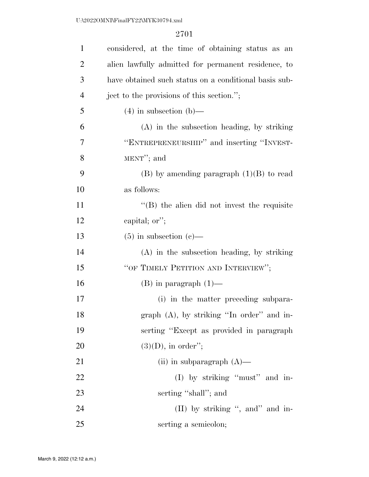| $\mathbf{1}$   | considered, at the time of obtaining status as an     |
|----------------|-------------------------------------------------------|
| $\overline{2}$ | alien lawfully admitted for permanent residence, to   |
| 3              | have obtained such status on a conditional basis sub- |
| $\overline{4}$ | ject to the provisions of this section.";             |
| 5              | $(4)$ in subsection $(b)$ —                           |
| 6              | (A) in the subsection heading, by striking            |
| 7              | "ENTREPRENEURSHIP" and inserting "INVEST-             |
| 8              | MENT"; and                                            |
| 9              | $(B)$ by amending paragraph $(1)(B)$ to read          |
| 10             | as follows:                                           |
| 11             | $\cdot$ (B) the alien did not invest the requisite    |
| 12             | capital; or";                                         |
| 13             | $(5)$ in subsection $(e)$ —                           |
| 14             | (A) in the subsection heading, by striking            |
| 15             | "OF TIMELY PETITION AND INTERVIEW";                   |
| 16             | $(B)$ in paragraph $(1)$ —                            |
| 17             | (i) in the matter preceding subpara-                  |
| 18             | graph (A), by striking "In order" and in-             |
| 19             | serting "Except as provided in paragraph"             |
| 20             | $(3)(D)$ , in order";                                 |
| 21             | (ii) in subparagraph $(A)$ —                          |
| 22             | (I) by striking "must" and in-                        |
| 23             | serting "shall"; and                                  |
| 24             | (II) by striking ", and" and in-                      |
| 25             | serting a semicolon;                                  |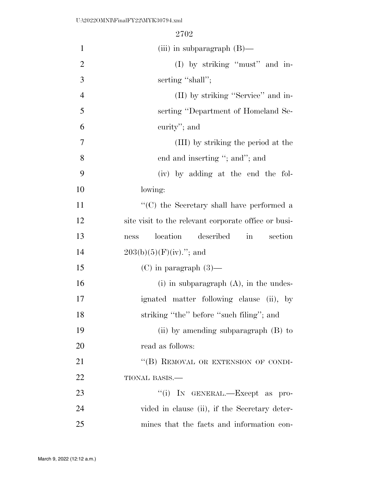| $\mathbf{1}$   | (iii) in subparagraph $(B)$ —                                   |
|----------------|-----------------------------------------------------------------|
| $\overline{2}$ | (I) by striking "must" and in-                                  |
| 3              | serting "shall";                                                |
| $\overline{4}$ | (II) by striking "Service" and in-                              |
| 5              | serting "Department of Homeland Se-                             |
| 6              | curity"; and                                                    |
| $\overline{7}$ | (III) by striking the period at the                             |
| 8              | end and inserting "; and"; and                                  |
| 9              | (iv) by adding at the end the fol-                              |
| 10             | lowing:                                                         |
| 11             | $\lq\lq (C)$ the Secretary shall have performed a               |
| 12             | site visit to the relevant corporate office or busi-            |
| 13             | location<br>described<br>section<br>$\operatorname{in}$<br>ness |
| 14             | $203(b)(5)(F)(iv)$ ; and                                        |
| 15             | $(C)$ in paragraph $(3)$ —                                      |
| 16             | $(i)$ in subparagraph $(A)$ , in the undes-                     |
| 17             | ignated matter following clause (ii), by                        |
| 18             | striking "the" before "such filing"; and                        |
| 19             | (ii) by amending subparagraph $(B)$ to                          |
| 20             | read as follows:                                                |
| 21             | "(B) REMOVAL OR EXTENSION OF CONDI-                             |
| 22             | TIONAL BASIS.-                                                  |
| 23             | "(i) IN GENERAL.—Except as pro-                                 |
| 24             | vided in clause (ii), if the Secretary deter-                   |
| 25             | mines that the facts and information con-                       |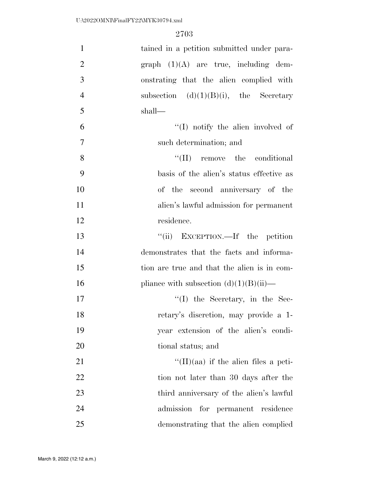| $\mathbf{1}$   | tained in a petition submitted under para-   |
|----------------|----------------------------------------------|
| $\overline{2}$ | $graph (1)(A)$ are true, including dem-      |
| 3              | onstrating that the alien complied with      |
| $\overline{4}$ | subsection $(d)(1)(B)(i)$ , the Secretary    |
| 5              | shall—                                       |
| 6              | $\lq\lq$ . The same involved of              |
| $\overline{7}$ | such determination; and                      |
| 8              | $\lq\lq$ (II) remove the conditional         |
| 9              | basis of the alien's status effective as     |
| 10             | of the second anniversary of the             |
| 11             | alien's lawful admission for permanent       |
| 12             | residence.                                   |
| 13             | "(ii) EXCEPTION.—If the petition             |
| 14             | demonstrates that the facts and informa-     |
| 15             | tion are true and that the alien is in com-  |
| 16             | pliance with subsection $(d)(1)(B)(ii)$ —    |
| 17             | $\lq\lq$ (I) the Secretary, in the Sec-      |
| 18             | retary's discretion, may provide a 1-        |
| 19             | year extension of the alien's condi-         |
| 20             | tional status; and                           |
| 21             | $\lq\lq$ (II)(aa) if the alien files a peti- |
| 22             | tion not later than 30 days after the        |
| 23             | third anniversary of the alien's lawful      |
| 24             | admission for permanent residence            |
| 25             | demonstrating that the alien complied        |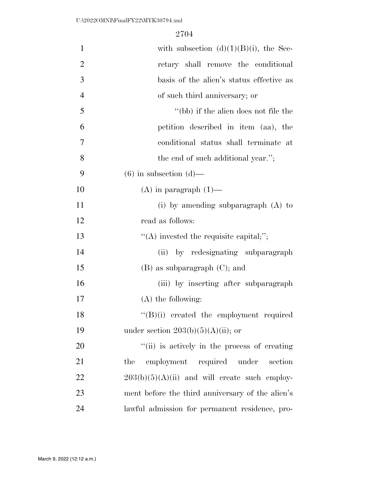| $\mathbf{1}$   | with subsection $(d)(1)(B)(i)$ , the Sec-        |
|----------------|--------------------------------------------------|
| $\overline{2}$ | retary shall remove the conditional              |
| 3              | basis of the alien's status effective as         |
| $\overline{4}$ | of such third anniversary; or                    |
| 5              | "(bb) if the alien does not file the             |
| 6              | petition described in item (aa), the             |
| 7              | conditional status shall terminate at            |
| 8              | the end of such additional year.";               |
| 9              | $(6)$ in subsection $(d)$ —                      |
| 10             | $(A)$ in paragraph $(1)$ —                       |
| 11             | $(i)$ by amending subparagraph $(A)$ to          |
| 12             | read as follows:                                 |
| 13             | $\lq\lq$ invested the requisite capital;";       |
| 14             | by redesignating subparagraph<br>(ii)            |
| 15             | $(B)$ as subparagraph $(C)$ ; and                |
| 16             | (iii) by inserting after subparagraph            |
| 17             | $(A)$ the following:                             |
| 18             | $\lq\lq(B)(i)$ created the employment required   |
| 19             | under section $203(b)(5)(A)(ii)$ ; or            |
| 20             | "(ii) is actively in the process of creating     |
| 21             | employment required under section<br>the         |
| 22             | $203(b)(5)(A)(ii)$ and will create such employ-  |
| 23             | ment before the third anniversary of the alien's |
| 24             | lawful admission for permanent residence, pro-   |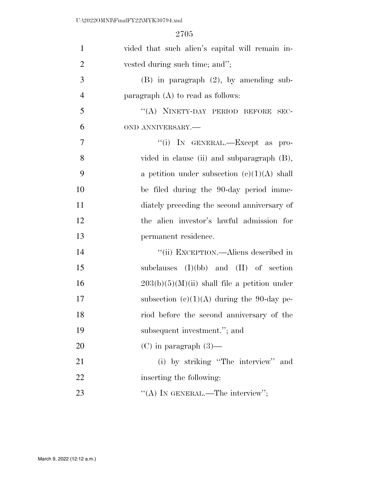| $\mathbf{1}$   | vided that such alien's capital will remain in- |
|----------------|-------------------------------------------------|
| $\overline{2}$ | vested during such time; and";                  |
| 3              | $(B)$ in paragraph $(2)$ , by amending sub-     |
| $\overline{4}$ | paragraph $(A)$ to read as follows:             |
| 5              | "(A) NINETY-DAY PERIOD BEFORE SEC-              |
| 6              | OND ANNIVERSARY.-                               |
| $\tau$         | "(i) IN GENERAL.—Except as pro-                 |
| 8              | vided in clause (ii) and subparagraph (B),      |
| 9              | a petition under subsection $(c)(1)(A)$ shall   |
| 10             | be filed during the 90-day period imme-         |
| 11             | diately preceding the second anniversary of     |
| 12             | the alien investor's lawful admission for       |
| 13             | permanent residence.                            |
| 14             | "(ii) EXCEPTION.—Aliens described in            |
| 15             | subclauses $(I)(bb)$ and $(II)$ of section      |
| 16             | $203(b)(5)(M)(ii)$ shall file a petition under  |
| 17             | subsection $(c)(1)(A)$ during the 90-day pe-    |
| 18             | riod before the second anniversary of the       |
| 19             | subsequent investment."; and                    |
| 20             | $(C)$ in paragraph $(3)$ —                      |
| 21             | (i) by striking "The interview" and             |
| 22             | inserting the following:                        |
| 23             | "(A) IN GENERAL.—The interview";                |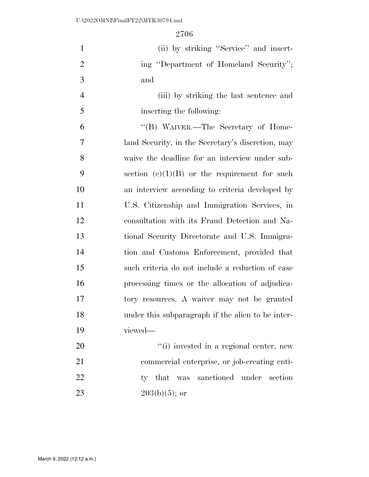| $\mathbf{1}$   | (ii) by striking "Service" and insert-              |
|----------------|-----------------------------------------------------|
| $\overline{2}$ | ing "Department of Homeland Security";              |
| 3              | and                                                 |
| $\overline{4}$ | (iii) by striking the last sentence and             |
| 5              | inserting the following:                            |
| 6              | "(B) WAIVER.—The Secretary of Home-                 |
| 7              | land Security, in the Secretary's discretion, may   |
| 8              | waive the deadline for an interview under sub-      |
| 9              | section $(e)(1)(B)$ or the requirement for such     |
| 10             | an interview according to criteria developed by     |
| 11             | U.S. Citizenship and Immigration Services, in       |
| 12             | consultation with its Fraud Detection and Na-       |
| 13             | tional Security Directorate and U.S. Immigra-       |
| 14             | tion and Customs Enforcement, provided that         |
| 15             | such criteria do not include a reduction of case    |
| 16             | processing times or the allocation of adjudica-     |
| 17             | tory resources. A waiver may not be granted         |
| 18             | under this subparagraph if the alien to be inter-   |
| 19             | viewed-                                             |
| 20             | "(i) invested in a regional center, new             |
| 21             | commercial enterprise, or job-creating enti-        |
| 22             | sanctioned<br>that<br>under<br>section<br>ty<br>was |
| 23             | $203(b)(5)$ ; or                                    |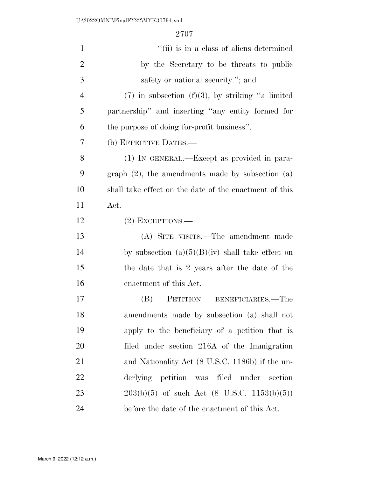| $\mathbf{1}$   | "(ii) is in a class of aliens determined                 |
|----------------|----------------------------------------------------------|
| $\overline{2}$ | by the Secretary to be threats to public                 |
| 3              | safety or national security."; and                       |
| $\overline{4}$ | $(7)$ in subsection $(f)(3)$ , by striking "a limited"   |
| 5              | partnership" and inserting "any entity formed for        |
| 6              | the purpose of doing for-profit business".               |
| 7              | (b) EFFECTIVE DATES.—                                    |
| 8              | (1) IN GENERAL.—Except as provided in para-              |
| 9              | graph $(2)$ , the amendments made by subsection $(a)$    |
| 10             | shall take effect on the date of the enactment of this   |
| 11             | Act.                                                     |
| 12             | $(2)$ EXCEPTIONS.—                                       |
| 13             | (A) SITE VISITS.—The amendment made                      |
| 14             | by subsection $(a)(5)(B)(iv)$ shall take effect on       |
| 15             | the date that is 2 years after the date of the           |
| 16             | enactment of this Act.                                   |
| 17             | PETITION<br>BENEFICIARIES.—The<br>(B)                    |
| 18             | amendments made by subsection (a) shall not              |
| 19             | apply to the beneficiary of a petition that is           |
| 20             | filed under section 216A of the Immigration              |
| 21             | and Nationality Act (8 U.S.C. 1186b) if the un-          |
| 22             | derlying petition was filed under<br>section             |
| 23             | $203(b)(5)$ of such Act $(8 \text{ U.S.C. } 1153(b)(5))$ |
| 24             | before the date of the enactment of this Act.            |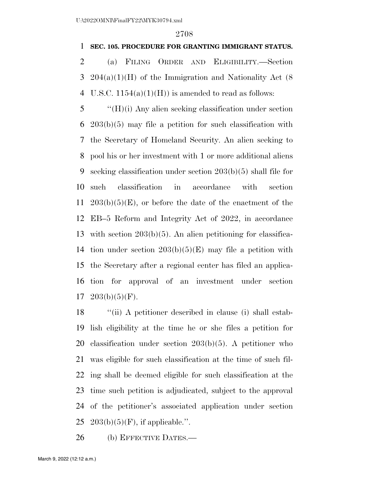### **SEC. 105. PROCEDURE FOR GRANTING IMMIGRANT STATUS.**

 (a) FILING ORDER AND ELIGIBILITY.—Section 204(a)(1)(H) of the Immigration and Nationality Act (8 4 U.S.C.  $1154(a)(1)(H)$  is amended to read as follows:

 ''(H)(i) Any alien seeking classification under section 203(b)(5) may file a petition for such classification with the Secretary of Homeland Security. An alien seeking to pool his or her investment with 1 or more additional aliens seeking classification under section 203(b)(5) shall file for such classification in accordance with section  $203(b)(5)(E)$ , or before the date of the enactment of the EB–5 Reform and Integrity Act of 2022, in accordance with section 203(b)(5). An alien petitioning for classifica-14 tion under section  $203(b)(5)(E)$  may file a petition with the Secretary after a regional center has filed an applica- tion for approval of an investment under section  $17 \quad 203(b)(5)(F)$ .

 ''(ii) A petitioner described in clause (i) shall estab- lish eligibility at the time he or she files a petition for classification under section 203(b)(5). A petitioner who was eligible for such classification at the time of such fil- ing shall be deemed eligible for such classification at the time such petition is adjudicated, subject to the approval of the petitioner's associated application under section 25 203(b)(5)(F), if applicable.".

(b) EFFECTIVE DATES.—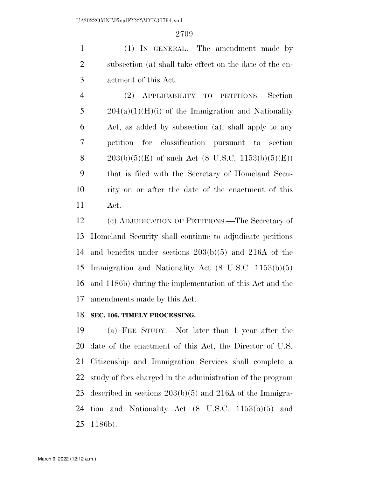(1) IN GENERAL.—The amendment made by subsection (a) shall take effect on the date of the en-actment of this Act.

 (2) APPLICABILITY TO PETITIONS.—Section  $5 \qquad 204(a)(1)(H)(i)$  of the Immigration and Nationality Act, as added by subsection (a), shall apply to any petition for classification pursuant to section 8 203(b)(5)(E) of such Act (8 U.S.C. 1153(b)(5)(E)) that is filed with the Secretary of Homeland Secu- rity on or after the date of the enactment of this Act.

 (c) ADJUDICATION OF PETITIONS.—The Secretary of Homeland Security shall continue to adjudicate petitions and benefits under sections 203(b)(5) and 216A of the Immigration and Nationality Act (8 U.S.C. 1153(b)(5) and 1186b) during the implementation of this Act and the amendments made by this Act.

### **SEC. 106. TIMELY PROCESSING.**

 (a) FEE STUDY.—Not later than 1 year after the date of the enactment of this Act, the Director of U.S. Citizenship and Immigration Services shall complete a study of fees charged in the administration of the program described in sections 203(b)(5) and 216A of the Immigra- tion and Nationality Act (8 U.S.C. 1153(b)(5) and 1186b).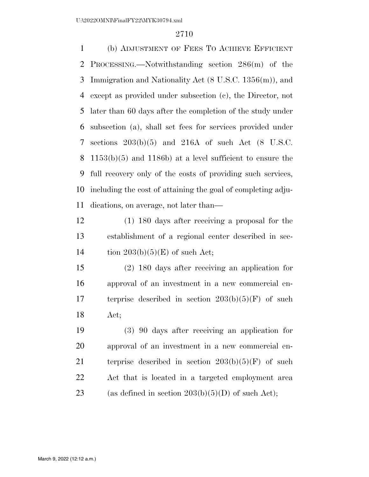(b) ADJUSTMENT OF FEES TO ACHIEVE EFFICIENT PROCESSING.—Notwithstanding section 286(m) of the Immigration and Nationality Act (8 U.S.C. 1356(m)), and except as provided under subsection (c), the Director, not later than 60 days after the completion of the study under subsection (a), shall set fees for services provided under sections 203(b)(5) and 216A of such Act (8 U.S.C. 1153(b)(5) and 1186b) at a level sufficient to ensure the full recovery only of the costs of providing such services, including the cost of attaining the goal of completing adju-dications, on average, not later than—

 (1) 180 days after receiving a proposal for the establishment of a regional center described in sec-14 tion  $203(b)(5)(E)$  of such Act;

 (2) 180 days after receiving an application for approval of an investment in a new commercial en- terprise described in section 203(b)(5)(F) of such Act;

 (3) 90 days after receiving an application for approval of an investment in a new commercial en-21 terprise described in section  $203(b)(5)(F)$  of such Act that is located in a targeted employment area 23 (as defined in section  $203(b)(5)(D)$  of such Act);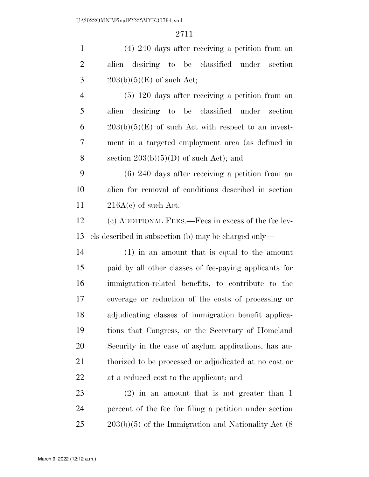(4) 240 days after receiving a petition from an alien desiring to be classified under section  $3 \qquad 203(b)(5)(E)$  of such Act;

 (5) 120 days after receiving a petition from an alien desiring to be classified under section 6 203(b)(5)(E) of such Act with respect to an invest- ment in a targeted employment area (as defined in 8 section  $203(b)(5)(D)$  of such Act); and

 (6) 240 days after receiving a petition from an alien for removal of conditions described in section 11  $216A(c)$  of such Act.

 (c) ADDITIONAL FEES.—Fees in excess of the fee lev-els described in subsection (b) may be charged only—

 (1) in an amount that is equal to the amount paid by all other classes of fee-paying applicants for immigration-related benefits, to contribute to the coverage or reduction of the costs of processing or adjudicating classes of immigration benefit applica- tions that Congress, or the Secretary of Homeland Security in the case of asylum applications, has au- thorized to be processed or adjudicated at no cost or at a reduced cost to the applicant; and

 (2) in an amount that is not greater than 1 percent of the fee for filing a petition under section 25 203(b)(5) of the Immigration and Nationality Act (8)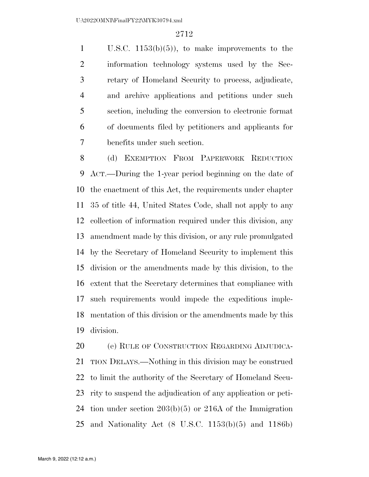U.S.C. 1153(b)(5)), to make improvements to the information technology systems used by the Sec- retary of Homeland Security to process, adjudicate, and archive applications and petitions under such section, including the conversion to electronic format of documents filed by petitioners and applicants for benefits under such section.

 (d) EXEMPTION FROM PAPERWORK REDUCTION ACT.—During the 1-year period beginning on the date of the enactment of this Act, the requirements under chapter 35 of title 44, United States Code, shall not apply to any collection of information required under this division, any amendment made by this division, or any rule promulgated by the Secretary of Homeland Security to implement this division or the amendments made by this division, to the extent that the Secretary determines that compliance with such requirements would impede the expeditious imple- mentation of this division or the amendments made by this division.

 (e) RULE OF CONSTRUCTION REGARDING ADJUDICA- TION DELAYS.—Nothing in this division may be construed to limit the authority of the Secretary of Homeland Secu- rity to suspend the adjudication of any application or peti- tion under section 203(b)(5) or 216A of the Immigration and Nationality Act (8 U.S.C. 1153(b)(5) and 1186b)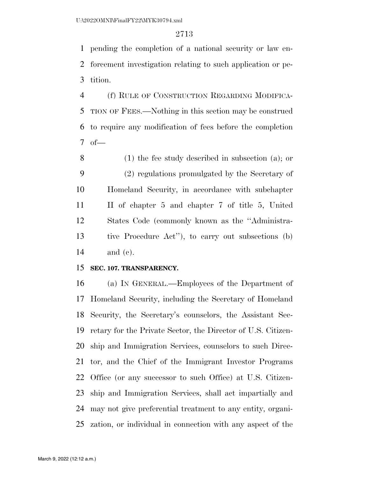pending the completion of a national security or law en- forcement investigation relating to such application or pe-tition.

 (f) RULE OF CONSTRUCTION REGARDING MODIFICA- TION OF FEES.—Nothing in this section may be construed to require any modification of fees before the completion of—

 (1) the fee study described in subsection (a); or (2) regulations promulgated by the Secretary of Homeland Security, in accordance with subchapter II of chapter 5 and chapter 7 of title 5, United States Code (commonly known as the ''Administra- tive Procedure Act''), to carry out subsections (b) and (c).

#### **SEC. 107. TRANSPARENCY.**

 (a) IN GENERAL.—Employees of the Department of Homeland Security, including the Secretary of Homeland Security, the Secretary's counselors, the Assistant Sec- retary for the Private Sector, the Director of U.S. Citizen- ship and Immigration Services, counselors to such Direc- tor, and the Chief of the Immigrant Investor Programs Office (or any successor to such Office) at U.S. Citizen- ship and Immigration Services, shall act impartially and may not give preferential treatment to any entity, organi-zation, or individual in connection with any aspect of the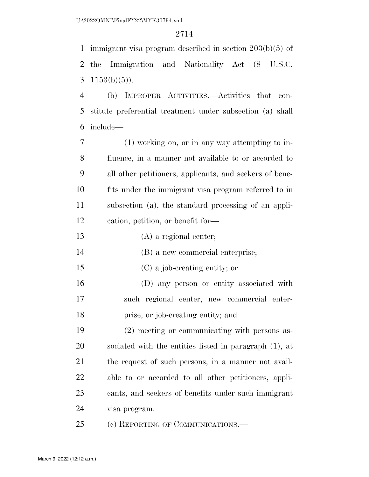immigrant visa program described in section 203(b)(5) of the Immigration and Nationality Act (8 U.S.C. 3  $1153(b)(5)$ ).

 (b) IMPROPER ACTIVITIES.—Activities that con- stitute preferential treatment under subsection (a) shall include—

 (1) working on, or in any way attempting to in- fluence, in a manner not available to or accorded to all other petitioners, applicants, and seekers of bene- fits under the immigrant visa program referred to in subsection (a), the standard processing of an appli-cation, petition, or benefit for—

- (A) a regional center;
- (B) a new commercial enterprise;
- (C) a job-creating entity; or

 (D) any person or entity associated with such regional center, new commercial enter-prise, or job-creating entity; and

 (2) meeting or communicating with persons as- sociated with the entities listed in paragraph (1), at the request of such persons, in a manner not avail- able to or accorded to all other petitioners, appli- cants, and seekers of benefits under such immigrant visa program.

(c) REPORTING OF COMMUNICATIONS.—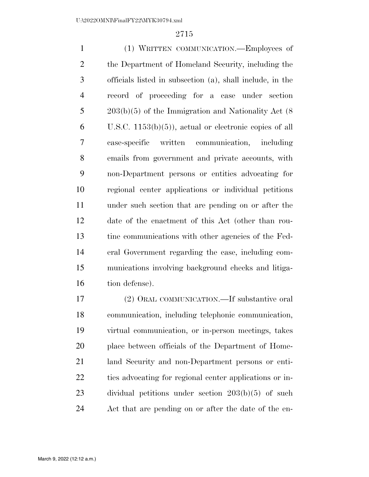(1) WRITTEN COMMUNICATION.—Employees of the Department of Homeland Security, including the officials listed in subsection (a), shall include, in the record of proceeding for a case under section 203(b)(5) of the Immigration and Nationality Act (8 U.S.C. 1153(b)(5)), actual or electronic copies of all case-specific written communication, including emails from government and private accounts, with non-Department persons or entities advocating for regional center applications or individual petitions under such section that are pending on or after the date of the enactment of this Act (other than rou- tine communications with other agencies of the Fed- eral Government regarding the case, including com- munications involving background checks and litiga-16 tion defense).

 (2) ORAL COMMUNICATION.—If substantive oral communication, including telephonic communication, virtual communication, or in-person meetings, takes place between officials of the Department of Home- land Security and non-Department persons or enti- ties advocating for regional center applications or in- dividual petitions under section 203(b)(5) of such Act that are pending on or after the date of the en-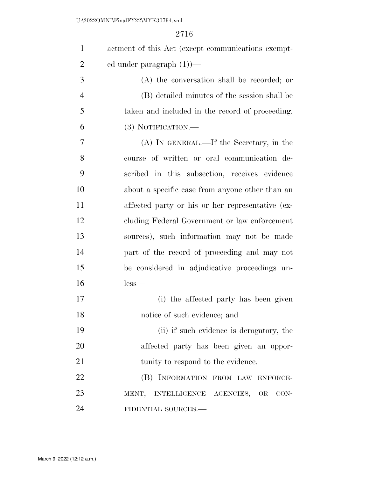| $\mathbf{1}$   | actment of this Act (except communications exempt- |
|----------------|----------------------------------------------------|
| $\overline{2}$ | ed under paragraph $(1)$ —                         |
| 3              | (A) the conversation shall be recorded; or         |
| $\overline{4}$ | (B) detailed minutes of the session shall be       |
| 5              | taken and included in the record of proceeding.    |
| 6              | (3) NOTIFICATION.—                                 |
| 7              | (A) IN GENERAL.—If the Secretary, in the           |
| 8              | course of written or oral communication de-        |
| 9              | scribed in this subsection, receives evidence      |
| 10             | about a specific case from anyone other than an    |
| 11             | affected party or his or her representative (ex-   |
| 12             | cluding Federal Government or law enforcement      |
| 13             | sources), such information may not be made         |
| 14             | part of the record of proceeding and may not       |
| 15             | be considered in adjudicative proceedings un-      |
| 16             | $less-$                                            |
| 17             | (i) the affected party has been given              |
| 18             | notice of such evidence; and                       |
| 19             | (ii) if such evidence is derogatory, the           |
| 20             | affected party has been given an oppor-            |
| 21             | tunity to respond to the evidence.                 |
| 22             | (B) INFORMATION FROM LAW ENFORCE-                  |
| 23             | MENT, INTELLIGENCE AGENCIES, OR CON-               |
| 24             | FIDENTIAL SOURCES.-                                |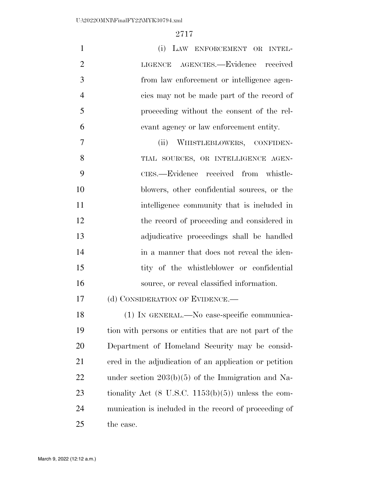| $\mathbf{1}$   | (i) LAW ENFORCEMENT OR INTEL-                                  |
|----------------|----------------------------------------------------------------|
| $\overline{2}$ | LIGENCE AGENCIES.-Evidence received                            |
| 3              | from law enforcement or intelligence agen-                     |
| $\overline{4}$ | cies may not be made part of the record of                     |
| 5              | proceeding without the consent of the rel-                     |
| 6              | evant agency or law enforcement entity.                        |
| 7              | (ii) WHISTLEBLOWERS, CONFIDEN-                                 |
| 8              | TIAL SOURCES, OR INTELLIGENCE AGEN-                            |
| 9              | CIES.—Evidence received from whistle-                          |
| 10             | blowers, other confidential sources, or the                    |
| 11             | intelligence community that is included in                     |
| 12             | the record of proceeding and considered in                     |
| 13             | adjudicative proceedings shall be handled                      |
| 14             | in a manner that does not reveal the iden-                     |
| 15             | tity of the whistleblower or confidential                      |
| 16             | source, or reveal classified information.                      |
| 17             | (d) CONSIDERATION OF EVIDENCE.—                                |
| 18             | $(1)$ IN GENERAL.—No case-specific communica-                  |
| 19             | tion with persons or entities that are not part of the         |
| 20             | Department of Homeland Security may be consid-                 |
| 21             | ered in the adjudication of an application or petition         |
| 22             | under section $203(b)(5)$ of the Immigration and Na-           |
| 23             | tionality Act $(8 \text{ U.S.C. } 1153(b)(5))$ unless the com- |
| 24             | munication is included in the record of proceeding of          |
| 25             | the case.                                                      |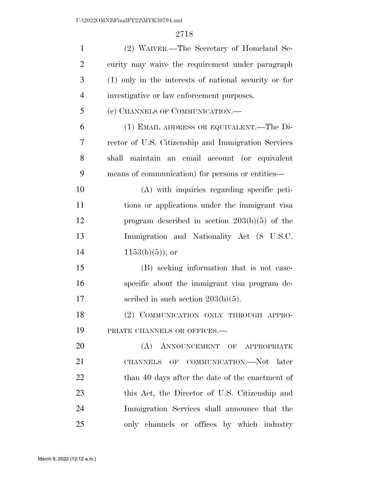| $\mathbf{1}$   | (2) WAIVER.—The Secretary of Homeland Se-             |
|----------------|-------------------------------------------------------|
| $\overline{2}$ | curity may waive the requirement under paragraph      |
| 3              | (1) only in the interests of national security or for |
| $\overline{4}$ | investigative or law enforcement purposes.            |
| 5              | (e) CHANNELS OF COMMUNICATION.—                       |
| 6              | (1) EMAIL ADDRESS OR EQUIVALENT.—The Di-              |
| 7              | rector of U.S. Citizenship and Immigration Services   |
| 8              | shall maintain an email account (or equivalent        |
| 9              | means of communication) for persons or entities—      |
| 10             | (A) with inquiries regarding specific peti-           |
| 11             | tions or applications under the immigrant visa        |
| 12             | program described in section $203(b)(5)$ of the       |
| 13             | Immigration and Nationality Act (8 U.S.C.             |
| 14             | $1153(b)(5)$ ; or                                     |
| 15             | (B) seeking information that is not case-             |
| 16             | specific about the immigrant visa program de-         |
| 17             | scribed in such section $203(b)(5)$ .                 |
| 18             | (2) COMMUNICATION ONLY THROUGH APPRO-                 |
| 19             | PRIATE CHANNELS OR OFFICES.-                          |
| 20             | (A) ANNOUNCEMENT OF APPROPRIATE                       |
| 21             | CHANNELS OF COMMUNICATION.—Not later                  |
| 22             | than 40 days after the date of the enactment of       |
| 23             | this Act, the Director of U.S. Citizenship and        |
| 24             | Immigration Services shall announce that the          |
| 25             | only channels or offices by which industry            |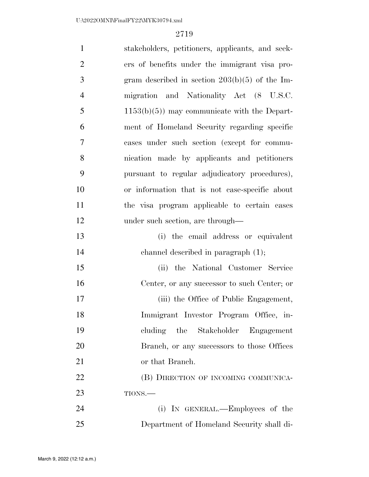| $\mathbf{1}$   | stakeholders, petitioners, applicants, and seek- |
|----------------|--------------------------------------------------|
| $\overline{2}$ | ers of benefits under the immigrant visa pro-    |
| 3              | gram described in section $203(b)(5)$ of the Im- |
| $\overline{4}$ | migration and Nationality Act (8 U.S.C.          |
| 5              | $1153(b)(5)$ may communicate with the Depart-    |
| 6              | ment of Homeland Security regarding specific     |
| $\tau$         | cases under such section (except for commu-      |
| 8              | nication made by applicants and petitioners      |
| 9              | pursuant to regular adjudicatory procedures),    |
| 10             | or information that is not case-specific about   |
| 11             | the visa program applicable to certain cases     |
| 12             | under such section, are through—                 |
| 13             | (i) the email address or equivalent              |
| 14             | channel described in paragraph (1);              |
| 15             | (ii) the National Customer Service               |
| 16             | Center, or any successor to such Center; or      |
| 17             | (iii) the Office of Public Engagement,           |
| 18             | Immigrant Investor Program Office, in-           |
| 19             | the Stakeholder<br>Engagement<br>cluding         |
| 20             | Branch, or any successors to those Offices       |
| 21             | or that Branch.                                  |
| 22             | (B) DIRECTION OF INCOMING COMMUNICA-             |
| 23             | TIONS.-                                          |
| 24             | (i) IN GENERAL.—Employees of the                 |
| 25             | Department of Homeland Security shall di-        |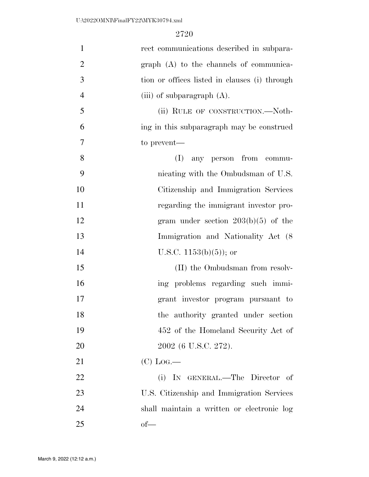| $\mathbf{1}$   | rect communications described in subpara-     |
|----------------|-----------------------------------------------|
| $\overline{2}$ | graph (A) to the channels of communica-       |
| 3              | tion or offices listed in clauses (i) through |
| $\overline{4}$ | (iii) of subparagraph $(A)$ .                 |
| 5              | (ii) RULE OF CONSTRUCTION.—Noth-              |
| 6              | ing in this subparagraph may be construed     |
| 7              | to prevent—                                   |
| 8              | any person from commu-<br>(I)                 |
| 9              | nicating with the Ombudsman of U.S.           |
| 10             | Citizenship and Immigration Services          |
| 11             | regarding the immigrant investor pro-         |
| 12             | gram under section $203(b)(5)$ of the         |
| 13             | Immigration and Nationality Act (8)           |
| 14             | U.S.C. $1153(b)(5)$ ; or                      |
| 15             | (II) the Ombudsman from resolv-               |
| 16             | ing problems regarding such immi-             |
| 17             | grant investor program pursuant to            |
| 18             | the authority granted under section           |
| 19             | 452 of the Homeland Security Act of           |
| 20             | 2002 (6 U.S.C. 272).                          |
| 21             | $(C)$ Log.—                                   |
| 22             | (i) IN GENERAL.—The Director of               |
| 23             | U.S. Citizenship and Immigration Services     |
| 24             | shall maintain a written or electronic log    |
| 25             | $of$ —                                        |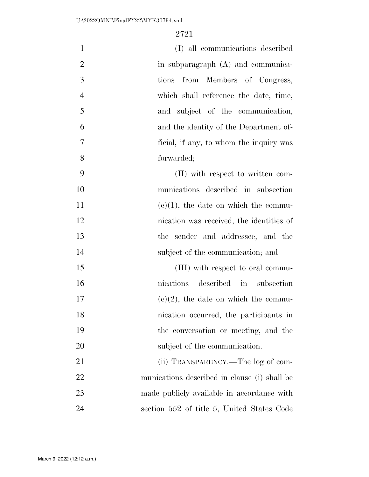| $\mathbf{1}$   | (I) all communications described             |
|----------------|----------------------------------------------|
| $\overline{2}$ | in subparagraph (A) and communica-           |
| 3              | tions from Members of Congress,              |
| $\overline{4}$ | which shall reference the date, time,        |
| 5              | and subject of the communication,            |
| 6              | and the identity of the Department of-       |
| 7              | ficial, if any, to whom the inquiry was      |
| 8              | forwarded;                                   |
| 9              | (II) with respect to written com-            |
| 10             | munications described in subsection          |
| 11             | $(e)(1)$ , the date on which the commu-      |
| 12             | nication was received, the identities of     |
| 13             | the sender and addressee, and the            |
| 14             | subject of the communication; and            |
| 15             | (III) with respect to oral commu-            |
| 16             | described in subsection<br>nications         |
| 17             | $(e)(2)$ , the date on which the commu-      |
| 18             | nication occurred, the participants in       |
| 19             | the conversation or meeting, and the         |
| 20             | subject of the communication.                |
| 21             | (ii) TRANSPARENCY.—The log of com-           |
| 22             | munications described in clause (i) shall be |
| 23             | made publicly available in accordance with   |
| 24             | section 552 of title 5, United States Code   |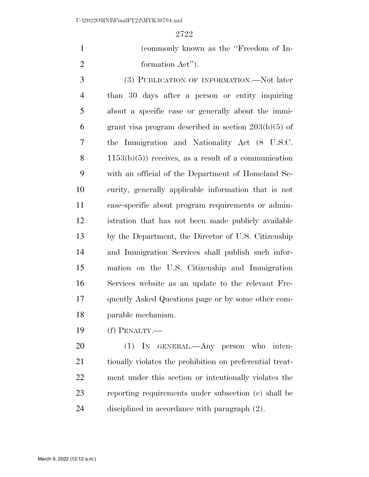(commonly known as the ''Freedom of In-formation Act'').

 (3) PUBLICATION OF INFORMATION.—Not later than 30 days after a person or entity inquiring about a specific case or generally about the immi- grant visa program described in section 203(b)(5) of the Immigration and Nationality Act (8 U.S.C. 8 1153(b)(5)) receives, as a result of a communication with an official of the Department of Homeland Se- curity, generally applicable information that is not case-specific about program requirements or admin- istration that has not been made publicly available by the Department, the Director of U.S. Citizenship and Immigration Services shall publish such infor- mation on the U.S. Citizenship and Immigration Services website as an update to the relevant Fre- quently Asked Questions page or by some other com-parable mechanism.

(f) PENALTY.—

 (1) IN GENERAL.—Any person who inten- tionally violates the prohibition on preferential treat- ment under this section or intentionally violates the reporting requirements under subsection (c) shall be disciplined in accordance with paragraph (2).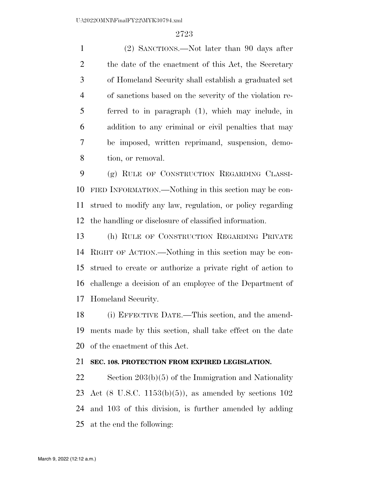(2) SANCTIONS.—Not later than 90 days after 2 the date of the enactment of this Act, the Secretary of Homeland Security shall establish a graduated set of sanctions based on the severity of the violation re- ferred to in paragraph (1), which may include, in addition to any criminal or civil penalties that may be imposed, written reprimand, suspension, demo-tion, or removal.

 (g) RULE OF CONSTRUCTION REGARDING CLASSI- FIED INFORMATION.—Nothing in this section may be con- strued to modify any law, regulation, or policy regarding the handling or disclosure of classified information.

 (h) RULE OF CONSTRUCTION REGARDING PRIVATE RIGHT OF ACTION.—Nothing in this section may be con- strued to create or authorize a private right of action to challenge a decision of an employee of the Department of Homeland Security.

 (i) EFFECTIVE DATE.—This section, and the amend- ments made by this section, shall take effect on the date of the enactment of this Act.

### **SEC. 108. PROTECTION FROM EXPIRED LEGISLATION.**

 Section 203(b)(5) of the Immigration and Nationality Act (8 U.S.C. 1153(b)(5)), as amended by sections 102 and 103 of this division, is further amended by adding at the end the following: